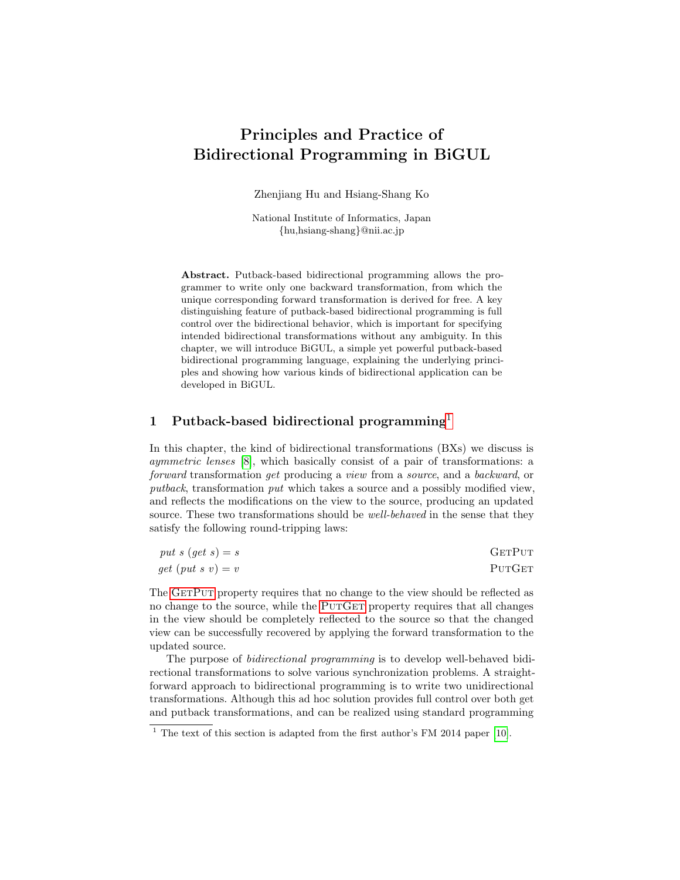# Principles and Practice of Bidirectional Programming in BiGUL

Zhenjiang Hu and Hsiang-Shang Ko

National Institute of Informatics, Japan {hu,hsiang-shang}@nii.ac.jp

Abstract. Putback-based bidirectional programming allows the programmer to write only one backward transformation, from which the unique corresponding forward transformation is derived for free. A key distinguishing feature of putback-based bidirectional programming is full control over the bidirectional behavior, which is important for specifying intended bidirectional transformations without any ambiguity. In this chapter, we will introduce BiGUL, a simple yet powerful putback-based bidirectional programming language, explaining the underlying principles and showing how various kinds of bidirectional application can be developed in BiGUL.

# <span id="page-0-3"></span>[1](#page-0-0) Putback-based bidirectional programming<sup>1</sup>

In this chapter, the kind of bidirectional transformations (BXs) we discuss is aymmetric lenses [\[8\]](#page-50-0), which basically consist of a pair of transformations: a forward transformation get producing a view from a source, and a backward, or putback, transformation put which takes a source and a possibly modified view, and reflects the modifications on the view to the source, producing an updated source. These two transformations should be *well-behaved* in the sense that they satisfy the following round-tripping laws:

<span id="page-0-2"></span><span id="page-0-1"></span>

| put $s(get s) = s$  | <b>GETPUT</b> |
|---------------------|---------------|
| $get$ (put s v) = v | PUTGET        |

The GETPUT property requires that no change to the view should be reflected as no change to the source, while the PUTGET property requires that all changes in the view should be completely reflected to the source so that the changed view can be successfully recovered by applying the forward transformation to the updated source.

The purpose of bidirectional programming is to develop well-behaved bidirectional transformations to solve various synchronization problems. A straightforward approach to bidirectional programming is to write two unidirectional transformations. Although this ad hoc solution provides full control over both get and putback transformations, and can be realized using standard programming

<span id="page-0-0"></span><sup>&</sup>lt;sup>1</sup> The text of this section is adapted from the first author's FM 2014 paper [\[10\]](#page-50-1).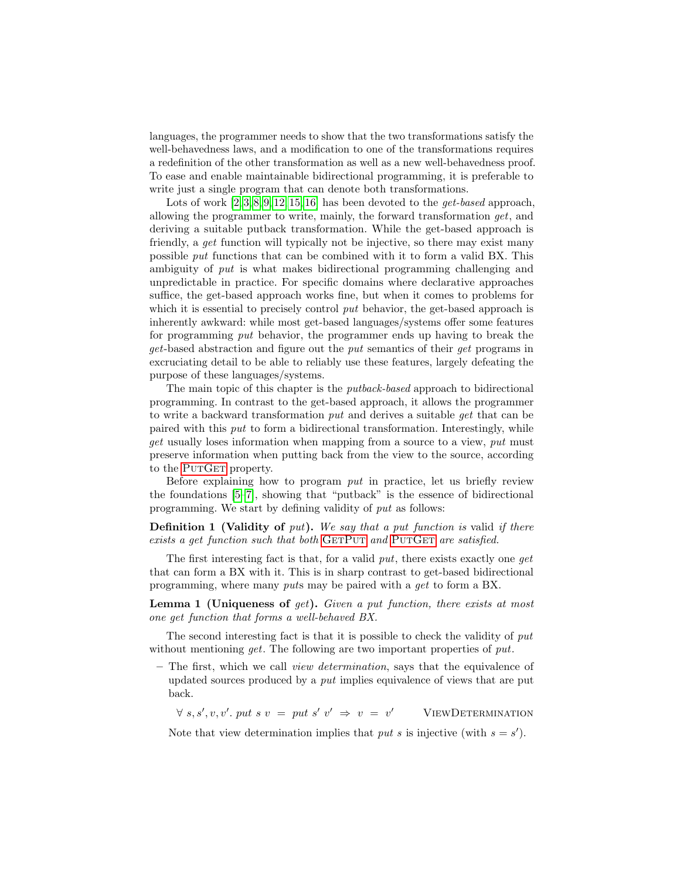languages, the programmer needs to show that the two transformations satisfy the well-behavedness laws, and a modification to one of the transformations requires a redefinition of the other transformation as well as a new well-behavedness proof. To ease and enable maintainable bidirectional programming, it is preferable to write just a single program that can denote both transformations.

Lots of work  $[2, 3, 8, 9, 12, 15, 16]$  $[2, 3, 8, 9, 12, 15, 16]$  $[2, 3, 8, 9, 12, 15, 16]$  $[2, 3, 8, 9, 12, 15, 16]$  $[2, 3, 8, 9, 12, 15, 16]$  $[2, 3, 8, 9, 12, 15, 16]$  $[2, 3, 8, 9, 12, 15, 16]$  has been devoted to the *get-based* approach, allowing the programmer to write, mainly, the forward transformation  $qet$ , and deriving a suitable putback transformation. While the get-based approach is friendly, a get function will typically not be injective, so there may exist many possible put functions that can be combined with it to form a valid BX. This ambiguity of put is what makes bidirectional programming challenging and unpredictable in practice. For specific domains where declarative approaches suffice, the get-based approach works fine, but when it comes to problems for which it is essential to precisely control put behavior, the get-based approach is inherently awkward: while most get-based languages/systems offer some features for programming put behavior, the programmer ends up having to break the get-based abstraction and figure out the put semantics of their get programs in excruciating detail to be able to reliably use these features, largely defeating the purpose of these languages/systems.

The main topic of this chapter is the putback-based approach to bidirectional programming. In contrast to the get-based approach, it allows the programmer to write a backward transformation put and derives a suitable get that can be paired with this put to form a bidirectional transformation. Interestingly, while get usually loses information when mapping from a source to a view, put must preserve information when putting back from the view to the source, according to the PUTGET property.

Before explaining how to program put in practice, let us briefly review the foundations [\[5–](#page-49-2)[7\]](#page-49-3), showing that "putback" is the essence of bidirectional programming. We start by defining validity of put as follows:

**Definition 1 (Validity of** put). We say that a put function is valid if there exists a get function such that both GETPUT and PUTGET are satisfied.

The first interesting fact is that, for a valid put, there exists exactly one get that can form a BX with it. This is in sharp contrast to get-based bidirectional programming, where many puts may be paired with a get to form a BX.

<span id="page-1-1"></span>**Lemma 1 (Uniqueness of** get). Given a put function, there exists at most one get function that forms a well-behaved BX.

The second interesting fact is that it is possible to check the validity of put without mentioning *get*. The following are two important properties of  $put$ .

– The first, which we call view determination, says that the equivalence of updated sources produced by a put implies equivalence of views that are put back.

<span id="page-1-0"></span> $\forall s, s', v, v'. put s v = put s' v' \Rightarrow v = v$ VIEWDETERMINATION

Note that view determination implies that put s is injective (with  $s = s'$ ).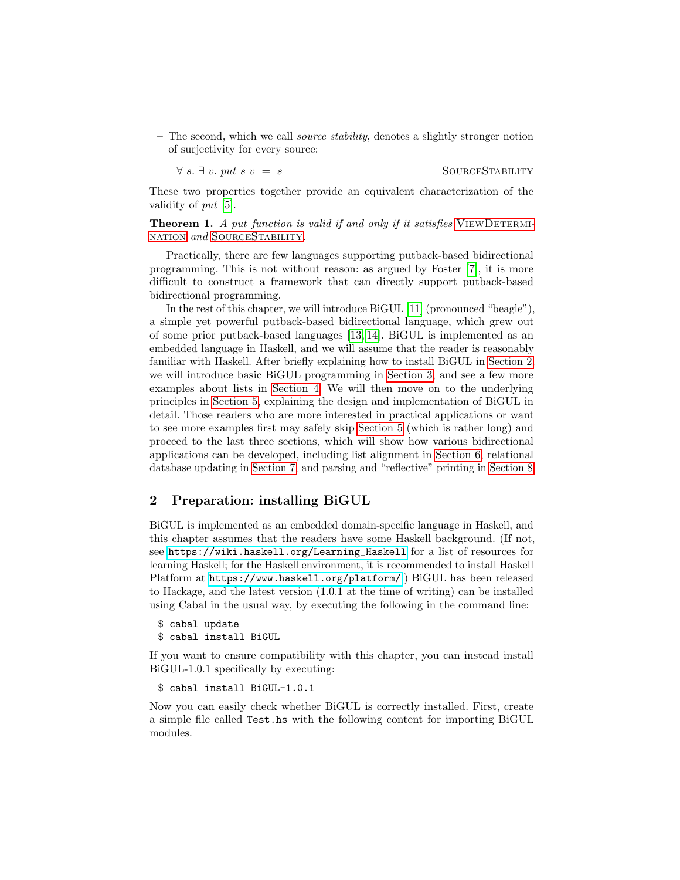– The second, which we call source stability, denotes a slightly stronger notion of surjectivity for every source:

<span id="page-2-0"></span>
$$
\forall s. \exists v. \; put \; s \; v = s
$$
 **SOURCESTABILITY**

These two properties together provide an equivalent characterization of the validity of put [\[5\]](#page-49-2).

**Theorem 1.** A put function is valid if and only if it satisfies  $VIEWDETERMI$ [nation](#page-1-0) and [SourceStability](#page-2-0).

Practically, there are few languages supporting putback-based bidirectional programming. This is not without reason: as argued by Foster [\[7\]](#page-49-3), it is more difficult to construct a framework that can directly support putback-based bidirectional programming.

In the rest of this chapter, we will introduce BiGUL [\[11\]](#page-50-6) (pronounced "beagle"), a simple yet powerful putback-based bidirectional language, which grew out of some prior putback-based languages [\[13,](#page-50-7) [14\]](#page-50-8). BiGUL is implemented as an embedded language in Haskell, and we will assume that the reader is reasonably familiar with Haskell. After briefly explaining how to install BiGUL in [Section 2,](#page-2-1) we will introduce basic BiGUL programming in [Section 3,](#page-3-0) and see a few more examples about lists in [Section 4.](#page-11-0) We will then move on to the underlying principles in [Section 5,](#page-13-0) explaining the design and implementation of BiGUL in detail. Those readers who are more interested in practical applications or want to see more examples first may safely skip [Section 5](#page-13-0) (which is rather long) and proceed to the last three sections, which will show how various bidirectional applications can be developed, including list alignment in [Section 6,](#page-29-0) relational database updating in [Section 7,](#page-37-0) and parsing and "reflective" printing in [Section 8.](#page-41-0)

# <span id="page-2-1"></span>2 Preparation: installing BiGUL

BiGUL is implemented as an embedded domain-specific language in Haskell, and this chapter assumes that the readers have some Haskell background. (If not, see [https://wiki.haskell.org/Learning\\_Haskell](https://wiki.haskell.org/Learning_Haskell) for a list of resources for learning Haskell; for the Haskell environment, it is recommended to install Haskell Platform at <https://www.haskell.org/platform/>.) BiGUL has been released to Hackage, and the latest version (1.0.1 at the time of writing) can be installed using Cabal in the usual way, by executing the following in the command line:

```
$ cabal update
$ cabal install BiGUL
```
If you want to ensure compatibility with this chapter, you can instead install BiGUL-1.0.1 specifically by executing:

```
$ cabal install BiGUL-1.0.1
```
Now you can easily check whether BiGUL is correctly installed. First, create a simple file called Test.hs with the following content for importing BiGUL modules.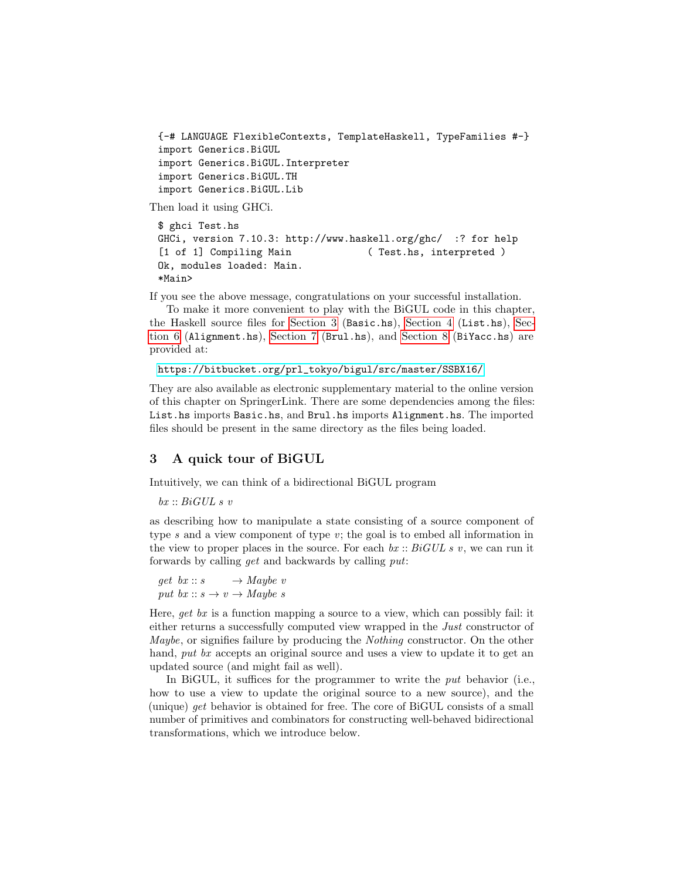```
{-# LANGUAGE FlexibleContexts, TemplateHaskell, TypeFamilies #-}
import Generics.BiGUL
import Generics.BiGUL.Interpreter
import Generics.BiGUL.TH
import Generics.BiGUL.Lib
```
Then load it using GHCi.

```
$ ghci Test.hs
GHCi, version 7.10.3: http://www.haskell.org/ghc/ :? for help
[1 of 1] Compiling Main ( Test.hs, interpreted )
Ok, modules loaded: Main.
*Main>
```
If you see the above message, congratulations on your successful installation.

To make it more convenient to play with the BiGUL code in this chapter, the Haskell source files for [Section 3](#page-3-0) (Basic.hs), [Section 4](#page-11-0) (List.hs), [Sec](#page-29-0)[tion 6](#page-29-0) (Alignment.hs), [Section 7](#page-37-0) (Brul.hs), and [Section 8](#page-41-0) (BiYacc.hs) are provided at:

```
https://bitbucket.org/prl_tokyo/bigul/src/master/SSBX16/
```
They are also available as electronic supplementary material to the online version of this chapter on SpringerLink. There are some dependencies among the files: List.hs imports Basic.hs, and Brul.hs imports Alignment.hs. The imported files should be present in the same directory as the files being loaded.

# <span id="page-3-0"></span>3 A quick tour of BiGUL

Intuitively, we can think of a bidirectional BiGUL program

 $bx :: BiGULs$ 

as describing how to manipulate a state consisting of a source component of type s and a view component of type v; the goal is to embed all information in the view to proper places in the source. For each  $bx :: BiGUL s v$ , we can run it forwards by calling get and backwards by calling put:

```
qet bx :: s \rightarrow Maybe v
put bx :: s \rightarrow v \rightarrow Maybe s
```
Here, get bx is a function mapping a source to a view, which can possibly fail: it either returns a successfully computed view wrapped in the Just constructor of Maybe, or signifies failure by producing the *Nothing* constructor. On the other hand, put bx accepts an original source and uses a view to update it to get an updated source (and might fail as well).

In BiGUL, it suffices for the programmer to write the *put* behavior (i.e., how to use a view to update the original source to a new source), and the (unique) get behavior is obtained for free. The core of BiGUL consists of a small number of primitives and combinators for constructing well-behaved bidirectional transformations, which we introduce below.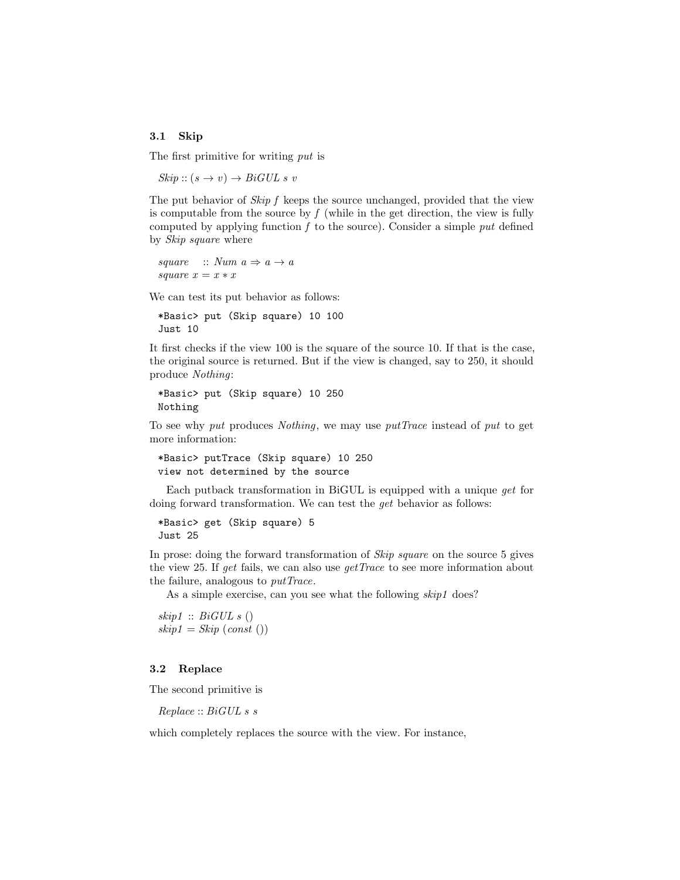# 3.1 Skip

The first primitive for writing put is

 $\text{Skip} :: (s \rightarrow v) \rightarrow \text{BiGUL} s v$ 

The put behavior of *Skip f* keeps the source unchanged, provided that the view is computable from the source by  $f$  (while in the get direction, the view is fully computed by applying function  $f$  to the source). Consider a simple put defined by Skip square where

square  $\therefore$  Num  $a \Rightarrow a \rightarrow a$ square  $x = x * x$ 

We can test its put behavior as follows:

```
*Basic> put (Skip square) 10 100
Just 10
```
It first checks if the view 100 is the square of the source 10. If that is the case, the original source is returned. But if the view is changed, say to 250, it should produce Nothing:

```
*Basic> put (Skip square) 10 250
Nothing
```
To see why put produces Nothing, we may use putTrace instead of put to get more information:

```
*Basic> putTrace (Skip square) 10 250
view not determined by the source
```
Each putback transformation in BiGUL is equipped with a unique get for doing forward transformation. We can test the get behavior as follows:

```
*Basic> get (Skip square) 5
Just 25
```
In prose: doing the forward transformation of *Skip square* on the source 5 gives the view 25. If get fails, we can also use  $getTrace$  to see more information about the failure, analogous to  $putTrace$ .

As a simple exercise, can you see what the following  $skip1$  does?

 $skip1:: BiGULs()$  $skip1 = Skip (const () )$ 

# 3.2 Replace

The second primitive is

Replace :: BiGUL s s

which completely replaces the source with the view. For instance,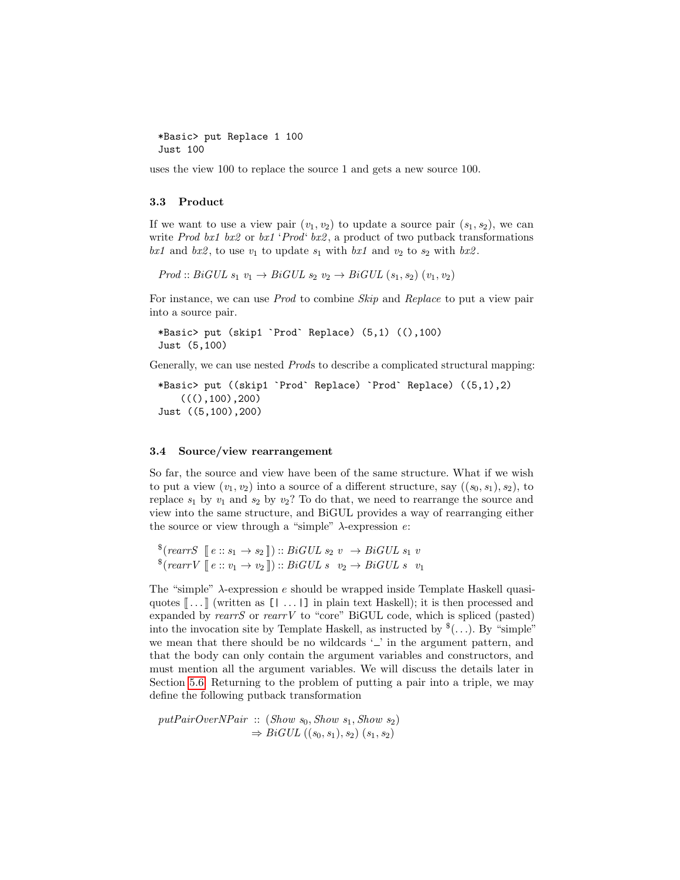```
*Basic> put Replace 1 100
Just 100
```
uses the view 100 to replace the source 1 and gets a new source 100.

### 3.3 Product

If we want to use a view pair  $(v_1, v_2)$  to update a source pair  $(s_1, s_2)$ , we can write Prod bx1 bx2 or bx1 'Prod' bx2, a product of two putback transformations bx1 and bx2, to use  $v_1$  to update  $s_1$  with bx1 and  $v_2$  to  $s_2$  with bx2.

 $Prod :: BiGUL s_1 v_1 \rightarrow BiGUL s_2 v_2 \rightarrow BiGUL (s_1, s_2) (v_1, v_2)$ 

For instance, we can use Prod to combine Skip and Replace to put a view pair into a source pair.

```
*Basic> put (skip1 `Prod` Replace) (5,1) ((),100)
Just (5,100)
```
Generally, we can use nested Prods to describe a complicated structural mapping:

```
*Basic> put ((skip1 `Prod` Replace) `Prod` Replace) ((5,1),2)
    ((((), 100), 200)Just ((5,100),200)
```
### 3.4 Source/view rearrangement

So far, the source and view have been of the same structure. What if we wish to put a view  $(v_1, v_2)$  into a source of a different structure, say  $((s_0, s_1), s_2)$ , to replace  $s_1$  by  $v_1$  and  $s_2$  by  $v_2$ ? To do that, we need to rearrange the source and view into the same structure, and BiGUL provides a way of rearranging either the source or view through a "simple"  $\lambda$ -expression  $e$ :

 $*(\text{rearrS} \ [e:: s_1 \rightarrow s_2]) :: BiGUL s_2 v \rightarrow BiGUL s_1 v$  $*(\text{rearr} V \llbracket e :: v_1 \to v_2 \rrbracket) :: BiGUL \ s \ v_2 \to BiGUL \ s \ v_1$ 

The "simple"  $\lambda$ -expression e should be wrapped inside Template Haskell quasiquotes  $[\![ \dots ]\!]$  (written as  $[\![ \dots ]\!]$  in plain text Haskell); it is then processed and expanded by rearrS or rearrV to "core" BiGUL code, which is spliced (pasted) into the invocation site by Template Haskell, as instructed by  $\mathcal{F}(\ldots)$ . By "simple" we mean that there should be no wildcards  $\prime$  in the argument pattern, and that the body can only contain the argument variables and constructors, and must mention all the argument variables. We will discuss the details later in Section [5.6.](#page-23-0) Returning to the problem of putting a pair into a triple, we may define the following putback transformation

 $putPairOverNPair :: (Show s_0, Show s_1, Show s_2)$  $\Rightarrow BiGUL((s_0, s_1), s_2)(s_1, s_2)$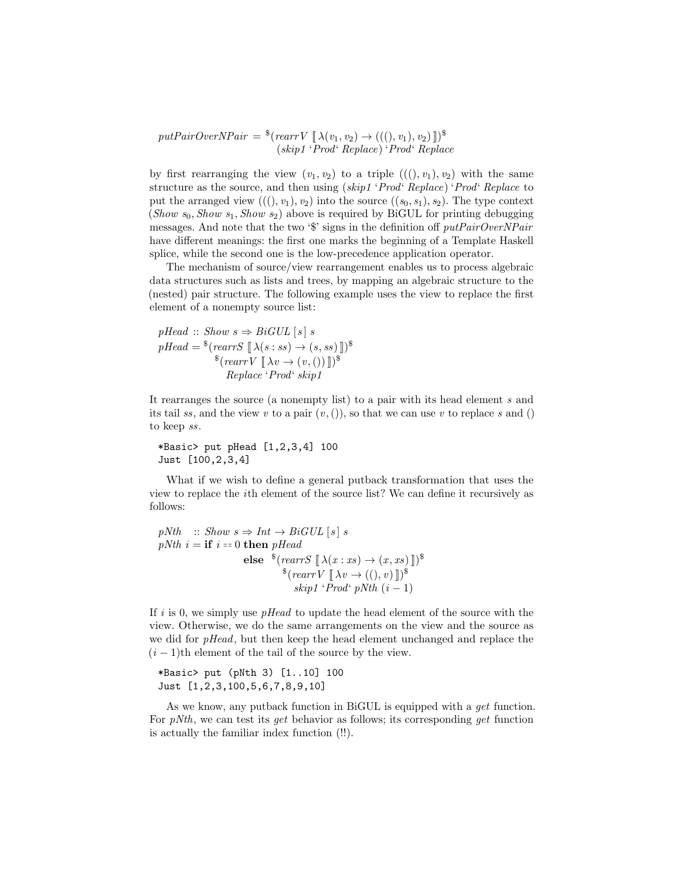$putPairOverNPair =$ <sup>\$</sup> $(rearV [\lambda(v_1, v_2) \rightarrow (((0, v_1), v_2) ])^$ <sup>\$</sup> (skip1 'Prod' Replace) 'Prod' Replace

by first rearranging the view  $(v_1, v_2)$  to a triple  $(((0, v_1), v_2)$  with the same structure as the source, and then using (skip1 'Prod' Replace) 'Prod' Replace to put the arranged view  $(((0, v_1), v_2)$  into the source  $((s_0, s_1), s_2)$ . The type context (Show  $s_0$ , Show  $s_1$ , Show  $s_2$ ) above is required by BiGUL for printing debugging messages. And note that the two '\$' signs in the definition off  $putPairOverNPair$ have different meanings: the first one marks the beginning of a Template Haskell splice, while the second one is the low-precedence application operator.

The mechanism of source/view rearrangement enables us to process algebraic data structures such as lists and trees, by mapping an algebraic structure to the (nested) pair structure. The following example uses the view to replace the first element of a nonempty source list:

$$
pHead :: Show s \Rightarrow BiGUL [s] s
$$
  
\n
$$
pHead = \simeq (\r\n\text{rarr } S \llbracket \lambda(s : ss) \rightarrow (s, ss) \rrbracket)^{\$}
$$
  
\n
$$
\simeq (\r\n\text{rarr } V \llbracket \lambda v \rightarrow (v, ()) \rrbracket)^{\$}
$$
  
\n
$$
Replace 'Prod' skip 1
$$

It rearranges the source (a nonempty list) to a pair with its head element s and its tail ss, and the view v to a pair  $(v,())$ , so that we can use v to replace s and  $()$ to keep ss.

```
*Basic> put pHead [1,2,3,4] 100
Just [100,2,3,4]
```
What if we wish to define a general putback transformation that uses the view to replace the ith element of the source list? We can define it recursively as follows:

$$
pNth :: Show s \Rightarrow Int \rightarrow BiGUL [s] s
$$
  
\n
$$
pNth i = \textbf{if } i = 0 \text{ then } pHead
$$
  
\nelse  ${}^{\$}(rearr S \text{ } [\lambda(x : xs) \rightarrow (x, xs) ]])^{\$}$   
\n ${}^{\$}(rearr V \text{ } [\lambda v \rightarrow ((), v) ]])^{\$}$   
\n $skip 10pt 1 \cdot Prod \cdot prdt (i - 1)$ 

If i is 0, we simply use pHead to update the head element of the source with the view. Otherwise, we do the same arrangements on the view and the source as we did for *pHead*, but then keep the head element unchanged and replace the  $(i - 1)$ th element of the tail of the source by the view.

\*Basic> put (pNth 3) [1..10] 100 Just [1,2,3,100,5,6,7,8,9,10]

As we know, any putback function in BiGUL is equipped with a get function. For  $pNth$ , we can test its get behavior as follows; its corresponding get function is actually the familiar index function (!!).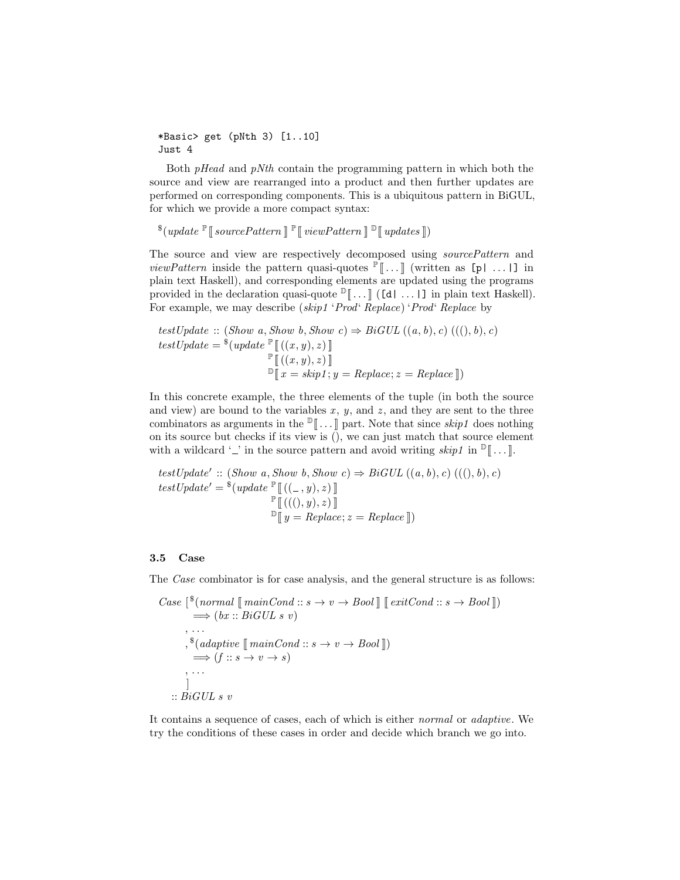\*Basic> get (pNth 3) [1..10] Just 4

Both pHead and pNth contain the programming pattern in which both the source and view are rearranged into a product and then further updates are performed on corresponding components. This is a ubiquitous pattern in BiGUL, for which we provide a more compact syntax:

 $\{``(update \$  \nVert \ sourcePattern \right] \ \nvert \ $(update \$ 

The source and view are respectively decomposed using sourcePattern and *viewPattern* inside the pattern quasi-quotes  $\mathbb{P}[\ldots]$  (written as [p| ... |] in plain text Haskell), and corresponding elements are updated using the programs provided in the declaration quasi-quote  $\mathbb{P}[\![\dots]\!]$  ([d] ... |] in plain text Haskell). For example, we may describe *(skip1 'Prod' Replace) 'Prod' Replace* by

testUpdate :: (Show a, Show b, Show c) 
$$
\Rightarrow
$$
 BiGUL ((a, b), c) ((((), b), c)  
testUpdate =  $\{\text{update } \mathbb{F}[(x, y), z)\}\$   
 $\mathbb{F}[(x, y), z)]$   
 $\mathbb{F}[x = skip1; y = Replace; z = Replace \text{]}$ )

In this concrete example, the three elements of the tuple (in both the source and view) are bound to the variables  $x, y$ , and  $z$ , and they are sent to the three combinators as arguments in the  $\mathbb{P}[\![\dots]\!]$  part. Note that since  $skip1$  does nothing on its source but checks if its view is (), we can just match that source element with a wildcard ' $\lrcorner$ ' in the source pattern and avoid writing  $skip1 \rceil$  in  $\lceil \lceil \lceil \ldots \rceil \rceil$ .

testUpdate' :: (Show a, Show b, Show c) 
$$
\Rightarrow
$$
 BiGUL ((a, b), c) ((((), b), c)  
testUpdate' =  $\{update^{\mathbb{P}}((-, y), z)\}$   
 $\mathbb{P}[(((), y), z)]$   
 $\mathbb{P}[[ y = Replace; z = Replace ])$ 

## <span id="page-7-0"></span>3.5 Case

The *Case* combinator is for case analysis, and the general structure is as follows:

Case 
$$
[\S
$$
 (normal  $[\text{mainCond} :: s \rightarrow v \rightarrow Bool \text{]} \text{ [exitCond} :: s \rightarrow Bool \text{]}])$   
\n $\implies (bx :: BiGUL s v)$   
\n,...  
\n $\S$  (adaptive  $[\text{mainCond} :: s \rightarrow v \rightarrow Bool \text{]}])$   
\n $\implies (f :: s \rightarrow v \rightarrow s)$   
\n,...  
\n $\Bigg}$   
\n...  
\n $\text{BiGUL} s v$ 

It contains a sequence of cases, each of which is either normal or adaptive. We try the conditions of these cases in order and decide which branch we go into.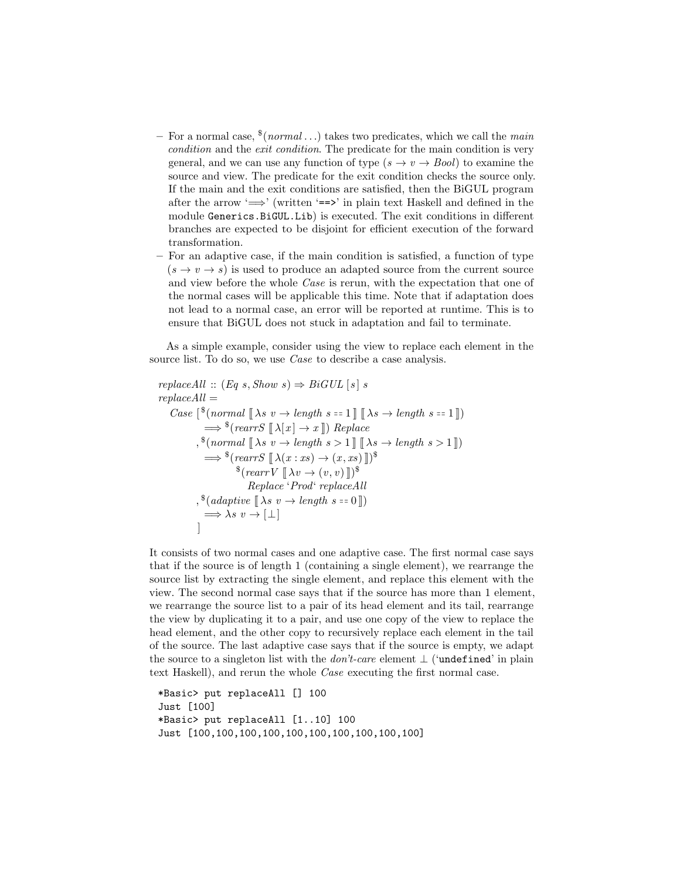- For a normal case,  $\text{\textdegree}(normal \dots)$  takes two predicates, which we call the main condition and the exit condition. The predicate for the main condition is very general, and we can use any function of type  $(s \to v \to Bool)$  to examine the source and view. The predicate for the exit condition checks the source only. If the main and the exit conditions are satisfied, then the BiGUL program after the arrow ' $\implies$ ' (written '==>' in plain text Haskell and defined in the module Generics.BiGUL.Lib) is executed. The exit conditions in different branches are expected to be disjoint for efficient execution of the forward transformation.
- For an adaptive case, if the main condition is satisfied, a function of type  $(s \to v \to s)$  is used to produce an adapted source from the current source and view before the whole Case is rerun, with the expectation that one of the normal cases will be applicable this time. Note that if adaptation does not lead to a normal case, an error will be reported at runtime. This is to ensure that BiGUL does not stuck in adaptation and fail to terminate.

As a simple example, consider using the view to replace each element in the source list. To do so, we use *Case* to describe a case analysis.

$$
replaceAll :: (Eq s, Show s) \Rightarrow BiGUL[s] s
$$
\n
$$
replaceAll =
$$
\n
$$
Case \n \begin{bmatrix}\n 8 \text{ (normal } \mathbb{I} \land s \ v \rightarrow length \ s = 1 \mathbb{I} \mathbb{I} \land s \rightarrow length \ s = 1 \mathbb{I}\n \end{bmatrix}\n \Rightarrow\n \begin{bmatrix}\n 8 \text{ (normal } \mathbb{I} \land s \ v \rightarrow length \ s = 1 \mathbb{I} \mathbb{I} \mathbb{I} \land s \rightarrow length \ s > 1 \mathbb{I} \end{bmatrix}
$$
\n
$$
\Rightarrow\n \begin{bmatrix}\n 8 \text{ (normal } \mathbb{I} \land s \ v \rightarrow length \ s > 1 \mathbb{I} \mathbb{I} \mathbb{I} \land s \rightarrow length \ s > 1 \mathbb{I}\n \end{bmatrix}\n \Rightarrow\n \begin{bmatrix}\n 8 \text{ (rarr } \mathbb{I} \land (x : xs) \rightarrow (x, xs) \mathbb{I})^s \\
 8 \text{ (rarr } \mathbb{I} \land v \rightarrow (v, v) \mathbb{I})^s \\
 0 & Replace \ (Prod \ 'replacedll\n \end{bmatrix}\n \Rightarrow\n \begin{bmatrix}\n 8 \text{ (adaptive } \mathbb{I} \land s \ v \rightarrow length \ s = 0 \mathbb{I})\n \end{bmatrix}\n \Rightarrow\n \begin{bmatrix}\n 8 \text{ (adaptive } \mathbb{I} \land s \ v \rightarrow length \ s = 0 \mathbb{I})\n \end{bmatrix}
$$

It consists of two normal cases and one adaptive case. The first normal case says that if the source is of length 1 (containing a single element), we rearrange the source list by extracting the single element, and replace this element with the view. The second normal case says that if the source has more than 1 element, we rearrange the source list to a pair of its head element and its tail, rearrange the view by duplicating it to a pair, and use one copy of the view to replace the head element, and the other copy to recursively replace each element in the tail of the source. The last adaptive case says that if the source is empty, we adapt the source to a singleton list with the *don't-care* element  $\perp$  ('undefined' in plain text Haskell), and rerun the whole Case executing the first normal case.

```
*Basic> put replaceAll [] 100
Just [100]
*Basic> put replaceAll [1..10] 100
Just [100,100,100,100,100,100,100,100,100,100]
```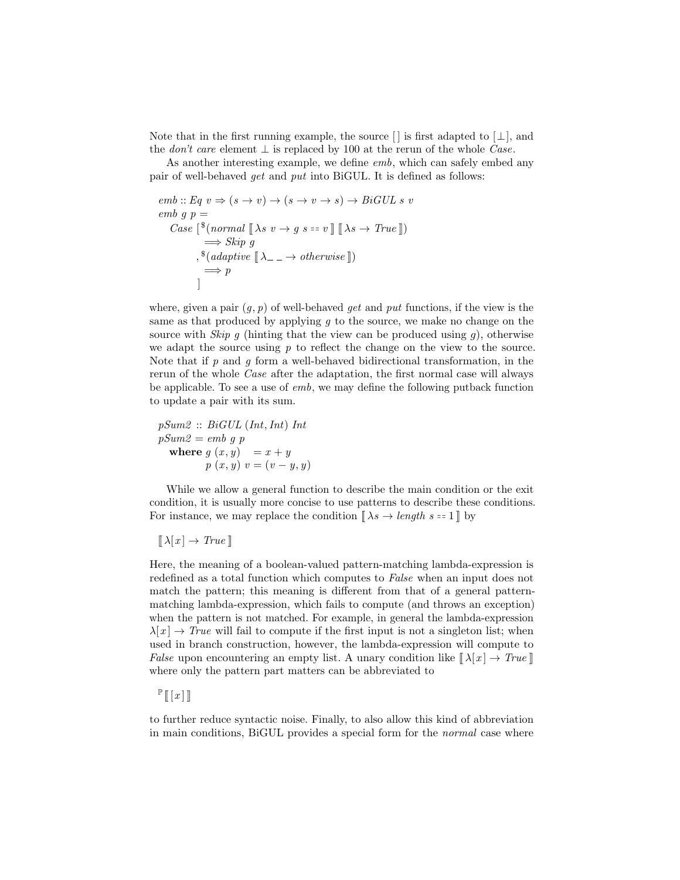Note that in the first running example, the source  $[]$  is first adapted to  $[\bot]$ , and the don't care element  $\perp$  is replaced by 100 at the rerun of the whole *Case*.

As another interesting example, we define *emb*, which can safely embed any pair of well-behaved get and put into BiGUL. It is defined as follows:

$$
emb :: Eq \, v \Rightarrow (s \to v) \to (s \to v \to s) \to BiGUL \, s \, v
$$
\n
$$
emb \, g \, p =
$$
\n
$$
Case \, \left[ \, \int^s (normal \, [\, \lambda s \, v \to g \, s = v \, ] \, [\, \, \lambda s \to True \, ] \, ] \right)
$$
\n
$$
\implies Skip \, g
$$
\n
$$
\int^s (adaptive \, [\, \lambda \_ \, - \to otherwise \, ] \, ]
$$
\n
$$
\implies p
$$

where, given a pair  $(g, p)$  of well-behaved *get* and *put* functions, if the view is the same as that produced by applying  $q$  to the source, we make no change on the source with *Skip q* (hinting that the view can be produced using q), otherwise we adapt the source using  $p$  to reflect the change on the view to the source. Note that if  $p$  and  $q$  form a well-behaved bidirectional transformation, in the rerun of the whole Case after the adaptation, the first normal case will always be applicable. To see a use of emb, we may define the following putback function to update a pair with its sum.

$$
pSum2 :: BiGUL (Int, Int) Int
$$
  

$$
pSum2 = emb g p
$$
  
where  $g (x, y) = x + y$   

$$
p (x, y) v = (v - y, y)
$$

While we allow a general function to describe the main condition or the exit condition, it is usually more concise to use patterns to describe these conditions. For instance, we may replace the condition  $\llbracket \lambda s \rightarrow \text{length } s = 1 \rrbracket$  by

 $[\![ \lambda [x ]\!] \rightarrow True \!]$ 

Here, the meaning of a boolean-valued pattern-matching lambda-expression is redefined as a total function which computes to False when an input does not match the pattern; this meaning is different from that of a general patternmatching lambda-expression, which fails to compute (and throws an exception) when the pattern is not matched. For example, in general the lambda-expression  $\lambda[x] \rightarrow True$  will fail to compute if the first input is not a singleton list; when used in branch construction, however, the lambda-expression will compute to False upon encountering an empty list. A unary condition like  $\llbracket \lambda | x \rrbracket \rightarrow True \rrbracket$ where only the pattern part matters can be abbreviated to

 $\mathbb{P}[[x]]$ 

to further reduce syntactic noise. Finally, to also allow this kind of abbreviation in main conditions, BiGUL provides a special form for the normal case where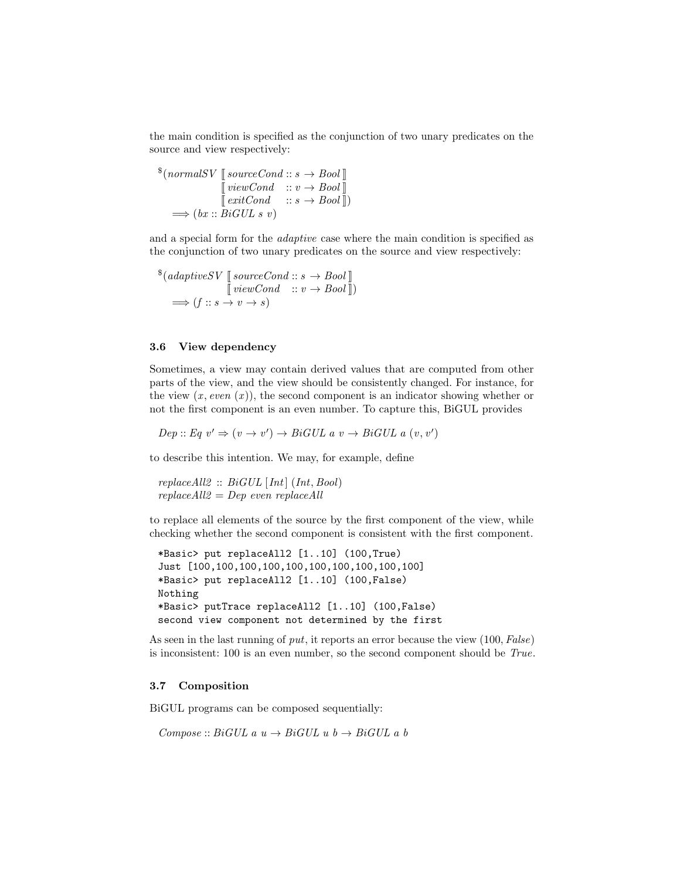the main condition is specified as the conjunction of two unary predicates on the source and view respectively:

$$
*(normalSV \text{ } [\text{sourceCond} :: s \rightarrow Bool] \text{ } [\text{viewCond} :: v \rightarrow Bool] \text{ } [\text{exitCond} :: s \rightarrow Bool] \text{ } [\text{exitCond} :: s \rightarrow Bool] \text{ } ] )
$$

$$
\Longrightarrow (bx :: BiGUL s \text{ } v)
$$

and a special form for the adaptive case where the main condition is specified as the conjunction of two unary predicates on the source and view respectively:

$$
*(adaptiveSV \text{ [sourceCond :: } s \rightarrow Bool \text{ ]})
$$
  
\n
$$
[viewCond \text{ :: } v \rightarrow Bool \text{ ]})
$$
  
\n
$$
\implies (f :: s \rightarrow v \rightarrow s)
$$

# 3.6 View dependency

Sometimes, a view may contain derived values that are computed from other parts of the view, and the view should be consistently changed. For instance, for the view  $(x, even (x))$ , the second component is an indicator showing whether or not the first component is an even number. To capture this, BiGUL provides

 $Dep :: Eq \ v' \Rightarrow (v \rightarrow v') \rightarrow BiGUL \ a \ v \rightarrow BiGUL \ a \ (v, v')$ 

to describe this intention. We may, for example, define

 $replaceAll2 :: BiGUL [Int] (Int, Bool)$  $replaceAll2 = Dep$  even replaceAll

to replace all elements of the source by the first component of the view, while checking whether the second component is consistent with the first component.

```
*Basic> put replaceAll2 [1..10] (100,True)
Just [100,100,100,100,100,100,100,100,100,100]
*Basic> put replaceAll2 [1..10] (100,False)
Nothing
*Basic> putTrace replaceAll2 [1..10] (100,False)
second view component not determined by the first
```
As seen in the last running of  $put$ , it reports an error because the view  $(100, False)$ is inconsistent: 100 is an even number, so the second component should be True.

### 3.7 Composition

BiGUL programs can be composed sequentially:

Compose :: BiGUL a  $u \rightarrow BiGUL$  u  $b \rightarrow BiGUL$  a b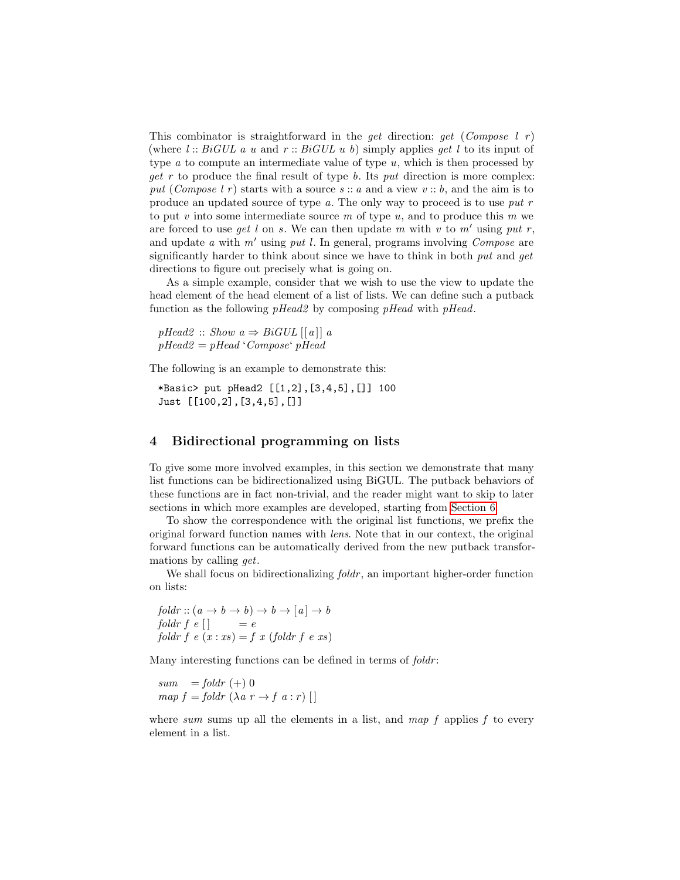This combinator is straightforward in the get direction: get (Compose l r) (where l:  $BiGUL \, a \, u$  and  $r : BiGUL \, u \, b$ ) simply applies get l to its input of type  $a$  to compute an intermediate value of type  $u$ , which is then processed by get r to produce the final result of type  $b$ . Its put direction is more complex: put (Compose l r) starts with a source  $s:: a$  and a view  $v:: b$ , and the aim is to produce an updated source of type a. The only way to proceed is to use put r to put v into some intermediate source m of type  $u$ , and to produce this m we are forced to use get l on s. We can then update m with v to m' using put r, and update a with  $m'$  using put l. In general, programs involving Compose are significantly harder to think about since we have to think in both put and get directions to figure out precisely what is going on.

As a simple example, consider that we wish to use the view to update the head element of the head element of a list of lists. We can define such a putback function as the following *pHead2* by composing *pHead* with *pHead*.

pHead2 :: Show  $a \Rightarrow BiGUL \mid [a] \mid a$  $pHead2 = pHead'Compare' pHead$ 

The following is an example to demonstrate this:

\*Basic> put pHead2 [[1,2],[3,4,5],[]] 100 Just [[100,2],[3,4,5],[]]

# <span id="page-11-0"></span>4 Bidirectional programming on lists

To give some more involved examples, in this section we demonstrate that many list functions can be bidirectionalized using BiGUL. The putback behaviors of these functions are in fact non-trivial, and the reader might want to skip to later sections in which more examples are developed, starting from [Section 6.](#page-29-0)

To show the correspondence with the original list functions, we prefix the original forward function names with lens. Note that in our context, the original forward functions can be automatically derived from the new putback transformations by calling get.

We shall focus on bidirectionalizing *foldr*, an important higher-order function on lists:

 $foldr :: (a \rightarrow b \rightarrow b) \rightarrow b \rightarrow [a] \rightarrow b$ foldr  $f e$   $\begin{bmatrix} \end{bmatrix} = e$ foldr f e  $(x : xs) = f x$  (foldr f e xs)

Many interesting functions can be defined in terms of  $foldsymbol{oldr}$ :

```
sum = foldr (+) 0map f = folder \ (\lambda a \ r \rightarrow f \ a : r) []
```
where sum sums up all the elements in a list, and map f applies f to every element in a list.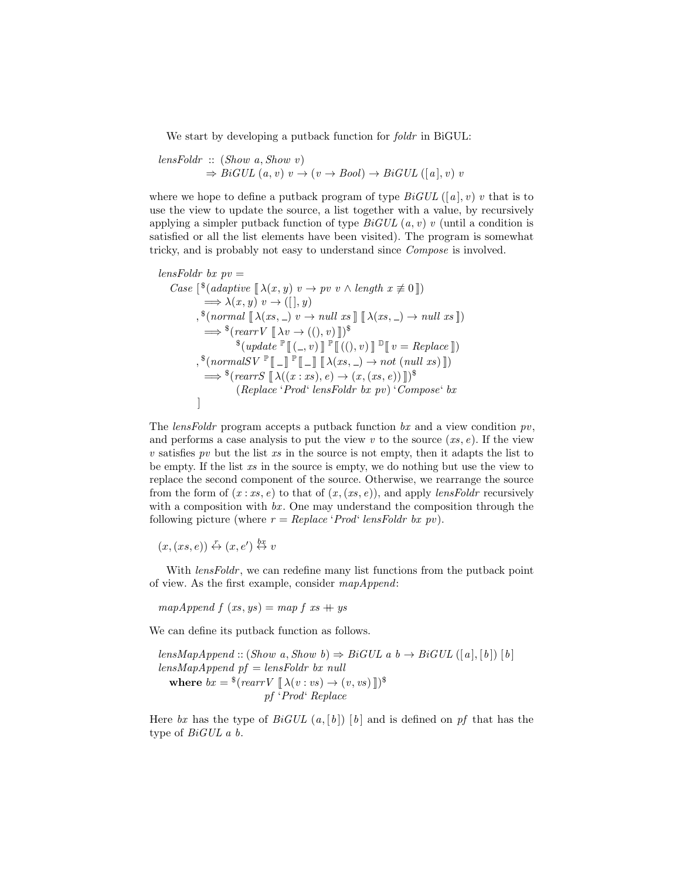We start by developing a putback function for *foldr* in BiGUL:

$$
lensFoldr :: (Show\ a, Show\ v)
$$
  
\n
$$
\Rightarrow BiGUL(a, v)\ v \rightarrow (v \rightarrow Bool) \rightarrow BiGUL([a], v)\ v
$$

where we hope to define a putback program of type  $BiGUL$  ([a], v) v that is to use the view to update the source, a list together with a value, by recursively applying a simpler putback function of type  $BiGUL$  (a, v) v (until a condition is satisfied or all the list elements have been visited). The program is somewhat tricky, and is probably not easy to understand since Compose is involved.

```
lensFoldr bx pv =Case \lceil {^{\$}}(adaptive \rceil \lambda(x, y) v \rightarrow pv v \wedge length x \not\equiv 0 \rceil)\Rightarrow \lambda(x, y) \, v \rightarrow ([] , y)\psi, \mathcal{N}(normal \in \lambda(x_{s}, \_) v \rightarrow null \; xs \in \mathbb{R} \land (xs, \_) \rightarrow null \; xs \in \mathbb{R})\Rightarrow *(\operatorname{rearr} V \upharpoonright \lambda v \rightarrow ((), v) \upharpoonright)^{\$}\{ \text{update} \, \mathbb{P} \left[ (-, v) \right] \, \mathbb{P} \left[ \left( ( \cdot, v ) \right] \right] \, \mathbb{D} \left[ v = \text{Replace} \right] \}\mathcal{L}^*(normalSV \mathbb{F}[\mathbb{I}]\mathbb{F}[\mathbb{I}]\mathbb{I}(\mathcal{X}, \mathcal{I}) \rightarrow not \ (null \ xs)]\Rightarrow *(\text{rearr } S \upharpoonright \lambda((x : xs), e) \rightarrow (x, (xs, e)) \upharpoonright)^{\$}(Replace 'Prod' lensFoldr bx pv)'Compose 'bx]
```
The *lensFoldr* program accepts a putback function  $bx$  and a view condition  $pv$ , and performs a case analysis to put the view v to the source  $(xs, e)$ . If the view  $v$  satisfies  $pv$  but the list  $xs$  in the source is not empty, then it adapts the list to be empty. If the list xs in the source is empty, we do nothing but use the view to replace the second component of the source. Otherwise, we rearrange the source from the form of  $(x : xs, e)$  to that of  $(x, (xs, e))$ , and apply *lensFoldr* recursively with a composition with  $bx$ . One may understand the composition through the following picture (where  $r = Replace' Prod' lensFoldr bx pv$ ).

 $(x,(xs,e)) \stackrel{r}{\leftrightarrow} (x,e') \stackrel{bx}{\leftrightarrow} v$ 

With *lensFoldr*, we can redefine many list functions from the putback point of view. As the first example, consider mapAppend:

 $mapAppend f (xs, ys) = map f xs + ys$ 

We can define its putback function as follows.

lensMapAppend ::  $(Show a, Show b) \Rightarrow BiGUL a b \rightarrow BiGUL ([a], [b]) [b]$  $lensMapAppend$  pf = lensFoldr bx null where  $bx =$   $*(\text{rearr}V \mathbb{R}(\{v : vs) \rightarrow (v, vs) \mathbb{R}\})$ pf 'Prod' Replace

Here bx has the type of  $BiGUL(a, [b]) [b]$  and is defined on pf that has the type of BiGUL a b.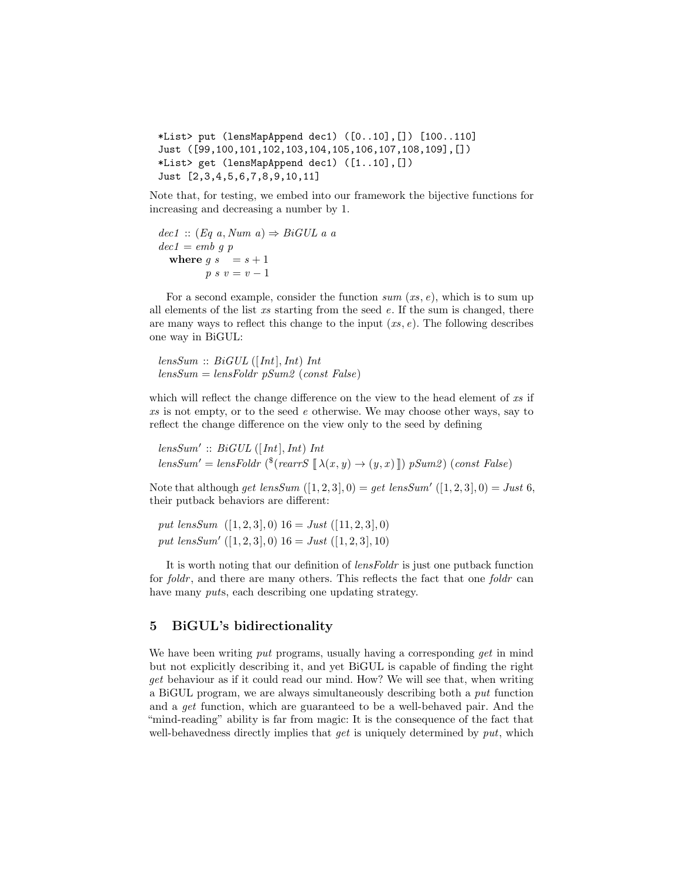```
*List> put (lensMapAppend dec1) ([0..10],[]) [100..110]
Just ([99,100,101,102,103,104,105,106,107,108,109],[])
*List> get (lensMapAppend dec1) ([1..10],[])
Just [2,3,4,5,6,7,8,9,10,11]
```
Note that, for testing, we embed into our framework the bijective functions for increasing and decreasing a number by 1.

```
dec1 :: (Eq a, Num a) \Rightarrow BiGUL a adec1 = emb q pwhere g s = s + 1p s v = v - 1
```
For a second example, consider the function  $sum (xs, e)$ , which is to sum up all elements of the list  $xs$  starting from the seed  $e$ . If the sum is changed, there are many ways to reflect this change to the input  $(xs, e)$ . The following describes one way in BiGUL:

 $lensSum :: BiGUL$  ([Int], Int) Int  $lensSum = lensFoldr pSum2 (const False)$ 

which will reflect the change difference on the view to the head element of  $xs$  if xs is not empty, or to the seed e otherwise. We may choose other ways, say to reflect the change difference on the view only to the seed by defining

 $lensSum' :: BiGUL([Int],Int) Int$  $lensSum' = lensFoldr$  ( $*(rearrS \upharpoonright \lambda(x, y) \rightarrow (y, x) \upharpoonright) pSum2$ ) (const False)

Note that although get lensSum  $([1, 2, 3], 0) = get$  lensSum'  $([1, 2, 3], 0) = Just 6$ , their putback behaviors are different:

put lensSum  $([1, 2, 3], 0)$  16 = Just  $([11, 2, 3], 0)$ put lensSum'  $([1, 2, 3], 0)$  16 = Just  $([1, 2, 3], 10)$ 

It is worth noting that our definition of lensFoldr is just one putback function for foldr, and there are many others. This reflects the fact that one foldr can have many *puts*, each describing one updating strategy.

# <span id="page-13-0"></span>5 BiGUL's bidirectionality

We have been writing *put* programs, usually having a corresponding *get* in mind but not explicitly describing it, and yet BiGUL is capable of finding the right get behaviour as if it could read our mind. How? We will see that, when writing a BiGUL program, we are always simultaneously describing both a put function and a get function, which are guaranteed to be a well-behaved pair. And the "mind-reading" ability is far from magic: It is the consequence of the fact that well-behavedness directly implies that *qet* is uniquely determined by  $put$ , which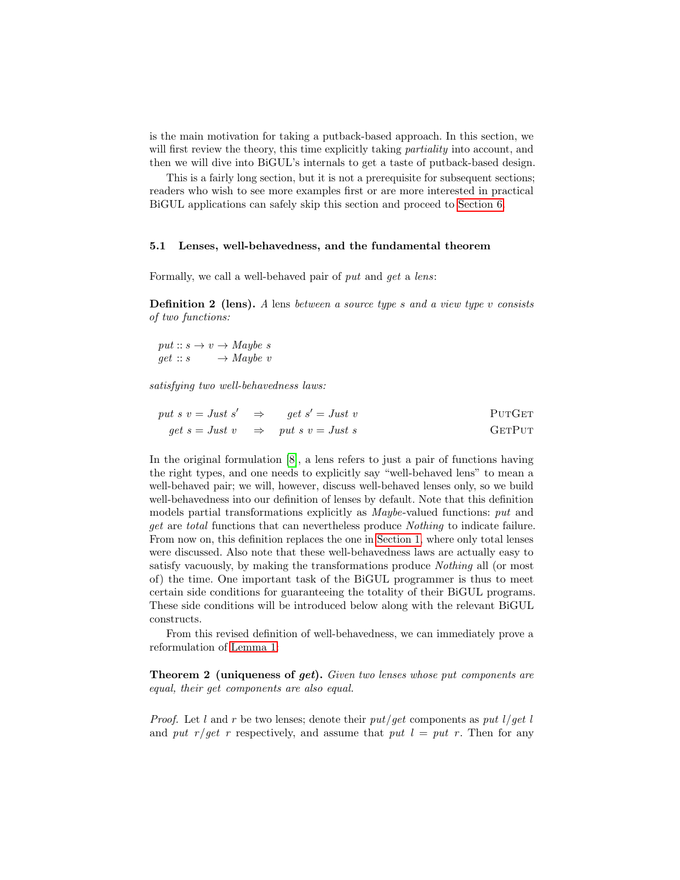is the main motivation for taking a putback-based approach. In this section, we will first review the theory, this time explicitly taking *partiality* into account, and then we will dive into BiGUL's internals to get a taste of putback-based design.

This is a fairly long section, but it is not a prerequisite for subsequent sections; readers who wish to see more examples first or are more interested in practical BiGUL applications can safely skip this section and proceed to [Section 6.](#page-29-0)

### 5.1 Lenses, well-behavedness, and the fundamental theorem

Formally, we call a well-behaved pair of put and get a lens:

**Definition 2 (lens).** A lens between a source type s and a view type v consists of two functions:

 $put :: s \rightarrow v \rightarrow Maybe s$  $get :: s \longrightarrow Maybe v$ 

satisfying two well-behavedness laws:

<span id="page-14-1"></span><span id="page-14-0"></span>

| put s $v = Just s' \Rightarrow get s' = Just v$ |                                                          | PUTGET |
|-------------------------------------------------|----------------------------------------------------------|--------|
|                                                 | $\det s = Just \ v \Rightarrow \ put \ s \ v = Just \ s$ | GETPUT |

In the original formulation [\[8\]](#page-50-0), a lens refers to just a pair of functions having the right types, and one needs to explicitly say "well-behaved lens" to mean a well-behaved pair; we will, however, discuss well-behaved lenses only, so we build well-behavedness into our definition of lenses by default. Note that this definition models partial transformations explicitly as Maybe-valued functions: put and get are total functions that can nevertheless produce Nothing to indicate failure. From now on, this definition replaces the one in [Section 1,](#page-0-3) where only total lenses were discussed. Also note that these well-behavedness laws are actually easy to satisfy vacuously, by making the transformations produce Nothing all (or most of) the time. One important task of the BiGUL programmer is thus to meet certain side conditions for guaranteeing the totality of their BiGUL programs. These side conditions will be introduced below along with the relevant BiGUL constructs.

<span id="page-14-2"></span>From this revised definition of well-behavedness, we can immediately prove a reformulation of [Lemma 1:](#page-1-1)

Theorem 2 (uniqueness of get). Given two lenses whose put components are equal, their get components are also equal.

*Proof.* Let l and r be two lenses; denote their  $put/get$  components as put  $l/get$ and put r/get r respectively, and assume that put  $l = put r$ . Then for any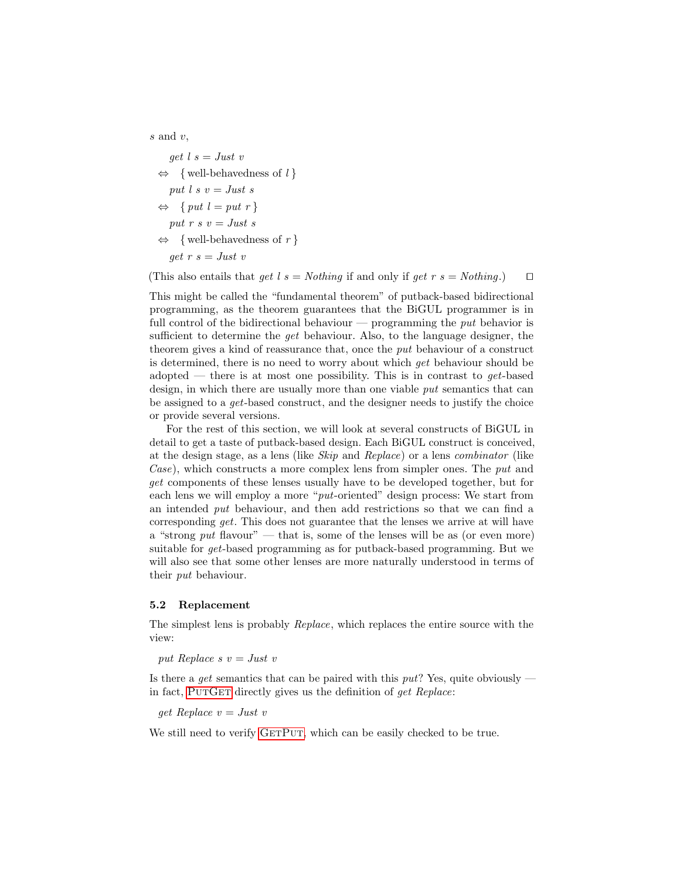$s$  and  $v$ ,

get  $l s = Just v$  $\Leftrightarrow$  { well-behavedness of l} put l s  $v = Just$  s  $\Leftrightarrow$  { put l = put r } put  $r s v = Just s$  $\Leftrightarrow$  { well-behavedness of r }  $get \; r \; s = Just \; v$ 

(This also entails that get l s = Nothing if and only if get  $r s = \text{Nothing.}$ )  $\square$ 

This might be called the "fundamental theorem" of putback-based bidirectional programming, as the theorem guarantees that the BiGUL programmer is in full control of the bidirectional behaviour — programming the put behavior is sufficient to determine the get behaviour. Also, to the language designer, the theorem gives a kind of reassurance that, once the put behaviour of a construct is determined, there is no need to worry about which get behaviour should be adopted — there is at most one possibility. This is in contrast to  $get$ -based design, in which there are usually more than one viable put semantics that can be assigned to a get-based construct, and the designer needs to justify the choice or provide several versions.

For the rest of this section, we will look at several constructs of BiGUL in detail to get a taste of putback-based design. Each BiGUL construct is conceived, at the design stage, as a lens (like Skip and Replace) or a lens combinator (like Case), which constructs a more complex lens from simpler ones. The put and get components of these lenses usually have to be developed together, but for each lens we will employ a more "put-oriented" design process: We start from an intended put behaviour, and then add restrictions so that we can find a corresponding get. This does not guarantee that the lenses we arrive at will have a "strong put flavour" — that is, some of the lenses will be as (or even more) suitable for get-based programming as for putback-based programming. But we will also see that some other lenses are more naturally understood in terms of their put behaviour.

### 5.2 Replacement

The simplest lens is probably Replace, which replaces the entire source with the view:

put Replace  $s \, v = J u s t \, v$ 

Is there a *get* semantics that can be paired with this  $put?$  Yes, quite obviously in fact, PUTGET directly gives us the definition of get Replace:

get Replace  $v = Just$ 

We still need to verify GETPUT, which can be easily checked to be true.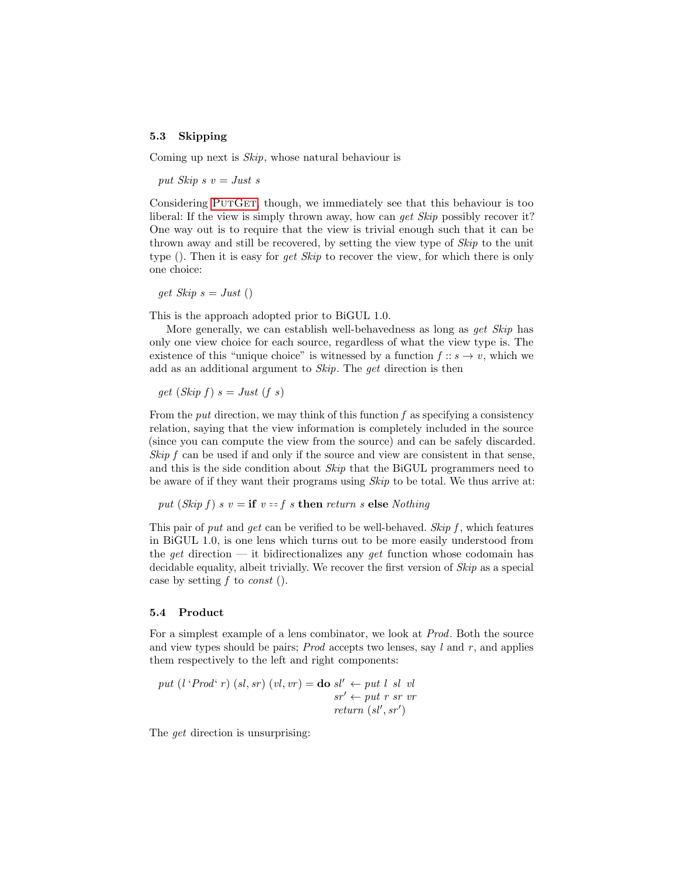### 5.3 Skipping

Coming up next is Skip, whose natural behaviour is

put Skip s  $v = Just s$ 

Considering PUTGET, though, we immediately see that this behaviour is too liberal: If the view is simply thrown away, how can *get Skip* possibly recover it? One way out is to require that the view is trivial enough such that it can be thrown away and still be recovered, by setting the view type of Skip to the unit type (). Then it is easy for *get Skip* to recover the view, for which there is only one choice:

get Skip  $s = Just$  ()

This is the approach adopted prior to BiGUL 1.0.

More generally, we can establish well-behavedness as long as get Skip has only one view choice for each source, regardless of what the view type is. The existence of this "unique choice" is witnessed by a function  $f$  ::  $s \to v$ , which we add as an additional argument to Skip. The get direction is then

get (Skip f)  $s = Just$  (f s)

From the put direction, we may think of this function  $f$  as specifying a consistency relation, saying that the view information is completely included in the source (since you can compute the view from the source) and can be safely discarded. Skip f can be used if and only if the source and view are consistent in that sense, and this is the side condition about Skip that the BiGUL programmers need to be aware of if they want their programs using Skip to be total. We thus arrive at:

put (Skip f) s  $v =$  if  $v = f$  s then return s else Nothing

This pair of put and get can be verified to be well-behaved. Skip  $f$ , which features in BiGUL 1.0, is one lens which turns out to be more easily understood from the get direction — it bidirectionalizes any get function whose codomain has decidable equality, albeit trivially. We recover the first version of Skip as a special case by setting  $f$  to *const* ().

#### 5.4 Product

For a simplest example of a lens combinator, we look at Prod. Both the source and view types should be pairs; *Prod* accepts two lenses, say  $l$  and  $r$ , and applies them respectively to the left and right components:

put  $(l'$ Prod' r)  $(sl, sr)$   $(vl, vr) =$ **do**  $sl' \leftarrow put \; l \; sl \; vl$  $sr' \leftarrow put\ r\ sr\ vr$  $return (sl',sr')$ 

The *get* direction is unsurprising: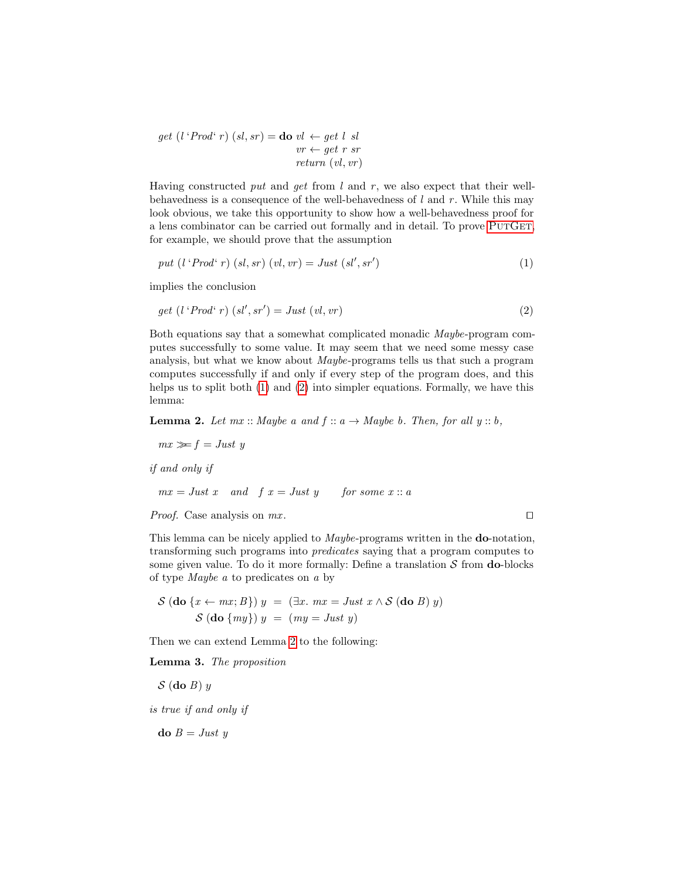$get (l'Proof r) (sl, sr) =$ **do**  $vl \leftarrow get l sl$  $vr \leftarrow get \; r \; sr$ return (vl, vr )

Having constructed put and get from l and r, we also expect that their wellbehavedness is a consequence of the well-behavedness of  $l$  and  $r$ . While this may look obvious, we take this opportunity to show how a well-behavedness proof for a lens combinator can be carried out formally and in detail. To prove PUTGET, for example, we should prove that the assumption

<span id="page-17-1"></span><span id="page-17-0"></span>
$$
put (l'Proof' r) (sl, sr) (vl, vr) = Just (sl', sr')
$$
\n
$$
(1)
$$

implies the conclusion

$$
get (l'Proof' r) (sl', sr') = Just (vl, vr)
$$
\n
$$
(2)
$$

Both equations say that a somewhat complicated monadic Maybe-program computes successfully to some value. It may seem that we need some messy case analysis, but what we know about Maybe-programs tells us that such a program computes successfully if and only if every step of the program does, and this helps us to split both  $(1)$  and  $(2)$  into simpler equations. Formally, we have this lemma:

<span id="page-17-2"></span>**Lemma 2.** Let  $mx::$  Maybe a and  $f:: a \rightarrow$  Maybe b. Then, for all  $y:: b$ ,

 $mx \gg f = Just y$ 

if and only if

 $mx = Just \; x \quad and \quad f \; x = Just \; y \qquad for \; some \; x :: a$ 

*Proof.* Case analysis on  $mx$ .

This lemma can be nicely applied to *Maybe*-programs written in the **do**-notation, transforming such programs into predicates saying that a program computes to some given value. To do it more formally: Define a translation  $S$  from **do**-blocks of type Maybe a to predicates on a by

<span id="page-17-3"></span>
$$
\mathcal{S} \left( \text{do} \{ x \leftarrow mx; B \} \right) y = \left( \exists x. \ mx = Just \ x \land \mathcal{S} \left( \text{do} \ B \right) y \right)
$$

$$
\mathcal{S} \left( \text{do} \{ my \} \right) y = \left( my = Just \ y \right)
$$

Then we can extend Lemma [2](#page-17-2) to the following:

Lemma 3. The proposition

 $S$  (do B)  $y$ 

is true if and only if

do  $B = Just y$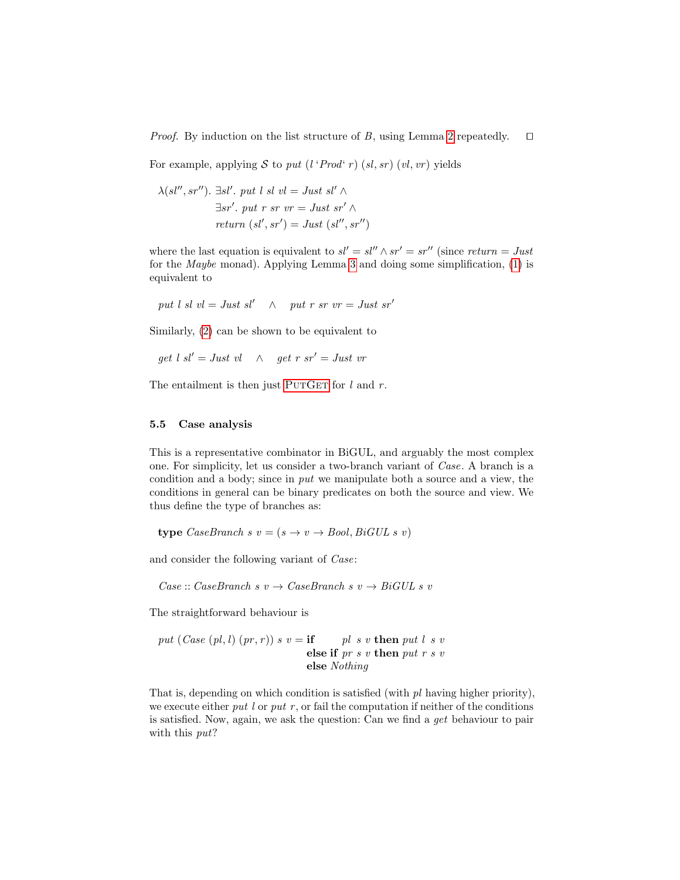*Proof.* By induction on the list structure of B, using Lemma [2](#page-17-2) repeatedly.  $\square$ 

For example, applying S to put  $(l'Proof r)$   $(sl, sr)$   $(vl, vr)$  yields

$$
\lambda(sl'', sr''). \exists sl'.\ put\ l\ sl\ vl = Just\ sl'\ \land \newline \exists sr'.\ put\ r\ sr\ vr = Just\ sr'\ \land \newline return\ (sl',sr') = Just\ (sl'',sr'')
$$

where the last equation is equivalent to  $sl' = sl'' \wedge sr' = sr''$  (since return = Just for the Maybe monad). Applying Lemma [3](#page-17-3) and doing some simplification, [\(1\)](#page-17-0) is equivalent to

put l sl vl = Just sl'  $\wedge$  put r sr vr = Just sr'

Similarly, [\(2\)](#page-17-1) can be shown to be equivalent to

 $get \; l \; sl' = Just \; vl \quad \wedge \quad get \; r \; sr' = Just \; vr$ 

The entailment is then just PUTGET for  $l$  and  $r$ .

#### 5.5 Case analysis

This is a representative combinator in BiGUL, and arguably the most complex one. For simplicity, let us consider a two-branch variant of Case. A branch is a condition and a body; since in put we manipulate both a source and a view, the conditions in general can be binary predicates on both the source and view. We thus define the type of branches as:

type  $\text{CaseBranch} s v = (s \rightarrow v \rightarrow \text{Bool}, \text{BiGUL} s v)$ 

and consider the following variant of Case:

 $Case::CaseBranch \, s \, v \rightarrow CaseBranch \, s \, v \rightarrow BiGUL \, s \, v$ 

The straightforward behaviour is

put  $(Case (pl, l) (pr, r)) s v = \mathbf{if}$  pl s v then put l s v else if pr s v then put r s v else Nothing

That is, depending on which condition is satisfied (with  $pl$  having higher priority), we execute either put l or put r, or fail the computation if neither of the conditions is satisfied. Now, again, we ask the question: Can we find a get behaviour to pair with this *put*?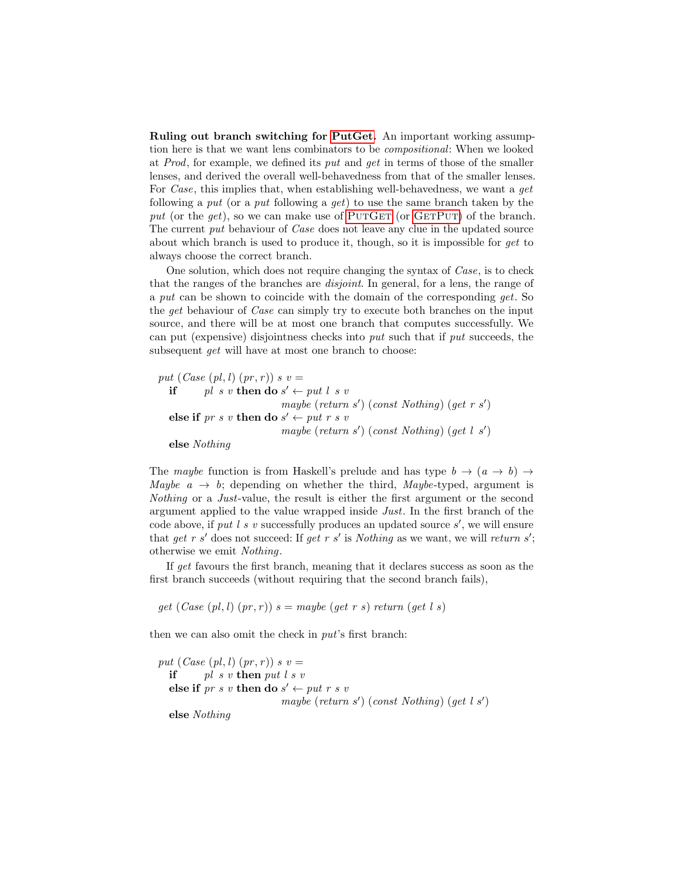Ruling out branch switching for [PutGet.](#page-14-0) An important working assumption here is that we want lens combinators to be compositional: When we looked at Prod, for example, we defined its put and get in terms of those of the smaller lenses, and derived the overall well-behavedness from that of the smaller lenses. For Case, this implies that, when establishing well-behavedness, we want a get following a put (or a put following a get) to use the same branch taken by the put (or the get), so we can make use of PUTGET (or GETPUT) of the branch. The current put behaviour of Case does not leave any clue in the updated source about which branch is used to produce it, though, so it is impossible for get to always choose the correct branch.

One solution, which does not require changing the syntax of Case, is to check that the ranges of the branches are disjoint. In general, for a lens, the range of a put can be shown to coincide with the domain of the corresponding get. So the get behaviour of Case can simply try to execute both branches on the input source, and there will be at most one branch that computes successfully. We can put (expensive) disjointness checks into put such that if put succeeds, the subsequent *get* will have at most one branch to choose:

```
put (Case (pl, l) (pr, r)) s v =if pl \ s \ v \text{ then do } s' \leftarrow put \ l \ s \ vmaybe (return s') (const Nothing) (get r s')
   else if pr s v then do s' \leftarrow put \; r \; s \; vmaybe (return s') (const Nothing) (get l s')
  else Nothing
```
The maybe function is from Haskell's prelude and has type  $b \to (a \to b) \to$ Maybe  $a \rightarrow b$ ; depending on whether the third, Maybe-typed, argument is Nothing or a Just-value, the result is either the first argument or the second argument applied to the value wrapped inside Just. In the first branch of the code above, if put l s v successfully produces an updated source  $s'$ , we will ensure that get r s' does not succeed: If get r s' is Nothing as we want, we will return s'; otherwise we emit Nothing.

If get favours the first branch, meaning that it declares success as soon as the first branch succeeds (without requiring that the second branch fails),

get (Case  $(pl, l)$   $(pr, r)$ )  $s = maybe$  (get r s) return (get l s)

then we can also omit the check in put's first branch:

```
put (Case (pl, l) (pr, r)) s v =if p \mid s \ v then put l s v
   else if pr s v then do s' \leftarrow put \; r \; s \; vmaybe (return s') (const Nothing) (get l s')
  else Nothing
```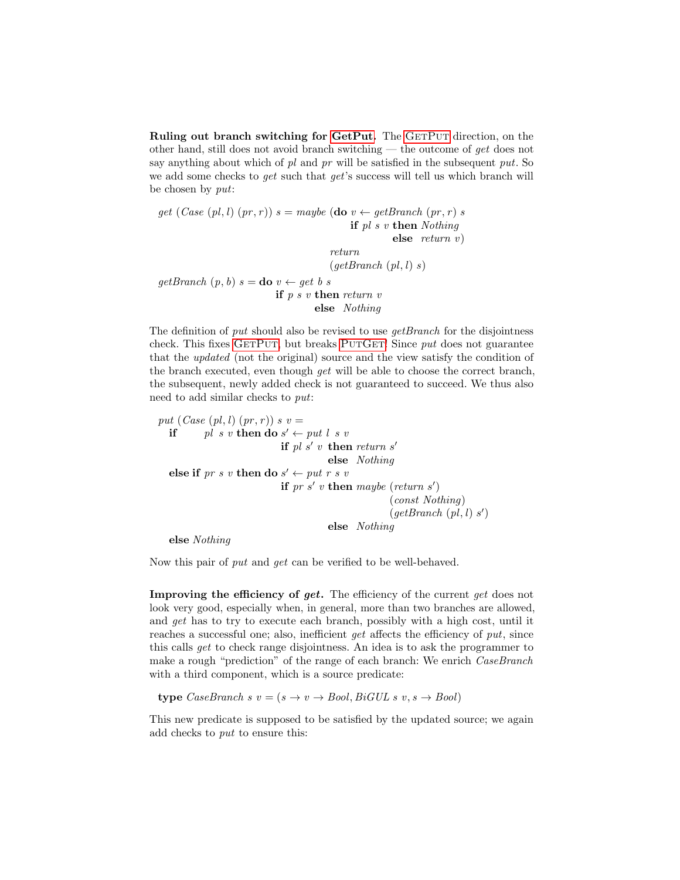Ruling out branch switching for [GetPut.](#page-14-1) The GETPUT direction, on the other hand, still does not avoid branch switching — the outcome of get does not say anything about which of  $pl$  and  $pr$  will be satisfied in the subsequent  $put$ . So we add some checks to get such that get's success will tell us which branch will be chosen by put:

get (Case (pl, l)  $(pr, r)$ )  $s = maybe$  (do  $v \leftarrow getBranch$  (pr, r) s if pl s v then Nothing else return v) return  $(getBranch (pl, l) s)$  $getBranch(p, b) s = do v \leftarrow get b s$ if  $p s v$  then return  $v$ else Nothing

The definition of put should also be revised to use  $getBranch$  for the disjointness check. This fixes  $GETPUT$ , but breaks  $PUTGET!$  Since put does not guarantee that the updated (not the original) source and the view satisfy the condition of the branch executed, even though get will be able to choose the correct branch, the subsequent, newly added check is not guaranteed to succeed. We thus also need to add similar checks to put:

put  $(Case (pl, l) (pr, r)) s v =$ if  $pl \ s \ v \text{ then do } s' \leftarrow put \ l \ s \ v$ if  $p$ l s' v then return s' else Nothing else if  $pr s v$  then do  $s' \leftarrow put \; r \; s \; v$ if pr  $s'$  v then maybe (return  $s'$ ) (const Nothing)  $(getBranch(pl, l) s')$ else Nothing

else Nothing

Now this pair of put and get can be verified to be well-behaved.

Improving the efficiency of get. The efficiency of the current get does not look very good, especially when, in general, more than two branches are allowed, and get has to try to execute each branch, possibly with a high cost, until it reaches a successful one; also, inefficient get affects the efficiency of put, since this calls get to check range disjointness. An idea is to ask the programmer to make a rough "prediction" of the range of each branch: We enrich *CaseBranch* with a third component, which is a source predicate:

type CaseBranch s  $v = (s \rightarrow v \rightarrow Bool, BiGUL \ s \ v, s \rightarrow Bool)$ 

This new predicate is supposed to be satisfied by the updated source; we again add checks to put to ensure this: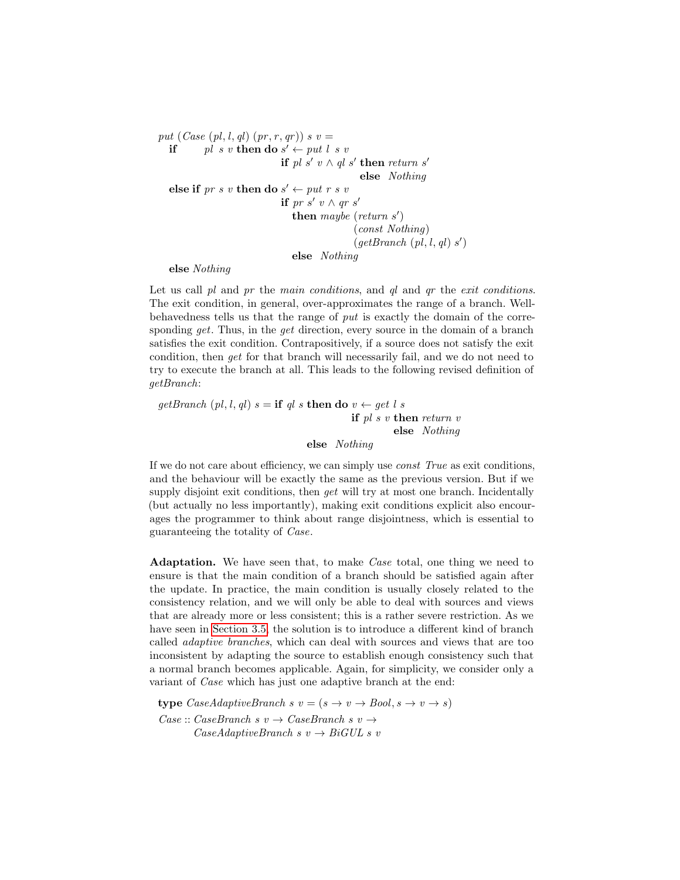put  $(Case (pl, l, ql) (pr, r, qr)) s v =$ if  $pl \ s \ v \text{ then do } s' \leftarrow put \ l \ s \ v$ if pl s'  $v \wedge q$ l s' then return s' else Nothing else if  $pr s v$  then do  $s' \leftarrow put \; r \; s \; v$ if pr  $s'$  v  $\wedge$  qr  $s'$ then maybe (return  $s'$ ) (const Nothing)  $(getBranch(pl, l, ql) s')$ else Nothing

else Nothing

Let us call  $pl$  and  $pr$  the main conditions, and  $ql$  and  $qr$  the exit conditions. The exit condition, in general, over-approximates the range of a branch. Wellbehavedness tells us that the range of put is exactly the domain of the corresponding get. Thus, in the get direction, every source in the domain of a branch satisfies the exit condition. Contrapositively, if a source does not satisfy the exit condition, then get for that branch will necessarily fail, and we do not need to try to execute the branch at all. This leads to the following revised definition of getBranch:

 $getBranch(pl, l, gl) s = \textbf{if } gl s \textbf{ then } \textbf{do } v \leftarrow get l s$ if  $p \, s \, v$  then return  $v$ else Nothing else Nothing

If we do not care about efficiency, we can simply use const True as exit conditions, and the behaviour will be exactly the same as the previous version. But if we supply disjoint exit conditions, then get will try at most one branch. Incidentally (but actually no less importantly), making exit conditions explicit also encourages the programmer to think about range disjointness, which is essential to guaranteeing the totality of Case.

Adaptation. We have seen that, to make *Case* total, one thing we need to ensure is that the main condition of a branch should be satisfied again after the update. In practice, the main condition is usually closely related to the consistency relation, and we will only be able to deal with sources and views that are already more or less consistent; this is a rather severe restriction. As we have seen in [Section 3.5,](#page-7-0) the solution is to introduce a different kind of branch called adaptive branches, which can deal with sources and views that are too inconsistent by adapting the source to establish enough consistency such that a normal branch becomes applicable. Again, for simplicity, we consider only a variant of *Case* which has just one adaptive branch at the end:

type  $\text{CaseAdaptive Branch } s \ v = (s \rightarrow v \rightarrow \text{Bool}, s \rightarrow v \rightarrow s)$  $Case::CaseBranch \, s \, v \rightarrow CaseBranch \, s \, v \rightarrow$  $CaseAdaptive Branch\ s\ v\rightarrow BiGUL\ s\ v$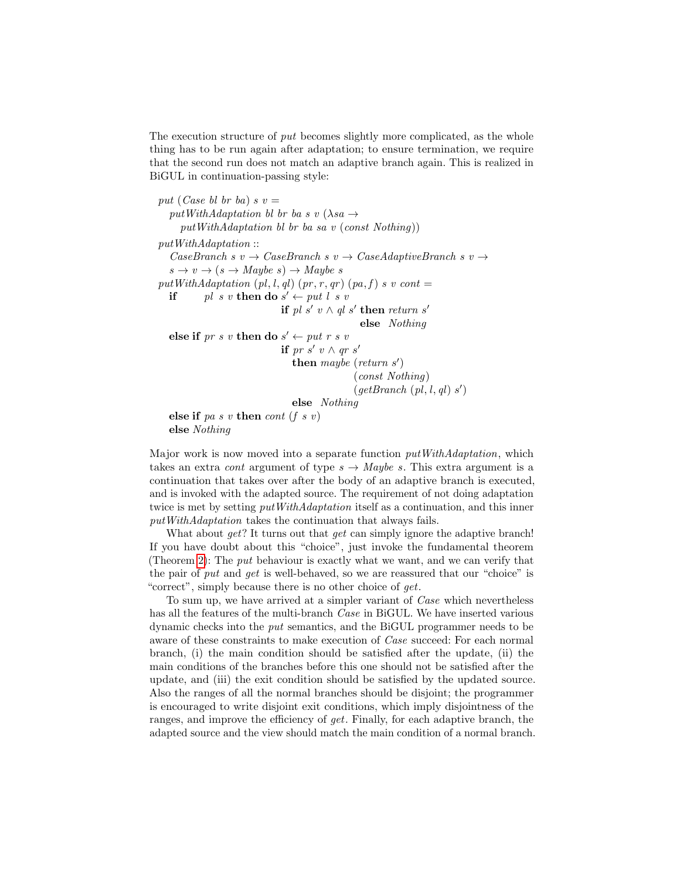The execution structure of *put* becomes slightly more complicated, as the whole thing has to be run again after adaptation; to ensure termination, we require that the second run does not match an adaptive branch again. This is realized in BiGUL in continuation-passing style:

put (Case bl br ba) s  $v =$ putWithAdaptation bl br ba s v  $(\lambda s a \rightarrow$ putWithAdaptation bl br ba sa v (const Nothing)) putWithAdaptation :: CaseBranch s  $v \to CaseBranch \ s \ v \to CaseAdaptive Branch \ s \ v \to$  $s \to v \to (s \to \text{Maybe } s) \to \text{Maybe } s$ putWithAdaptation  $(pl, l, gl)$   $(pr, r, qr)$   $(pa, f)$  s v cont = if  $pl \ s \ v \text{ then do } s' \leftarrow put \ l \ s \ v$ if pl s'  $v \wedge q$ l s' then return s' else Nothing else if  $pr s v$  then do  $s' \leftarrow put \; r \; s \; v$ if pr s' v  $\wedge$  qr s' then maybe (return  $s'$ ) (const Nothing)  $(getBranch(pl, l, ql) s')$ else Nothing else if pa s v then cont  $(f \, s \, v)$ else Nothing

Major work is now moved into a separate function  $putWithAdaptation$ , which takes an extra *cont* argument of type  $s \to \text{Maybe } s$ . This extra argument is a continuation that takes over after the body of an adaptive branch is executed, and is invoked with the adapted source. The requirement of not doing adaptation twice is met by setting *put WithAdaptation* itself as a continuation, and this inner put WithAdaptation takes the continuation that always fails.

What about  $get$ ? It turns out that  $get$  can simply ignore the adaptive branch! If you have doubt about this "choice", just invoke the fundamental theorem (Theorem [2\)](#page-14-2): The put behaviour is exactly what we want, and we can verify that the pair of put and get is well-behaved, so we are reassured that our "choice" is "correct", simply because there is no other choice of get.

To sum up, we have arrived at a simpler variant of Case which nevertheless has all the features of the multi-branch *Case* in BiGUL. We have inserted various dynamic checks into the put semantics, and the BiGUL programmer needs to be aware of these constraints to make execution of Case succeed: For each normal branch, (i) the main condition should be satisfied after the update, (ii) the main conditions of the branches before this one should not be satisfied after the update, and (iii) the exit condition should be satisfied by the updated source. Also the ranges of all the normal branches should be disjoint; the programmer is encouraged to write disjoint exit conditions, which imply disjointness of the ranges, and improve the efficiency of get. Finally, for each adaptive branch, the adapted source and the view should match the main condition of a normal branch.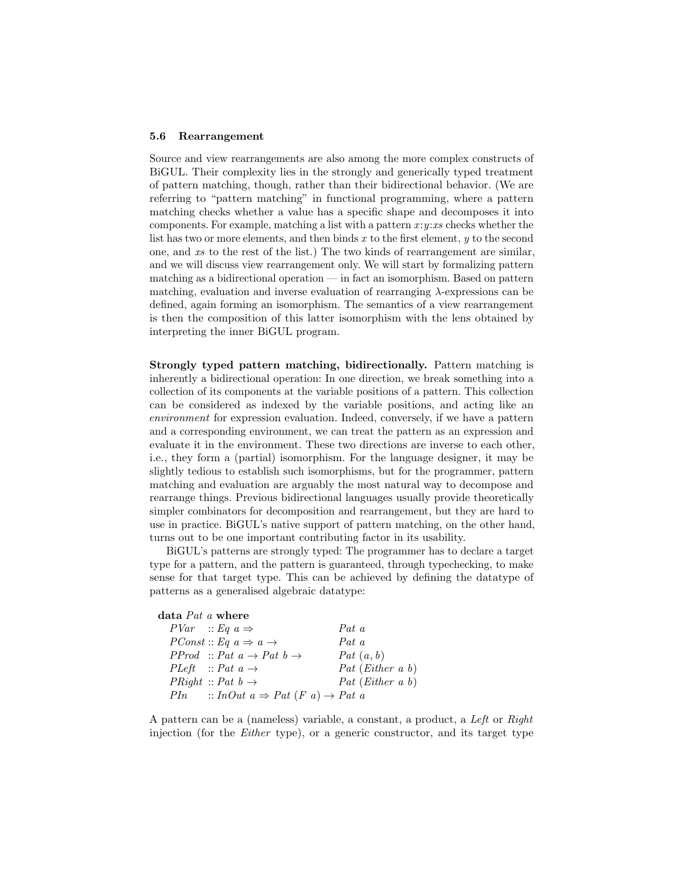#### <span id="page-23-0"></span>5.6 Rearrangement

Source and view rearrangements are also among the more complex constructs of BiGUL. Their complexity lies in the strongly and generically typed treatment of pattern matching, though, rather than their bidirectional behavior. (We are referring to "pattern matching" in functional programming, where a pattern matching checks whether a value has a specific shape and decomposes it into components. For example, matching a list with a pattern  $x:y:x$  checks whether the list has two or more elements, and then binds  $x$  to the first element,  $y$  to the second one, and xs to the rest of the list.) The two kinds of rearrangement are similar, and we will discuss view rearrangement only. We will start by formalizing pattern matching as a bidirectional operation — in fact an isomorphism. Based on pattern matching, evaluation and inverse evaluation of rearranging  $\lambda$ -expressions can be defined, again forming an isomorphism. The semantics of a view rearrangement is then the composition of this latter isomorphism with the lens obtained by interpreting the inner BiGUL program.

Strongly typed pattern matching, bidirectionally. Pattern matching is inherently a bidirectional operation: In one direction, we break something into a collection of its components at the variable positions of a pattern. This collection can be considered as indexed by the variable positions, and acting like an environment for expression evaluation. Indeed, conversely, if we have a pattern and a corresponding environment, we can treat the pattern as an expression and evaluate it in the environment. These two directions are inverse to each other, i.e., they form a (partial) isomorphism. For the language designer, it may be slightly tedious to establish such isomorphisms, but for the programmer, pattern matching and evaluation are arguably the most natural way to decompose and rearrange things. Previous bidirectional languages usually provide theoretically simpler combinators for decomposition and rearrangement, but they are hard to use in practice. BiGUL's native support of pattern matching, on the other hand, turns out to be one important contributing factor in its usability.

BiGUL's patterns are strongly typed: The programmer has to declare a target type for a pattern, and the pattern is guaranteed, through typechecking, to make sense for that target type. This can be achieved by defining the datatype of patterns as a generalised algebraic datatype:

#### data Pat a where

| $PVar :: Eq \ a \Rightarrow$                             | Pat a                |
|----------------------------------------------------------|----------------------|
| $PConst :: Eq \ a \Rightarrow a \rightarrow$             | Pat a                |
| <i>PProd</i> :: Pat $a \rightarrow Pat b \rightarrow$    | Pat $(a, b)$         |
| $PLeft :: Pat\ a \rightarrow$                            | $Pat (Either\ a\ b)$ |
| $PRight :: Pat b \rightarrow$                            | $Pat (Either\ a\ b)$ |
| $PIn :: InOut a \Rightarrow Pat (F a) \rightarrow Pat a$ |                      |

A pattern can be a (nameless) variable, a constant, a product, a Left or Right injection (for the Either type), or a generic constructor, and its target type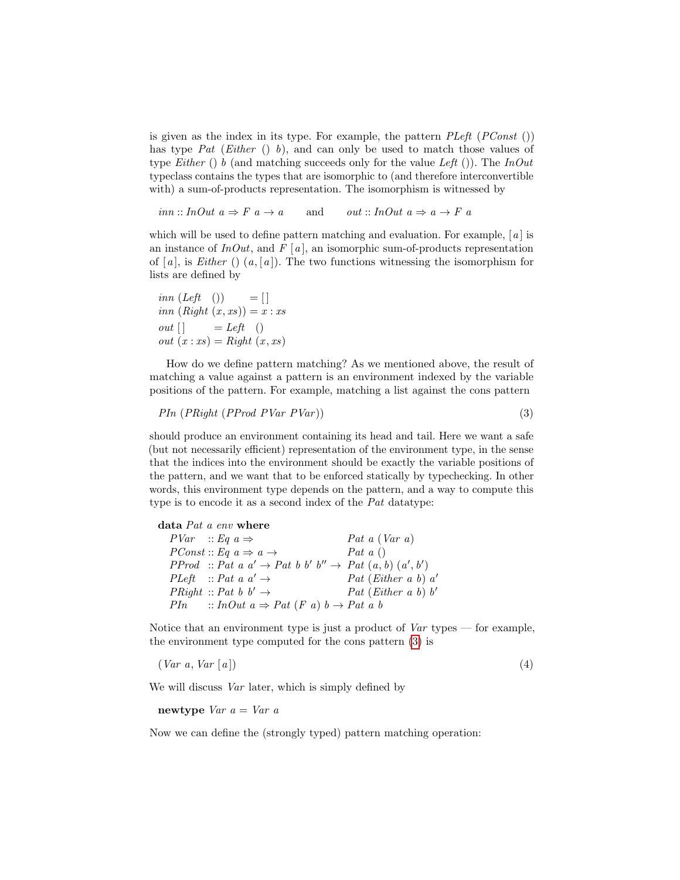is given as the index in its type. For example, the pattern  $PLeft$  ( $PConst$ )) has type Pat (Either () b), and can only be used to match those values of type Either () b (and matching succeeds only for the value Left ()). The InOut typeclass contains the types that are isomorphic to (and therefore interconvertible with) a sum-of-products representation. The isomorphism is witnessed by

 $\text{inn} :: \text{InOut } a \Rightarrow F \ a \rightarrow a \qquad \text{and} \qquad \text{out} :: \text{InOut } a \Rightarrow a \rightarrow F \ a$ 

which will be used to define pattern matching and evaluation. For example, [a] is an instance of  $InOut$ , and  $F[a]$ , an isomorphic sum-of-products representation of [a], is *Either* ()  $(a, [a])$ . The two functions witnessing the isomorphism for lists are defined by

 $\text{inn} \left( \text{Left} \quad () \right) \quad = \left[ \right]$ inn  $(Right(x, xs)) = x : xs$  $out \lbrack \rbrack \qquad = Left \lbrack \rbrack$  $out(x : xs) = Right(x, xs)$ 

How do we define pattern matching? As we mentioned above, the result of matching a value against a pattern is an environment indexed by the variable positions of the pattern. For example, matching a list against the cons pattern

<span id="page-24-0"></span> $PIn (PRight (PProd PVar PVar))$  (3)

should produce an environment containing its head and tail. Here we want a safe (but not necessarily efficient) representation of the environment type, in the sense that the indices into the environment should be exactly the variable positions of the pattern, and we want that to be enforced statically by typechecking. In other words, this environment type depends on the pattern, and a way to compute this type is to encode it as a second index of the Pat datatype:

```
data Pat a env where
  PVar :: Eq a \Rightarrow Pat a (Var a)
  PConst :: Eq \, a \Rightarrow a \rightarrow Pat \, a \, (PProd :: Pat a a' \rightarrow Pat \, b \, b' \, b'' \rightarrow Pat \, (a, b) \, (a', b')PLeft :: Pat a a' \rightarrow Pat (Either a b) a'PRight :: Pat \; b \; b' \rightarrowPat (Either a b) b'PIn :: InOut a \Rightarrow Pat(F a) b \rightarrow Pat a b
```
Notice that an environment type is just a product of  $Var$  types — for example, the environment type computed for the cons pattern [\(3\)](#page-24-0) is

<span id="page-24-1"></span> $(Var \, a, Var \, [a])$  (4)

We will discuss *Var* later, which is simply defined by

newtype  $Var a = Var a$ 

Now we can define the (strongly typed) pattern matching operation: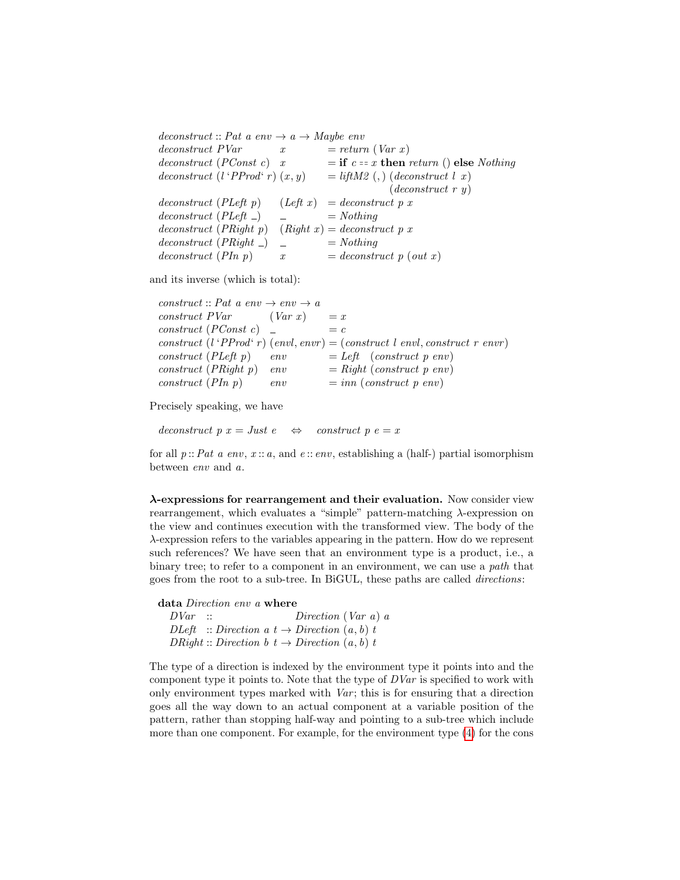$deconstruct :: Pat\ a\ env \rightarrow a \rightarrow Maybe\ env$ deconstruct  $PVar$   $x = return (Var x)$ deconstruct (PConst c) x = if c == x then return () else Nothing deconstruct  $(l'PProd' r) (x, y) = liftM2 (,) (deconstruct l x)$  $(deconstruct r y)$ deconstruct (PLeft p) (Left x) = deconstruct p x  $deconstruct (PLeft \_)$  = Nothing deconstruct (PRight p) (Right x) = deconstruct p x  $deconstruct (PRight \_)$  = Nothing deconstruct  $(Pln p)$   $x = deconstruct p (out x)$ 

and its inverse (which is total):

| $construct :: Pat\ a\ env \rightarrow env \rightarrow a$ |     |                                                                                                                         |
|----------------------------------------------------------|-----|-------------------------------------------------------------------------------------------------------------------------|
| construct $PVar$ $(Var x) = x$                           |     |                                                                                                                         |
| $construct (PConst c)$ $-$                               |     | $= c$                                                                                                                   |
|                                                          |     | construct $(l \nvert PProd \nvert r)$ $(envl, envr) = (construct \nvert l \nvert envl, construct \nvert r \nvert envr)$ |
| construct (PLeft p)                                      | env | $= Left$ (construct p env)                                                                                              |
| construct (PRight p)                                     | env | $=$ Right (construct p env)                                                                                             |
| construct (PIn p)                                        | env | $=$ inn (construct p env)                                                                                               |

Precisely speaking, we have

deconstruct p  $x = Just e \Leftrightarrow construct p e = x$ 

for all  $p::Pat \ a \ env, x:: a$ , and  $e::env$ , establishing a (half-) partial isomorphism between env and a.

λ-expressions for rearrangement and their evaluation. Now consider view rearrangement, which evaluates a "simple" pattern-matching λ-expression on the view and continues execution with the transformed view. The body of the λ-expression refers to the variables appearing in the pattern. How do we represent such references? We have seen that an environment type is a product, i.e., a binary tree; to refer to a component in an environment, we can use a path that goes from the root to a sub-tree. In BiGUL, these paths are called directions:

data Direction env a where  $DVar$  ::  $Direction (Var a) a$ 

 $DLeft$  :: Direction a  $t \rightarrow Direction (a, b)$  t DRight :: Direction  $b \trightarrow$  Direction  $(a, b) t$ 

The type of a direction is indexed by the environment type it points into and the component type it points to. Note that the type of DVar is specified to work with only environment types marked with  $Var$ ; this is for ensuring that a direction goes all the way down to an actual component at a variable position of the pattern, rather than stopping half-way and pointing to a sub-tree which include more than one component. For example, for the environment type [\(4\)](#page-24-1) for the cons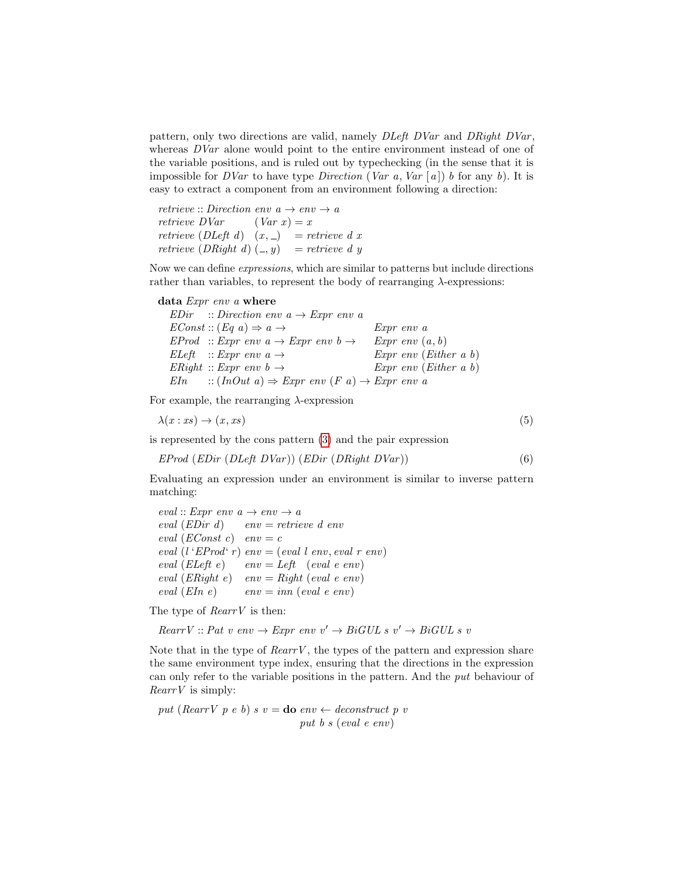pattern, only two directions are valid, namely *DLeft DVar* and *DRight DVar*, whereas *DVar* alone would point to the entire environment instead of one of the variable positions, and is ruled out by typechecking (in the sense that it is impossible for DVar to have type Direction (Var a, Var [a]) b for any b). It is easy to extract a component from an environment following a direction:

retrieve :: Direction env  $a \rightarrow env \rightarrow a$ retrieve  $DVar$   $(Var x) = x$ retrieve (DLeft d)  $(x, )$  = retrieve d x retrieve (DRight d)  $($ , y) = retrieve d y

Now we can define expressions, which are similar to patterns but include directions rather than variables, to represent the body of rearranging  $\lambda$ -expressions:

#### data Expr env a where

 $EDir$  :: Direction env  $a \rightarrow Expr$  env a  $EConst::(Eq a) \Rightarrow a \rightarrow \qquad \qquad Expr \text{ } env a$ EProd :: Expr env  $a \to E$ xpr env  $b \to E$ xpr env  $(a, b)$  $ELeft$  :: Expr env  $a \rightarrow$  Expr env (Either a b)  $ERight :: Expr env b \rightarrow \qquad \qquad \text{Expr env (Either a b)}$  $EIn$  ::  $(InOut a) \Rightarrow Expr \text{ env } (F a) \rightarrow Expr \text{ env } a$ 

For example, the rearranging  $\lambda$ -expression

<span id="page-26-0"></span> $\lambda(x:xs) \to (x, xs)$  (5)

is represented by the cons pattern [\(3\)](#page-24-0) and the pair expression

<span id="page-26-1"></span> $EProd (EDir (DLeft DVar)) (EDir (DRight DVar))$  (6)

Evaluating an expression under an environment is similar to inverse pattern matching:

 $eval :: Expr env a \rightarrow env \rightarrow a$  $eval (EDir d)$  env = retrieve d env eval  $(EConst\ c)\ \ env = c$ eval (l'EProd' r) en $v = (eval \; l \; env, eval \; r \; env)$  $eval (ELeft e)$   $env = Left (eval e env)$ eval (ERight e) env = Right (eval e env)  $eval(EIn e)$  env = inn (eval e env)

The type of  $RearrV$  is then:

 $RearrV :: Pat\ v\ env \rightarrow Expr\ env\ v' \rightarrow BiGUL\ s\ v' \rightarrow BiGUL\ s\ v$ 

Note that in the type of  $Reary$ , the types of the pattern and expression share the same environment type index, ensuring that the directions in the expression can only refer to the variable positions in the pattern. And the put behaviour of  $RearrV$  is simply:

put (RearrV p e b) s v = do env  $\leftarrow$  deconstruct p v put b s (eval e env)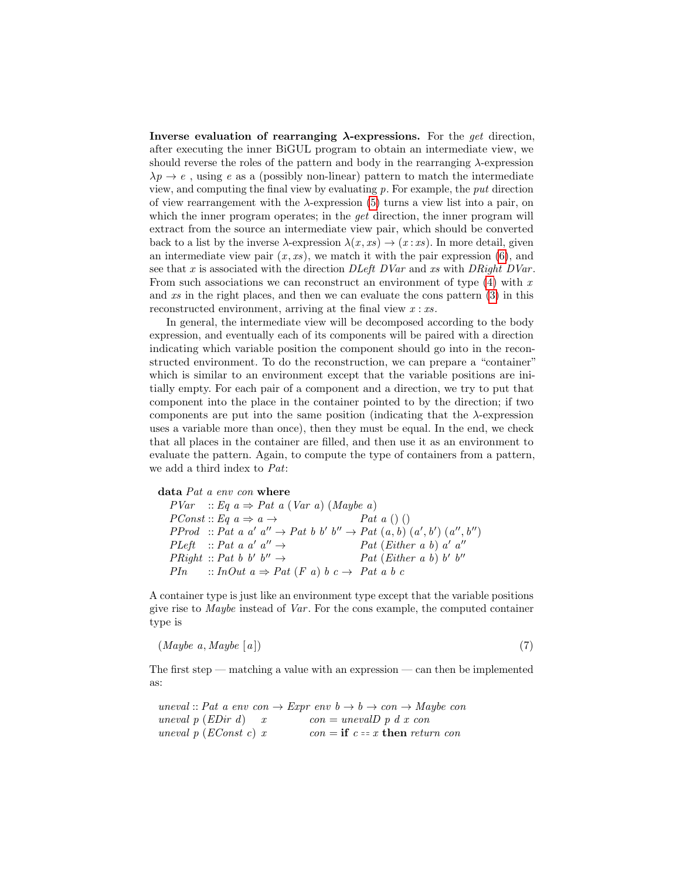Inverse evaluation of rearranging  $\lambda$ -expressions. For the *get* direction, after executing the inner BiGUL program to obtain an intermediate view, we should reverse the roles of the pattern and body in the rearranging  $\lambda$ -expression  $\lambda p \to e$ , using e as a (possibly non-linear) pattern to match the intermediate view, and computing the final view by evaluating  $p$ . For example, the put direction of view rearrangement with the  $\lambda$ -expression [\(5\)](#page-26-0) turns a view list into a pair, on which the inner program operates; in the *get* direction, the inner program will extract from the source an intermediate view pair, which should be converted back to a list by the inverse  $\lambda$ -expression  $\lambda(x, xs) \to (x : xs)$ . In more detail, given an intermediate view pair  $(x, xs)$ , we match it with the pair expression  $(6)$ , and see that x is associated with the direction DLeft DVar and xs with DRight DVar. From such associations we can reconstruct an environment of type  $(4)$  with x and xs in the right places, and then we can evaluate the cons pattern [\(3\)](#page-24-0) in this reconstructed environment, arriving at the final view  $x : xs$ .

In general, the intermediate view will be decomposed according to the body expression, and eventually each of its components will be paired with a direction indicating which variable position the component should go into in the reconstructed environment. To do the reconstruction, we can prepare a "container" which is similar to an environment except that the variable positions are initially empty. For each pair of a component and a direction, we try to put that component into the place in the container pointed to by the direction; if two components are put into the same position (indicating that the  $\lambda$ -expression uses a variable more than once), then they must be equal. In the end, we check that all places in the container are filled, and then use it as an environment to evaluate the pattern. Again, to compute the type of containers from a pattern, we add a third index to Pat:

#### data Pat a env con where

 $PVar$  :: Eq  $a \Rightarrow Pat \ a \ (Var \ a) \ (Maybe \ a)$  $PConst :: Eq \, a \Rightarrow a \rightarrow Pat \, a \, () \, ()$ PProd :: Pat a a' a''  $\rightarrow$  Pat b b' b''  $\rightarrow$  Pat  $(a, b)$   $(a', b')$   $(a'', b'')$  $PLeft$  :: Pat a a' a''  $\rightarrow$  $\mu'' \rightarrow$  Pat (Either a b) a' a''  $PRight :: Pat b b' b$  $\mu'' \rightarrow$  Pat (Either a b) b' b'' PIn :: InOut  $a \Rightarrow Pat(F a) b c \rightarrow Pat a b c$ 

<span id="page-27-0"></span>A container type is just like an environment type except that the variable positions give rise to *Maybe* instead of  $Var$ . For the cons example, the computed container type is

$$
(Maybe\ a, Maybe\ [a])\tag{7}
$$

The first step — matching a value with an expression — can then be implemented as:

```
uneval :: Pat a env con \rightarrow Expr env b \rightarrow b \rightarrow con \rightarrow Maybe con
uneval p (EDir\ d) x con = unevalD p d x con
uneval p (EConst c) x con = if c == x then return con
```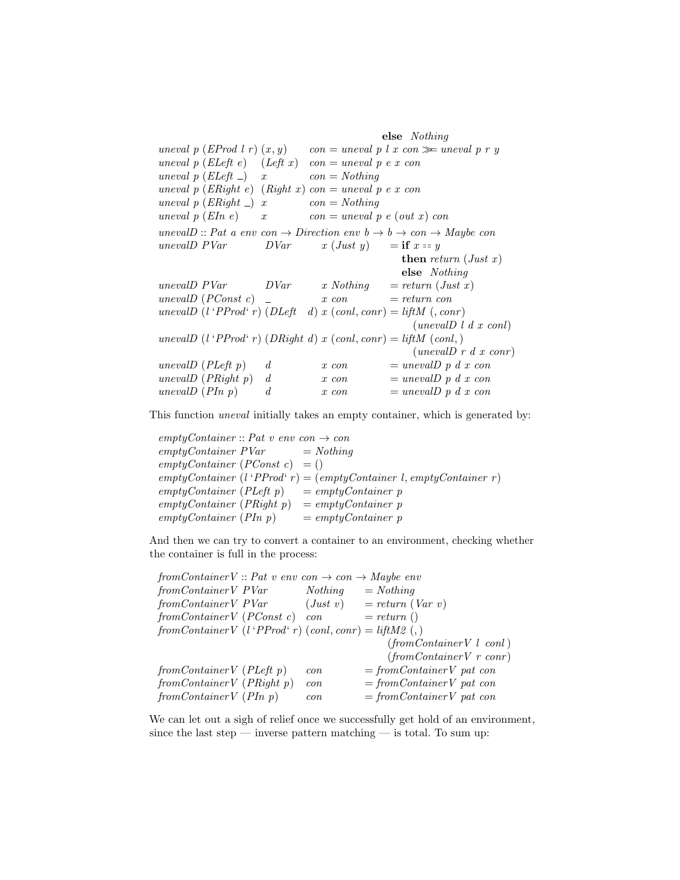else Nothing uneval p (EProd l r)  $(x, y)$  con = uneval p l x con  $\gg$  uneval p r y uneval  $p$  (ELeft e) (Left x) con = uneval  $p$  e x con uneval p (ELeft  $\Box$ ) x con = Nothing uneval p (ERight e) (Right x) con = uneval p e x con uneval p ( $ERight \_$ ) x  $con = Nothing$ uneval  $p(EIn e)$  x con = uneval  $p e(out x)$  con unevalD :: Pat a env con  $\rightarrow$  Direction env  $b \rightarrow b \rightarrow con \rightarrow$  Maybe con unevalD PVar  $DVar$   $\qquad x \,(Just \, y) = \mathbf{if} \, x = y$ then return  $(Just\ x)$ else Nothing unevalD PVar  $DVar$  x Nothing = return (Just x) unevalD  $(PConst\ c)$   $\qquad \qquad x\ con$   $= return\ con$ unevalD  $(l$  'PProd' r)  $(DLeft d) x (conl, conv) = liftM (coml)$  $(unevalD \, l \, d \, x \; conl)$ unevalD  $(l$  'PProd' r)  $(DRight d)$  x  $(conl, conr) = liftM (conl, )$  $(unevalD \rightharpoonup d \rightharpoondown a \rightharpoondown d$ unevalD (PLeft p) d  $x$  con = unevalD p d x con unevalD (PRight p) d  $x$  con = unevalD p d x con unevalD (PIn p) d  $x$  con = unevalD p d x con

This function uneval initially takes an empty container, which is generated by:

 $emptyContainer :: Pat \ v \ env \ con \rightarrow con$  $emptyContainer$   $PVar$  = Nothing  $emptyContainer (PConst c) = ()$  $emptyContainer (l'PProd' r) = (emptyContainer l, emptyContainer r)$  $emptyContainer (PLeft p) = emptyContainer p$  $emptyContainer (PRight p) = emptyContainer p$  $emptyContainer (PIn p) = emptyContainer p$ 

And then we can try to convert a container to an environment, checking whether the container is full in the process:

| $fromContainerV :: Pat \ v \ env \ con \rightarrow con \rightarrow Maybe \ env$ |             |                              |
|---------------------------------------------------------------------------------|-------------|------------------------------|
| $from Container V$ $PVar$                                                       | Nothing     | $= \text{Nothing}$           |
| $from Container V$ $PVar$                                                       | $(Just\ v)$ | $= return (Var v)$           |
| from Container V (PConst c)                                                     | con         | $= return ()$                |
| from Container V (l'PProd'r) $(\text{conl}, \text{conr}) = \text{liftM2}$ (,)   |             |                              |
|                                                                                 |             | $(fromContainerV$ l conl)    |
|                                                                                 |             | $(fromContainerV$ r conr)    |
| from ContainerV (PLeft p)                                                       | con         | $= from Container V$ pat con |
| from ContainerV (PRight p)                                                      | con         | $= from Container V$ pat con |
| $from ContainerV$ (PIn p)                                                       | con         | $= from Container V$ pat con |
|                                                                                 |             |                              |

We can let out a sigh of relief once we successfully get hold of an environment, since the last step — inverse pattern matching — is total. To sum up: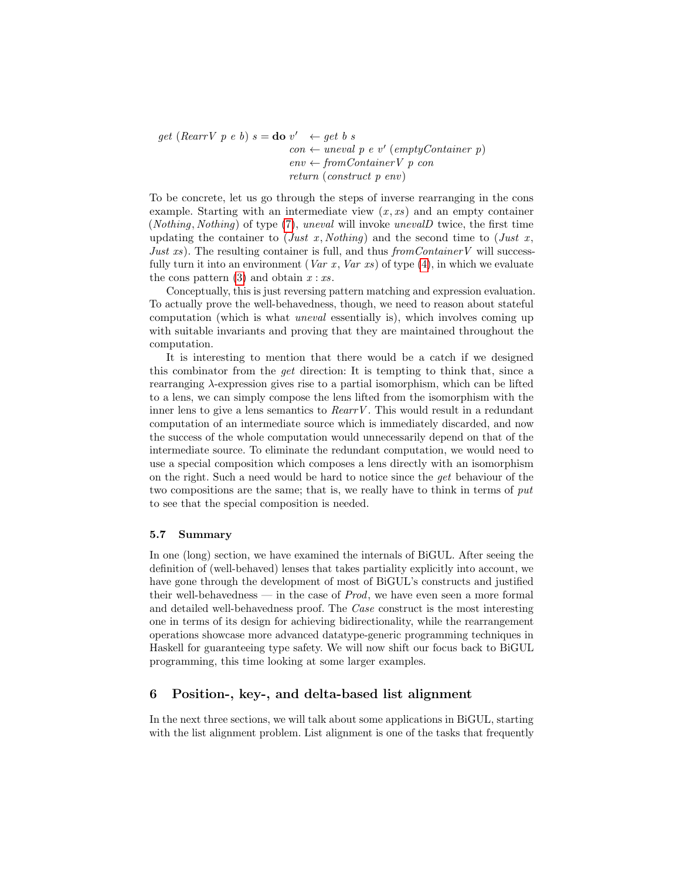$get (RearrV p e b) s =$ **do**  $v' \leftarrow get b s$  $con \leftarrow$  uneval p e v' (emptyContainer p)  $env \leftarrow fromContainer V$  p con

return (construct p env)

To be concrete, let us go through the steps of inverse rearranging in the cons example. Starting with an intermediate view  $(x, xs)$  and an empty container (*Nothing*, *Nothing*) of type [\(7\)](#page-27-0), uneval will invoke unevalD twice, the first time updating the container to  $(Just\ x, Nothing)$  and the second time to  $(Just\ x,$ *Just xs*). The resulting container is full, and thus  $fromContainerV$  will successfully turn it into an environment (*Var x, Var xs*) of type  $(4)$ , in which we evaluate the cons pattern  $(3)$  and obtain  $x : xs$ .

Conceptually, this is just reversing pattern matching and expression evaluation. To actually prove the well-behavedness, though, we need to reason about stateful computation (which is what uneval essentially is), which involves coming up with suitable invariants and proving that they are maintained throughout the computation.

It is interesting to mention that there would be a catch if we designed this combinator from the get direction: It is tempting to think that, since a rearranging  $\lambda$ -expression gives rise to a partial isomorphism, which can be lifted to a lens, we can simply compose the lens lifted from the isomorphism with the inner lens to give a lens semantics to  $RearrV$ . This would result in a redundant computation of an intermediate source which is immediately discarded, and now the success of the whole computation would unnecessarily depend on that of the intermediate source. To eliminate the redundant computation, we would need to use a special composition which composes a lens directly with an isomorphism on the right. Such a need would be hard to notice since the get behaviour of the two compositions are the same; that is, we really have to think in terms of put to see that the special composition is needed.

# 5.7 Summary

In one (long) section, we have examined the internals of BiGUL. After seeing the definition of (well-behaved) lenses that takes partiality explicitly into account, we have gone through the development of most of BiGUL's constructs and justified their well-behavedness — in the case of  $Prod$ , we have even seen a more formal and detailed well-behavedness proof. The Case construct is the most interesting one in terms of its design for achieving bidirectionality, while the rearrangement operations showcase more advanced datatype-generic programming techniques in Haskell for guaranteeing type safety. We will now shift our focus back to BiGUL programming, this time looking at some larger examples.

# <span id="page-29-0"></span>6 Position-, key-, and delta-based list alignment

In the next three sections, we will talk about some applications in BiGUL, starting with the list alignment problem. List alignment is one of the tasks that frequently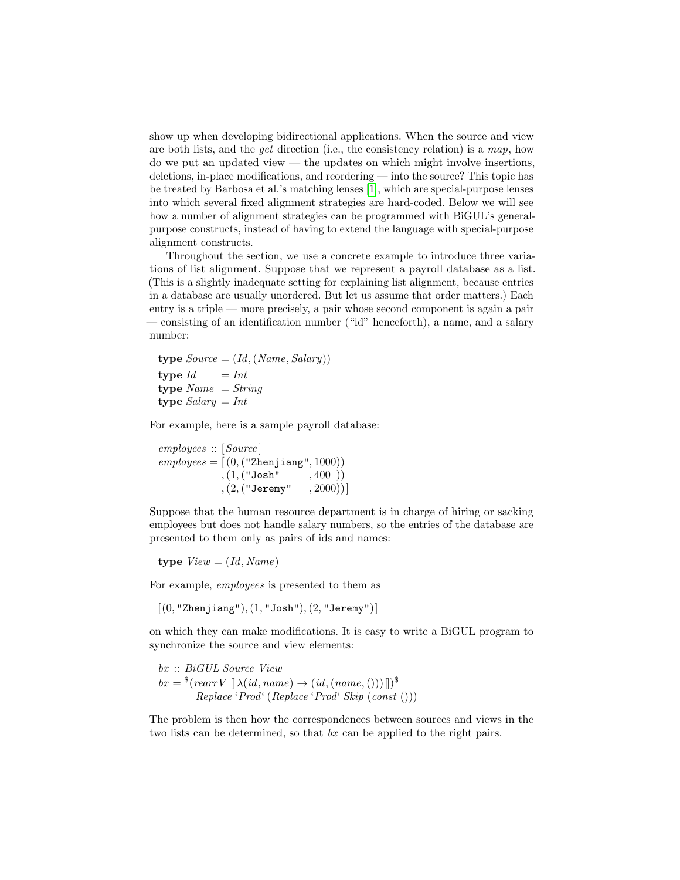show up when developing bidirectional applications. When the source and view are both lists, and the get direction (i.e., the consistency relation) is a  $map$ , how do we put an updated view — the updates on which might involve insertions, deletions, in-place modifications, and reordering — into the source? This topic has be treated by Barbosa et al.'s matching lenses [\[1\]](#page-49-4), which are special-purpose lenses into which several fixed alignment strategies are hard-coded. Below we will see how a number of alignment strategies can be programmed with BiGUL's generalpurpose constructs, instead of having to extend the language with special-purpose alignment constructs.

Throughout the section, we use a concrete example to introduce three variations of list alignment. Suppose that we represent a payroll database as a list. (This is a slightly inadequate setting for explaining list alignment, because entries in a database are usually unordered. But let us assume that order matters.) Each entry is a triple — more precisely, a pair whose second component is again a pair — consisting of an identification number ("id" henceforth), a name, and a salary number:

type  $Source = (Id, (Name, Salary))$ type  $Id$  =  $Int$ type  $Name = String$ type  $Salaru = Int$ 

For example, here is a sample payroll database:

employees :: [Source ]  $\textit{employee } s = \left[ \left( 0, \left( \text{"Zhenjiang", 1000} \right) \right) \right]$  $,(1,$   $("John" , 400))$ ,(2,("Jeremy" , 2000))]

Suppose that the human resource department is in charge of hiring or sacking employees but does not handle salary numbers, so the entries of the database are presented to them only as pairs of ids and names:

type  $View = (Id, Name)$ 

For example, employees is presented to them as

 $[(0, "Zhenjiang"), (1, "Josh"), (2, "Jeremy"]$ 

on which they can make modifications. It is easy to write a BiGUL program to synchronize the source and view elements:

bx :: BiGUL Source View  $bx =$ <sup>§</sup>(rearrV  $[\lambda(id, name) \rightarrow (id, (name,)))$ ])<sup>§</sup> Replace 'Prod' (Replace 'Prod' Skip (const ()))

The problem is then how the correspondences between sources and views in the two lists can be determined, so that bx can be applied to the right pairs.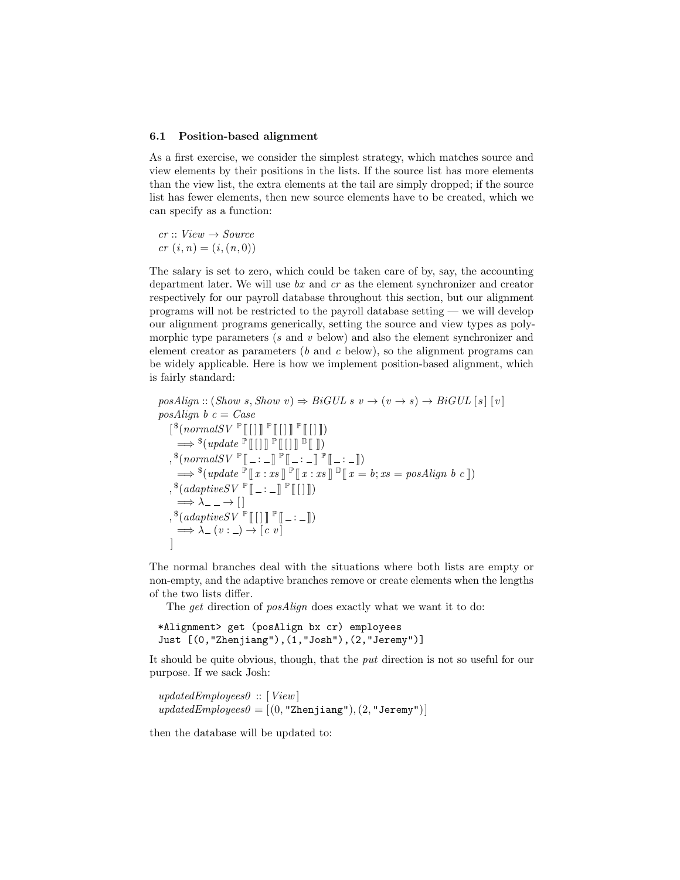#### 6.1 Position-based alignment

As a first exercise, we consider the simplest strategy, which matches source and view elements by their positions in the lists. If the source list has more elements than the view list, the extra elements at the tail are simply dropped; if the source list has fewer elements, then new source elements have to be created, which we can specify as a function:

 $cr :: View \rightarrow Source$  $cr (i, n) = (i, (n, 0))$ 

The salary is set to zero, which could be taken care of by, say, the accounting department later. We will use  $bx$  and  $cr$  as the element synchronizer and creator respectively for our payroll database throughout this section, but our alignment programs will not be restricted to the payroll database setting  $-$  we will develop our alignment programs generically, setting the source and view types as polymorphic type parameters (s and v below) and also the element synchronizer and element creator as parameters  $(b \text{ and } c \text{ below})$ , so the alignment programs can be widely applicable. Here is how we implement position-based alignment, which is fairly standard:

```
posAlign :: (Show \, s, Show \, v) \Rightarrow BiGUL \, s \, v \rightarrow (v \rightarrow s) \rightarrow BiGUL [s] [v]posAlign b \ c = Case[
$
(normalSV P
[[ [ ] ]] P
[[ [ ] ]] P
[[ [ ] ]])
             \implies \overset{\circ}{\Rightarrow} (\text{update } \mathbb{P}[[[]] \mathbb{P}[[[]] \mathbb{D}[[]])\mathbb{R}^{\$(normalSV \mathbb{P}[\![1]\!]:=\mathbb{P}[\![1]\!]:=\mathbb{P}[\![1]\!]:=\mathbb{P}[\![1]\!]:=\mathbb{P}[\![1]\!]:=\mathbb{P}[\![1]\!]:=\mathbb{P}[\![1]\!]:=\mathbb{P}[\![1]\!]:=\mathbb{P}[\![1]\!]:=\mathbb{P}[\![1]\!]:=\mathbb{P}[\![1]\!]:=\mathbb{P}[\![1]\!]:=\mathbb{P}[\![1]\!]:=\mathbb{P}[\![1]\!]:=\mathbb{P}[\![1]\!]:=\mathbb{P}[\![1]\!]:=\mathbb{P}[\![1]\!]:=\mathbb{\Rightarrow \psi(update \mathbb{P} \left[ x : xs \right] \mathbb{P} \left[ x : xs \right] \mathbb{D} \left[ x = b; xs = pos{A} \right],\frac{\$(adaptive SV \)^{\mathbb{P}} \left[ \dots \right] \]^{\mathbb{P}} \left[ \left[ \ \right] \right]\Rightarrow \lambda_{-} \rightarrow [],\frac{\$(adaptiveSV \ \mathbb{P}[[\ ]\ ]\ \mathbb{P}[[\_:-]])\Rightarrow \lambda_-(v : ) \rightarrow [c \; v]]
```
The normal branches deal with the situations where both lists are empty or non-empty, and the adaptive branches remove or create elements when the lengths of the two lists differ.

The *get* direction of *posAlign* does exactly what we want it to do:

```
*Alignment> get (posAlign bx cr) employees
Just [(0,"Zhenjiang"),(1,"Josh"),(2,"Jeremy")]
```
It should be quite obvious, though, that the put direction is not so useful for our purpose. If we sack Josh:

```
updatedEmployes0 :: [View]updatedEmployees0 = [(0, "Zhenjiang"), (2, "Jeremy")]
```
then the database will be updated to: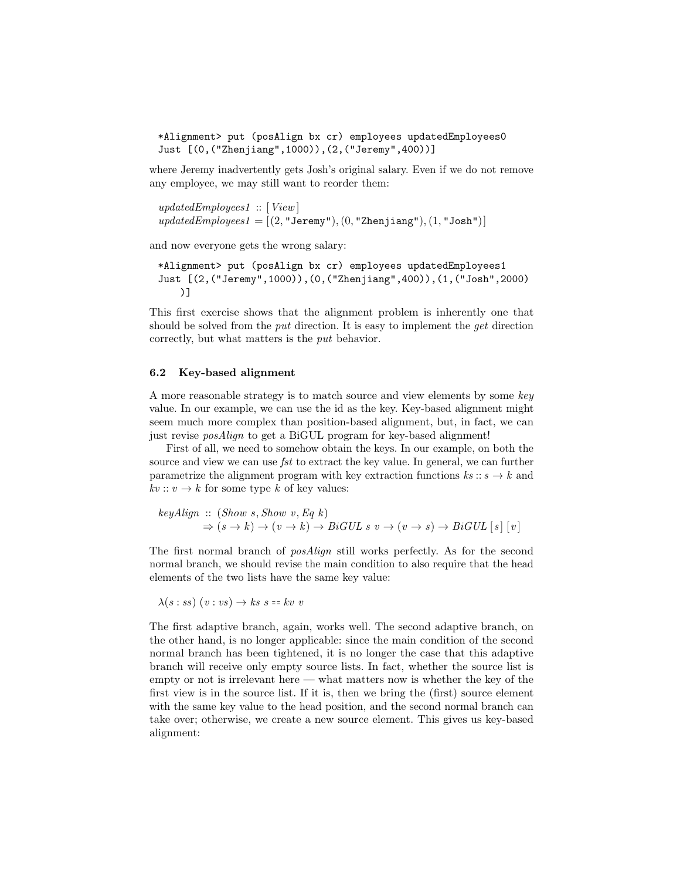\*Alignment> put (posAlign bx cr) employees updatedEmployees0 Just [(0,("Zhenjiang",1000)),(2,("Jeremy",400))]

where Jeremy inadvertently gets Josh's original salary. Even if we do not remove any employee, we may still want to reorder them:

```
updatedEmployes1 :: [View]updatedEmployes1 = [(2, "Jeremy"), (0, "Zhenjiang"), (1, "Josh")]
```
and now everyone gets the wrong salary:

```
*Alignment> put (posAlign bx cr) employees updatedEmployees1
Just [(2,("Jeremy",1000)),(0,("Zhenjiang",400)),(1,("Josh",2000)
   )]
```
This first exercise shows that the alignment problem is inherently one that should be solved from the *put* direction. It is easy to implement the *qet* direction correctly, but what matters is the put behavior.

# 6.2 Key-based alignment

A more reasonable strategy is to match source and view elements by some key value. In our example, we can use the id as the key. Key-based alignment might seem much more complex than position-based alignment, but, in fact, we can just revise posAlign to get a BiGUL program for key-based alignment!

First of all, we need to somehow obtain the keys. In our example, on both the source and view we can use fst to extract the key value. In general, we can further parametrize the alignment program with key extraction functions  $ks :: s \rightarrow k$  and  $kv :: v \rightarrow k$  for some type k of key values:

$$
keyAlign :: (Show \, s, Show \, v, Eq \, k)
$$
  
\n
$$
\Rightarrow (s \to k) \to (v \to k) \to BiGUL \, s \, v \to (v \to s) \to BiGUL [s] [v]
$$

The first normal branch of posAlign still works perfectly. As for the second normal branch, we should revise the main condition to also require that the head elements of the two lists have the same key value:

$$
\lambda(s:ss) \ (v:vs) \to ks \ s = k v \ v
$$

The first adaptive branch, again, works well. The second adaptive branch, on the other hand, is no longer applicable: since the main condition of the second normal branch has been tightened, it is no longer the case that this adaptive branch will receive only empty source lists. In fact, whether the source list is empty or not is irrelevant here — what matters now is whether the key of the first view is in the source list. If it is, then we bring the (first) source element with the same key value to the head position, and the second normal branch can take over; otherwise, we create a new source element. This gives us key-based alignment: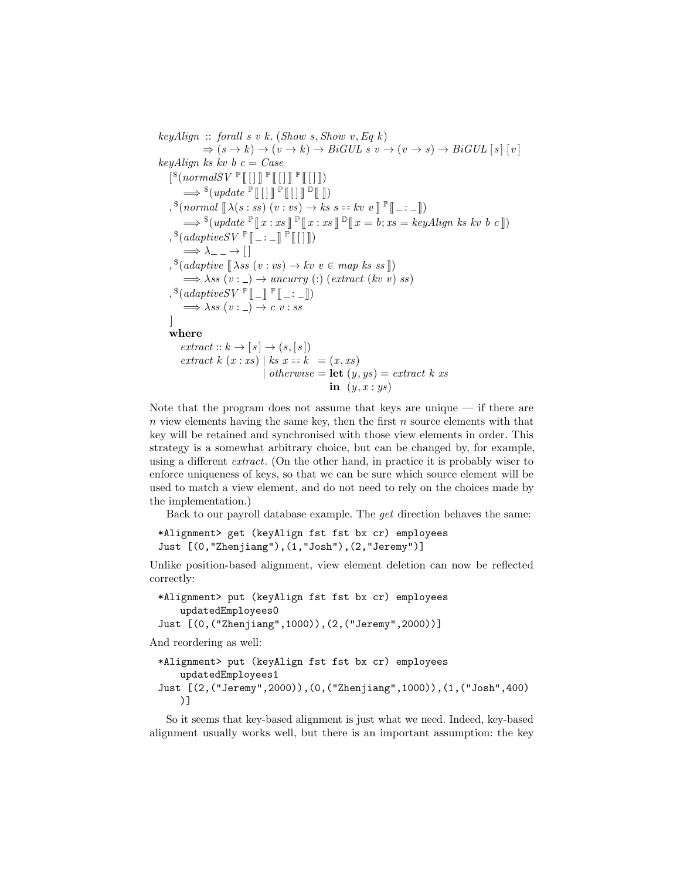```
keyAlign :: for all s v k. (Show s, Show v, Eq k)\Rightarrow (s \rightarrow k) \rightarrow (v \rightarrow k) \rightarrow BiGUL \ s \ v \rightarrow (v \rightarrow s) \rightarrow BiGUL \ [s] \ [v]keyAlign\;ks\;kv\;b\;c = Case\left[\begin{array}{c} \P\end{array} \left[\begin{array}{c} \P\end{array} \right] \left[\begin{array}{c} \P\end{array} \right] \left[\begin{array}{c} \P\end{array} \right] \left[\begin{array}{c} \P\end{array} \right] \left[\begin{array}{c} \P\end{array} \right] \left[\begin{array}{c} \P\end{array} \right] \left[\begin{array}{c} \P\end{array} \right] \left[\begin{array}{c} \P\end{array} \right] \left[\begin{array}{c} \P\end{array} \right] \left[\begin{array}{c} \P\end{array} \right] \left[\begin{array}{c} \P\end{\Rightarrow \sqrt[8]{(update \sqrt[{\mathbb{P}} \sqrt[{\mathbb{F}} \sqrt[{\mathbb{F}} \sqrt[{\mathbb{F}} \sqrt[{\mathbb{F}} \sqrt[{\mathbb{F}} \sqrt[{\mathbb{F}} \sqrt[{\mathbb{F}} \sqrt[{\mathbb{F}} \sqrt[{\mathbb{F}} \sqrt[{\mathbb{F}} \sqrt[{\mathbb{F}} \sqrt[{\mathbb{F}} \sqrt[{\mathbb{F}} \sqrt[{\mathbb{F}} \sqrt[{\mathbb{F}} \sqrt[{\mathbb{F}} \sqrt[{\mathbb{F}} \sqrt[{\mathbb{F}} \sqrt[{\mathbb{F}} \sqrt[{\mathbb{F}} \sqrt[{\mathbb{F}} \sqrt[{\mathbb{F}} \\psi, \mathcal{S}(normal \|\lambda(s:ss) (v:vs) \rightarrow ks s = k v v \|\|\|\cdot\| = \ldots)\Rightarrow <sup>$</sup>(update \mathbb{P}[x : xs] \mathbb{P}[x : xs] \mathbb{D}[x = b; xs = keyA lign \; ks \; kv \; b \; c ])
        ,\mathcal{N} \left( adaptive SV \ ^{\mathbb{P}} \left[ \begin{array}{c} \end{array} \right] =:- \right] \ ^{\mathbb{P}} \left[ \begin{array}{c} \begin{array}{c} \end{array} \right]\Rightarrow \lambda_{-} \rightarrow [,\text{``(adaptive \upharpoonright} \lambda \text{ss} \text{ (}v : \text{vs)} \rightarrow \text{kv} \text{ } v \in \text{map} \text{ ks} \text{ s} \text{ s} \text{ )})\Rightarrow \lambdass (v : \_) \rightarrow uncurry (:) (extract (kv v) ss)
        ,\frac{\$(adaptive SV \)^{\mathbb{P}} \left[ \ ]-\right] \ ^{\mathbb{P}} \left[ \ ]-:- \right]}\implies \lambdass (v : \_) \rightarrow c \ v : ss]
       where
               extract :: k \rightarrow [s] \rightarrow (s, [s])extract k (x : xs) \mid ks x == k = (x, xs)| otherwise = \text{let } (y, ys) = extract k xsin (y, x : ys)
```
Note that the program does not assume that keys are unique  $-$  if there are  $n$  view elements having the same key, then the first  $n$  source elements with that key will be retained and synchronised with those view elements in order. This strategy is a somewhat arbitrary choice, but can be changed by, for example, using a different extract. (On the other hand, in practice it is probably wiser to enforce uniqueness of keys, so that we can be sure which source element will be used to match a view element, and do not need to rely on the choices made by the implementation.)

Back to our payroll database example. The get direction behaves the same:

```
*Alignment> get (keyAlign fst fst bx cr) employees
Just [(0,"Zhenjiang"),(1,"Josh"),(2,"Jeremy")]
```
Unlike position-based alignment, view element deletion can now be reflected correctly:

```
*Alignment> put (keyAlign fst fst bx cr) employees
   updatedEmployees0
```
Just [(0,("Zhenjiang",1000)),(2,("Jeremy",2000))]

And reordering as well:

```
*Alignment> put (keyAlign fst fst bx cr) employees
   updatedEmployees1
Just [(2,("Jeremy",2000)),(0,("Zhenjiang",1000)),(1,("Josh",400)
   )]
```
So it seems that key-based alignment is just what we need. Indeed, key-based alignment usually works well, but there is an important assumption: the key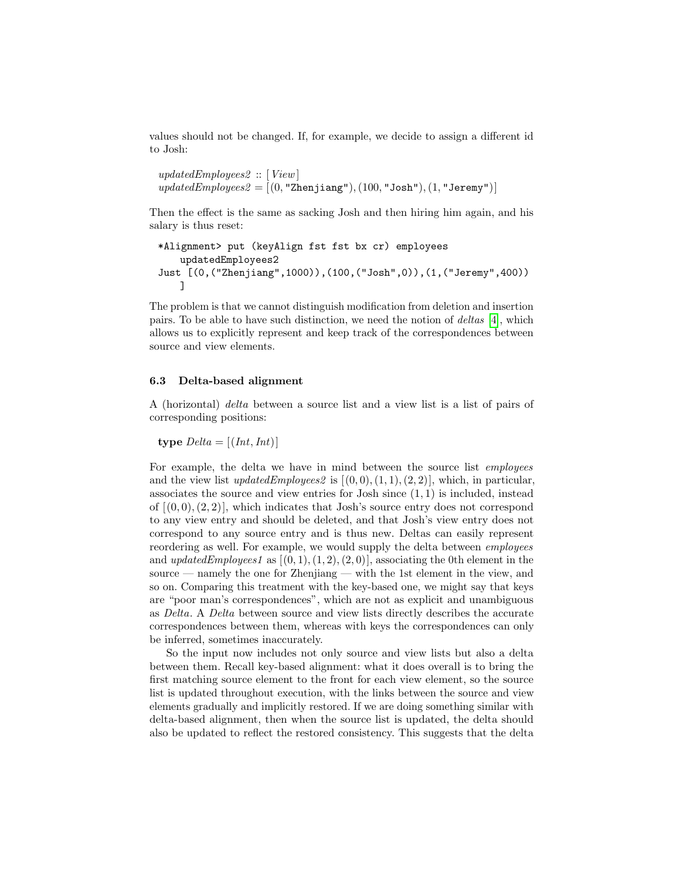values should not be changed. If, for example, we decide to assign a different id to Josh:

```
updatedEmployees2 :: [View]updatedEmployes2 = [(0, "Zhenjiang"), (100, "Josh"), (1, "Jeremy"]
```
Then the effect is the same as sacking Josh and then hiring him again, and his salary is thus reset:

```
*Alignment> put (keyAlign fst fst bx cr) employees
   updatedEmployees2
Just [(0,("Zhenjiang",1000)),(100,("Josh",0)),(1,("Jeremy",400))
   ]
```
The problem is that we cannot distinguish modification from deletion and insertion pairs. To be able to have such distinction, we need the notion of deltas [\[4\]](#page-49-5), which allows us to explicitly represent and keep track of the correspondences between source and view elements.

### 6.3 Delta-based alignment

A (horizontal) delta between a source list and a view list is a list of pairs of corresponding positions:

type  $Delta = [(Int,Int)]$ 

For example, the delta we have in mind between the source list employees and the view list *updatedEmployees2* is  $[(0,0), (1,1), (2, 2)]$ , which, in particular, associates the source and view entries for Josh since  $(1, 1)$  is included, instead of  $[(0,0),(2,2)]$ , which indicates that Josh's source entry does not correspond to any view entry and should be deleted, and that Josh's view entry does not correspond to any source entry and is thus new. Deltas can easily represent reordering as well. For example, we would supply the delta between employees and updatedEmployees1 as  $[(0, 1), (1, 2), (2, 0)]$ , associating the 0th element in the source — namely the one for Zhenjiang — with the 1st element in the view, and so on. Comparing this treatment with the key-based one, we might say that keys are "poor man's correspondences", which are not as explicit and unambiguous as Delta. A Delta between source and view lists directly describes the accurate correspondences between them, whereas with keys the correspondences can only be inferred, sometimes inaccurately.

So the input now includes not only source and view lists but also a delta between them. Recall key-based alignment: what it does overall is to bring the first matching source element to the front for each view element, so the source list is updated throughout execution, with the links between the source and view elements gradually and implicitly restored. If we are doing something similar with delta-based alignment, then when the source list is updated, the delta should also be updated to reflect the restored consistency. This suggests that the delta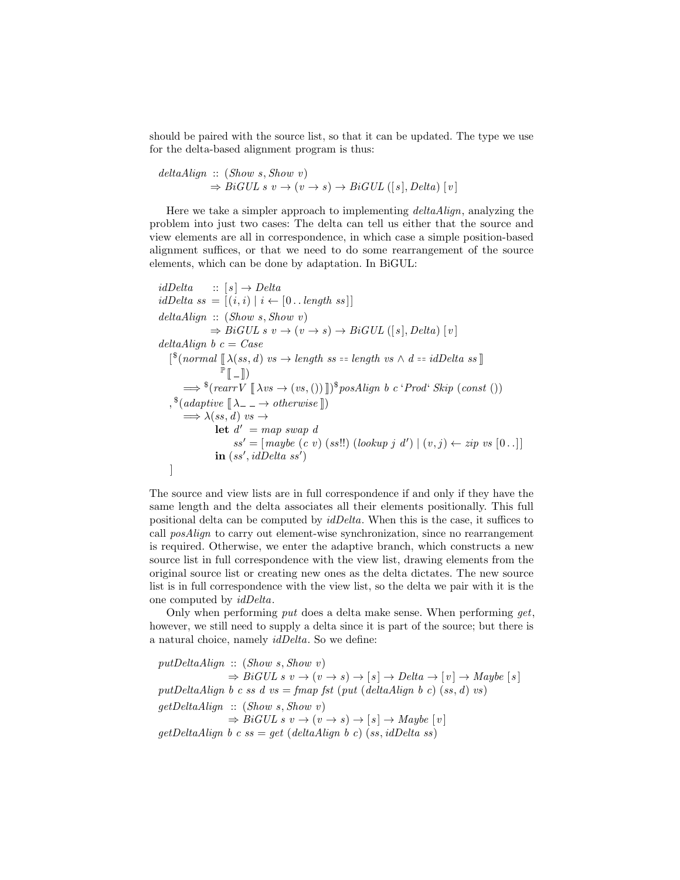should be paired with the source list, so that it can be updated. The type we use for the delta-based alignment program is thus:

$$
deltaAlign :: (Show \, s, Show \, v)
$$
  
\n $\Rightarrow BiGUL \, s \, v \rightarrow (v \rightarrow s) \rightarrow BiGUL \, ([s], Delta) \, [v]$ 

Here we take a simpler approach to implementing  $deltaAliqn$ , analyzing the problem into just two cases: The delta can tell us either that the source and view elements are all in correspondence, in which case a simple position-based alignment suffices, or that we need to do some rearrangement of the source elements, which can be done by adaptation. In BiGUL:

```
\n
$$
idDelta :: [s] \rightarrow Delta\n\nidDelta\,ss = [(i,i) | i \leftarrow [0..length ss]]\n\ndelta\,ss = [(i,i) | i \leftarrow [0..length ss]]\n\neq BiGUL\,s\,v \rightarrow (v \rightarrow s) \rightarrow BiGUL\,([s],Delta)\,[v]\n\ndelta\,disfall\,s\,v \rightarrow (v \rightarrow s) \rightarrow BiGUL\,([s],Delta)\,[v]\n\neq [s\n  (normal \[\lambda(ss, d) vs \rightarrow length ss == length vs \land d == idDelta ss]]\n\quad\nF \[\ ]\]\n\Rightarrow s\n  (rearr V \[\lambda vs \rightarrow (vs, ())]\,s\n  posAlign\,b\,c\,`Prod` Skip\,const\,())\n\Rightarrow s\n  (adaptive \[\lambda_--\rightarrow otherwise\,])\n\Rightarrow \lambda(ss, d)\,vs \rightarrow\n    let\ d' = map\,swap\,d\n    ss' = [maybe\,(c\,v)\,(ss!!)\, (lookup\,j\,d') \mid (v,j) \leftarrow zip\,vs\, [0..]]\n\text{in}\,(ss',idDelta\,ss')\n
$$

```

The source and view lists are in full correspondence if and only if they have the same length and the delta associates all their elements positionally. This full positional delta can be computed by idDelta. When this is the case, it suffices to call posAlign to carry out element-wise synchronization, since no rearrangement is required. Otherwise, we enter the adaptive branch, which constructs a new source list in full correspondence with the view list, drawing elements from the original source list or creating new ones as the delta dictates. The new source list is in full correspondence with the view list, so the delta we pair with it is the one computed by idDelta.

Only when performing put does a delta make sense. When performing  $qet$ , however, we still need to supply a delta since it is part of the source; but there is a natural choice, namely idDelta. So we define:

 $putDelta A$ *ign*  $:: (Show s, Show v)$  $\Rightarrow BiGUL \ s \ v \rightarrow (v \rightarrow s) \rightarrow [s] \rightarrow Delta \rightarrow [v] \rightarrow Maybe [s]$ putDeltaAlign b c ss d vs = fmap fst (put (deltaAlign b c) (ss, d) vs)  $getDeltaA$ lign  $:: (Show s, Show v)$  $\Rightarrow BiGUL \ s \ v \rightarrow (v \rightarrow s) \rightarrow [s] \rightarrow Maybe [v]$  $getDeltaHigh b c s s = get (deltaAlpha b c) (ss, idDelta s s)$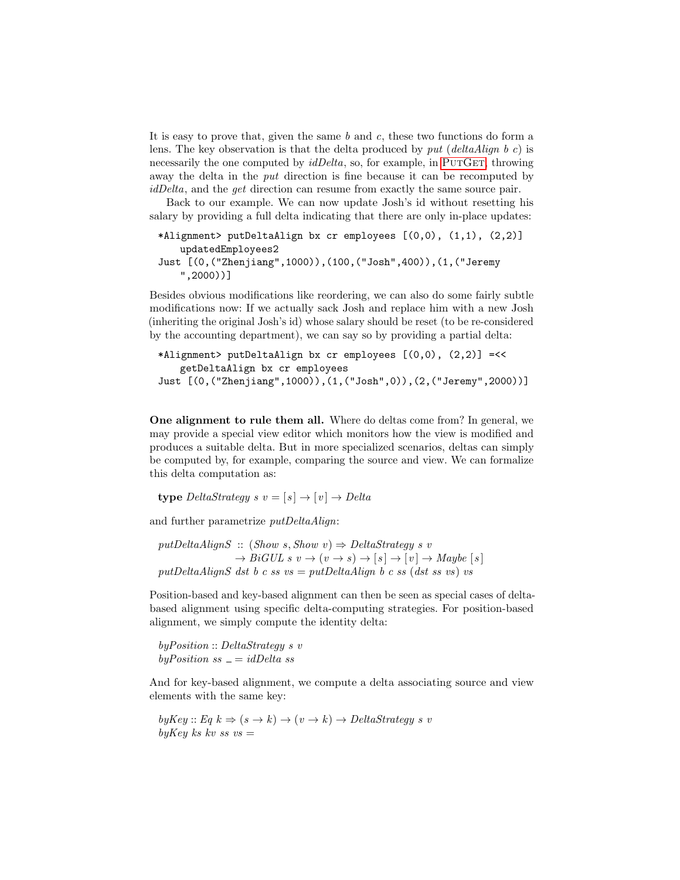It is easy to prove that, given the same  $b$  and  $c$ , these two functions do form a lens. The key observation is that the delta produced by put (deltaAlign b c) is necessarily the one computed by  $idDelta$ , so, for example, in PUTGET, throwing away the delta in the put direction is fine because it can be recomputed by idDelta, and the get direction can resume from exactly the same source pair.

Back to our example. We can now update Josh's id without resetting his salary by providing a full delta indicating that there are only in-place updates:

```
*Alignment> putDeltaAlign bx cr employees [(0,0), (1,1), (2,2)]
   updatedEmployees2
Just [(0,("Zhenjiang",1000)),(100,("Josh",400)),(1,("Jeremy
```

```
",2000))]
```
Besides obvious modifications like reordering, we can also do some fairly subtle modifications now: If we actually sack Josh and replace him with a new Josh (inheriting the original Josh's id) whose salary should be reset (to be re-considered by the accounting department), we can say so by providing a partial delta:

```
*Alignment> putDeltaAlign bx cr employees [(0,0), (2,2)] =<<
   getDeltaAlign bx cr employees
Just [(0,("Zhenjiang",1000)),(1,("Josh",0)),(2,("Jeremy",2000))]
```
One alignment to rule them all. Where do deltas come from? In general, we may provide a special view editor which monitors how the view is modified and produces a suitable delta. But in more specialized scenarios, deltas can simply be computed by, for example, comparing the source and view. We can formalize this delta computation as:

type DeltaStrategy s  $v = [s] \rightarrow [v] \rightarrow Delta$ 

and further parametrize putDeltaAlign:

 $putDeltaIignS :: (Show s, Show v) \Rightarrow DeltaStrategy s v$  $\rightarrow BiGUL \ s \ v \rightarrow (v \rightarrow s) \rightarrow [s] \rightarrow [v] \rightarrow Maybe [s]$ putDeltaAlignS dst b c ss vs = putDeltaAlign b c ss (dst ss vs) vs

Position-based and key-based alignment can then be seen as special cases of deltabased alignment using specific delta-computing strategies. For position-based alignment, we simply compute the identity delta:

byPosition :: DeltaStrategy s v by Position ss  $= idDelta$  ss

And for key-based alignment, we compute a delta associating source and view elements with the same key:

 $byKey :: Eq \, k \Rightarrow (s \to k) \to (v \to k) \to \text{DeltaStrategy} \, s \, v$ byKey ks kv ss  $vs =$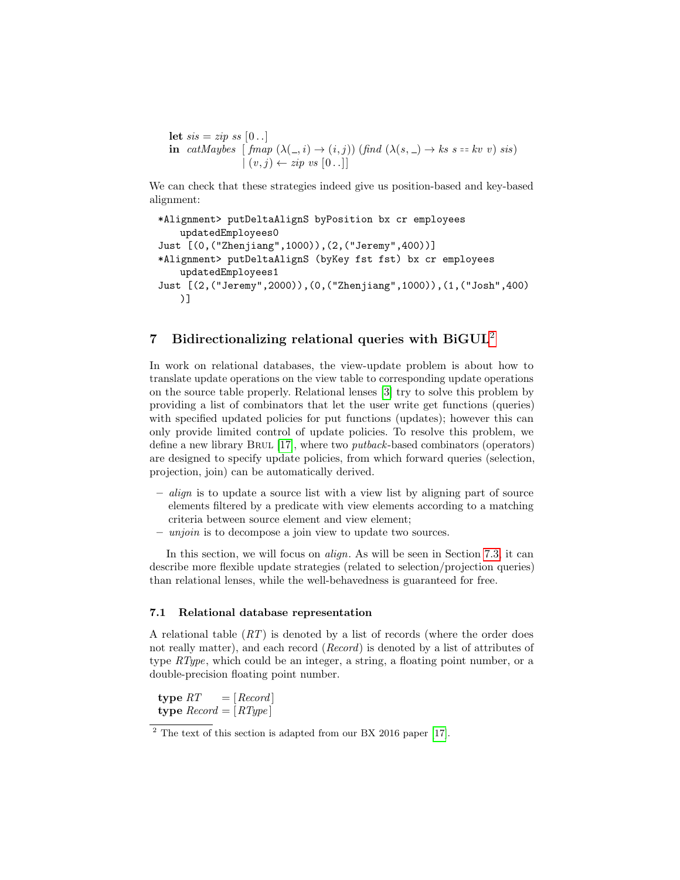let  $sis = zip \; ss \; [0 \ldots]$ in catMaybes  $\left[ \text{fmap}(\lambda(\_,i) \to (i,j)) \text{ (find } (\lambda(s,\_) \to ks s = kw v) \text{ sis} \right)$  $|(v, j) \leftarrow zip \ vs \ [0 \ldots]$ 

We can check that these strategies indeed give us position-based and key-based alignment:

```
*Alignment> putDeltaAlignS byPosition bx cr employees
   updatedEmployees0
Just [(0,("Zhenjiang",1000)),(2,("Jeremy",400))]
*Alignment> putDeltaAlignS (byKey fst fst) bx cr employees
   updatedEmployees1
Just [(2,("Jeremy",2000)),(0,("Zhenjiang",1000)),(1,("Josh",400)
   )]
```
# <span id="page-37-0"></span>7 Bidirectionalizing relational queries with BiGUL[2](#page-37-1)

In work on relational databases, the view-update problem is about how to translate update operations on the view table to corresponding update operations on the source table properly. Relational lenses [\[3\]](#page-49-1) try to solve this problem by providing a list of combinators that let the user write get functions (queries) with specified updated policies for put functions (updates); however this can only provide limited control of update policies. To resolve this problem, we define a new library BRUL [\[17\]](#page-50-9), where two *putback*-based combinators (operators) are designed to specify update policies, from which forward queries (selection, projection, join) can be automatically derived.

- $-$  *align* is to update a source list with a view list by aligning part of source elements filtered by a predicate with view elements according to a matching criteria between source element and view element;
- unjoin is to decompose a join view to update two sources.

In this section, we will focus on align. As will be seen in Section [7.3,](#page-40-0) it can describe more flexible update strategies (related to selection/projection queries) than relational lenses, while the well-behavedness is guaranteed for free.

## <span id="page-37-2"></span>7.1 Relational database representation

A relational table  $(RT)$  is denoted by a list of records (where the order does not really matter), and each record (Record) is denoted by a list of attributes of type  $RType$ , which could be an integer, a string, a floating point number, or a double-precision floating point number.

type  $RT = [Record]$ type  $Record = [RTupe]$ 

<span id="page-37-1"></span> $\frac{2}{17}$  The text of this section is adapted from our BX 2016 paper [\[17\]](#page-50-9).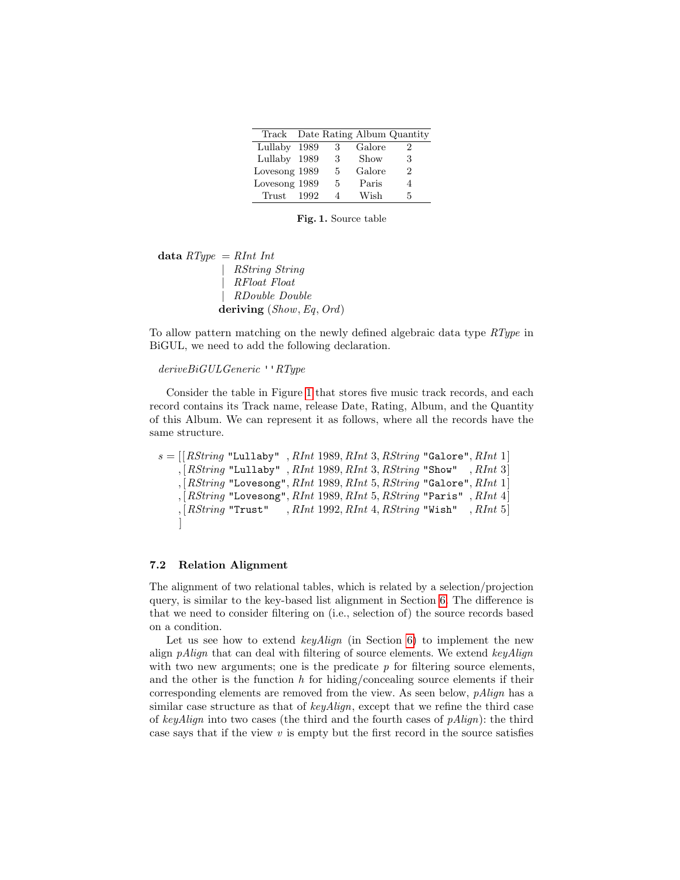|               |      |   |        | Track Date Rating Album Quantity |
|---------------|------|---|--------|----------------------------------|
| Lullaby 1989  |      | 3 | Galore | 2.                               |
| Lullaby 1989  |      | 3 | Show   | 3                                |
| Lovesong 1989 |      | 5 | Galore | 2                                |
| Lovesong 1989 |      | 5 | Paris  |                                  |
| Trust         | 1992 |   | Wish   | h.                               |

<span id="page-38-0"></span>Fig. 1. Source table

data  $RType = RInt Int$ | RString String | RFloat Float | RDouble Double deriving  $(Show, Eq, Ord)$ 

To allow pattern matching on the newly defined algebraic data type RType in BiGUL, we need to add the following declaration.

#### deriveBiGULGeneric ''RType

Consider the table in Figure [1](#page-38-0) that stores five music track records, and each record contains its Track name, release Date, Rating, Album, and the Quantity of this Album. We can represent it as follows, where all the records have the same structure.

 $s = [[RString "Lullaby" , RInt 1989, RInt 3, RString "Galone", RInt 1]$ ,  $[RString$  "Lullaby" ,  $RInt$  1989,  $RInt$  3,  $RString$  "Show" ,  $RInt$  3 ,  $[RString$  "Lovesong",  $RInt$  1989,  $RInt$  5,  $RString$  "Galore",  $RInt$  1 ,  $[RString$  "Lovesong",  $RInt$  1989,  $RInt$  5,  $RString$  "Paris",  $RInt$  4]  $, [RString "Trust" , RInt 1992, RInt 4, RString "Wish" , RInt 5]$ ]

#### 7.2 Relation Alignment

The alignment of two relational tables, which is related by a selection/projection query, is similar to the key-based list alignment in Section [6.](#page-29-0) The difference is that we need to consider filtering on (i.e., selection of) the source records based on a condition.

Let us see how to extend  $keyalign$  (in Section [6\)](#page-29-0) to implement the new align  $p\text{ }Aliqn$  that can deal with filtering of source elements. We extend keyAlign with two new arguments; one is the predicate  $p$  for filtering source elements, and the other is the function h for hiding/concealing source elements if their corresponding elements are removed from the view. As seen below, pAlign has a similar case structure as that of  $keyAliqn$ , except that we refine the third case of keyAlign into two cases (the third and the fourth cases of  $p\text{Align}$ ): the third case says that if the view  $v$  is empty but the first record in the source satisfies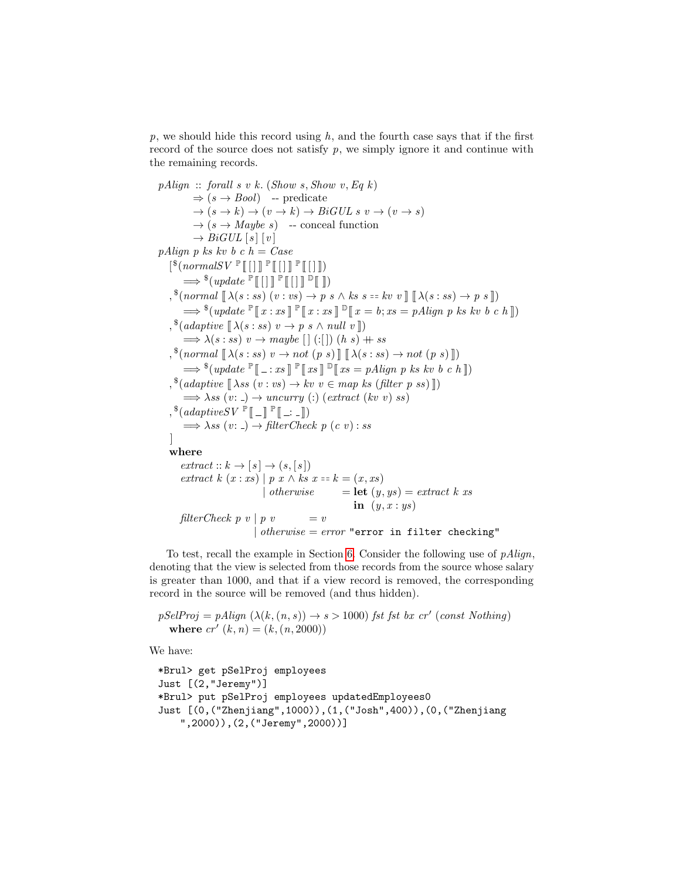p, we should hide this record using  $h$ , and the fourth case says that if the first record of the source does not satisfy  $p$ , we simply ignore it and continue with the remaining records.

```
pAlign :: forall s v k. (Show s, Show v, Eq k)
                 \Rightarrow (s \rightarrow Bool) -- predicate
                 \rightarrow (s \rightarrow k) \rightarrow (v \rightarrow k) \rightarrow BiGUL \, s \, v \rightarrow (v \rightarrow s)\rightarrow (s \rightarrow Maybe s) -- conceal function
                 \rightarrow BiGUL[s][v]pAlign p ks kv b c h = Case[^{\$(normal SV \, \mathbb{P}[[\,]] \, \mathbb{P}[[\,]] \, \mathbb{P}[[\,]]})\Rightarrow \sqrt[8]{\sqrt{update}} \lceil \rceil \lceil \rceil \lceil \rceil \lceil \rceil \lceil \rceil \lceil \rceil\mathcal{L}, \mathcal{L} \text{normal } [\![ \lambda(s:ss) \; (v:vs) \rightarrow p \; s \land \; ks \; s = k v \; v \; [\![ \; \lambda(s:ss) \rightarrow p \; s \; ]\!])\Rightarrow \sqrt[8]{\frac{1}{2}} \Rightarrow \sqrt[8]{\frac{1}{2}} \sqrt[8]{\frac{1}{2}} \sqrt[8]{\frac{1}{2}} \sqrt[8]{\frac{1}{2}} \sqrt[8]{\frac{1}{2}} \sqrt[8]{\frac{1}{2}} \sqrt[8]{\frac{1}{2}} \sqrt[8]{\frac{1}{2}} \sqrt[8]{\frac{1}{2}} \sqrt[8]{\frac{1}{2}} \sqrt[8]{\frac{1}{2}},\text{``(adaptive }\lbrack \lambda(s:ss) \ v \rightarrow p \ s \land null \ v \ \rbrack)\Rightarrow \lambda(s:ss) \ v \rightarrow maybe \ [ ] \ ( : ] \ ) \ (h \ s) + ss,\n \mathcal{S}(normal \in \lambda(s:ss) \ v \rightarrow not \ (p \ s) \in \mathbb{R} \setminus \lambda(s:ss) \rightarrow not \ (p \ s) \in \mathbb{R}\Rightarrow \sqrt[8]{\frac{1}{2} \cdot \frac{1}{2} \cdot \frac{1}{2} \cdot \frac{1}{2} \cdot \frac{1}{2} \cdot \frac{1}{2} \cdot \frac{1}{2} \cdot \frac{1}{2} \cdot \frac{1}{2} \cdot \frac{1}{2} \cdot \frac{1}{2} \cdot \frac{1}{2} \cdot \frac{1}{2} \cdot \frac{1}{2} \cdot \frac{1}{2} \cdot \frac{1}{2} \cdot \frac{1}{2} \cdot \frac{1}{2} \cdot \frac{1}{2} \cdot \frac{1}{2} \cdot \frac{1}{2} \cdot \frac{1}{2} \cdot \frac{1}{2} \cdot \frac{\mathfrak{F}(adaptive \upharpoonright \lambda ss \ (v : vs) \rightarrow kv \ v \in map \ ks \ (filter \ p \ ss) \ \upharpoonright)\Rightarrow \lambdass (v: _) \rightarrow uncurry (:) (extract (kv v) ss)
      ,\frac{\$(adaptiveSV \)^{\mathbb{P}} \left[ - \right] \cdot \text{P}}{\left[ - \right]}\Rightarrow \lambdass (v: ) \rightarrow filterCheck p (c v) : ss
      ]
     where
          extract: k \rightarrow [s] \rightarrow (s, [s])extract k (x : xs) | p x \wedge ks x = k = (x, xs)| otherwise = let (y, ys) = extract k xs
                                                                                             in (y, x: ys)filterCheck p \ v \mid p \ v = v| otherwise = error "error in filter checking"
```
To test, recall the example in Section [6.](#page-29-0) Consider the following use of  $p\text{Align}$ , denoting that the view is selected from those records from the source whose salary is greater than 1000, and that if a view record is removed, the corresponding record in the source will be removed (and thus hidden).

 $pSelProj = pAlign \left(\lambda(k,(n,s)) \rightarrow s > 1000\right)$  fst fst bx cr' (const Nothing) where  $cr'(k, n) = (k, (n, 2000))$ 

We have:

```
*Brul> get pSelProj employees
Just [(2,"Jeremy")]
*Brul> put pSelProj employees updatedEmployees0
Just [(0,("Zhenjiang",1000)),(1,("Josh",400)),(0,("Zhenjiang
   ",2000)),(2,("Jeremy",2000))]
```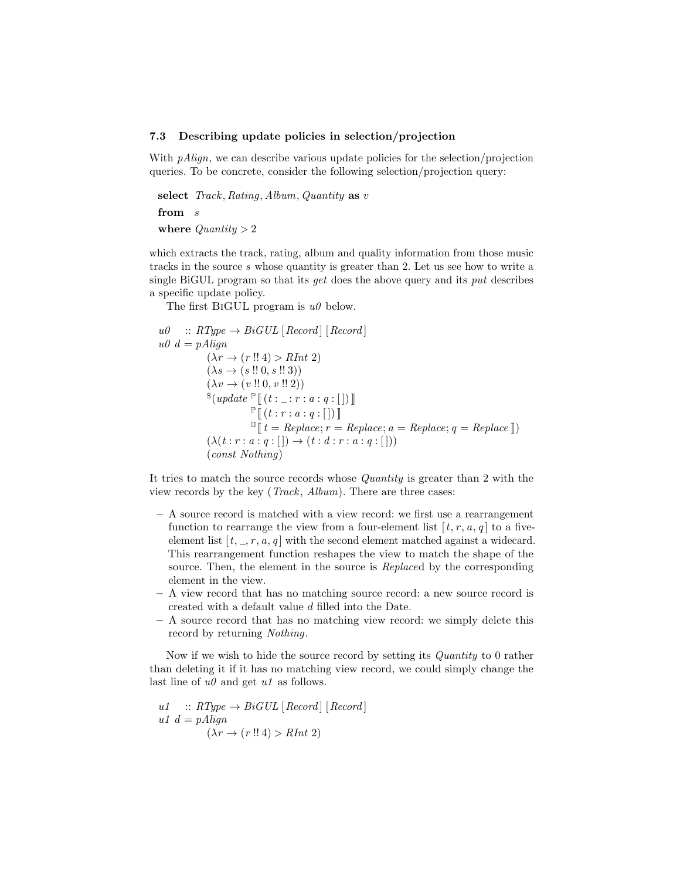### <span id="page-40-0"></span>7.3 Describing update policies in selection/projection

With  $p\text{Align}$ , we can describe various update policies for the selection/projection queries. To be concrete, consider the following selection/projection query:

select Track, Rating, Album, Quantity as v

from s

where  $Quantity > 2$ 

which extracts the track, rating, album and quality information from those music tracks in the source s whose quantity is greater than 2. Let us see how to write a single BiGUL program so that its *get* does the above query and its *put* describes a specific update policy.

The first BIGUL program is  $u\theta$  below.

$$
u0 :: RType \rightarrow BiGUL [Record] [Record]
$$
  
\n
$$
u0 d = pA lign
$$
  
\n
$$
(\lambda r \rightarrow (r \text{!! } 4) > RInt 2)
$$
  
\n
$$
(\lambda s \rightarrow (s \text{!! } 0, s \text{!! } 3))
$$
  
\n
$$
(\lambda v \rightarrow (v \text{!! } 0, v \text{!! } 2))
$$
  
\n
$$
*(update \mathbb{P}[[ (t := r : a : q : [])]
$$
  
\n
$$
\mathbb{P}[[ (t : r : a : q : [])]
$$
  
\n
$$
\mathbb{P}[[ t = Replace; r = Replace; a = Replace; q = Replace[] )
$$
  
\n
$$
(\lambda(t : r : a : q : [] ) \rightarrow (t : d : r : a : q : [] ))
$$
  
\n
$$
(const \text{ Nothing})
$$

It tries to match the source records whose Quantity is greater than 2 with the view records by the key (Track, Album). There are three cases:

- A source record is matched with a view record: we first use a rearrangement function to rearrange the view from a four-element list  $[t, r, a, q]$  to a fiveelement list  $[t, ..., r, a, q]$  with the second element matched against a widecard. This rearrangement function reshapes the view to match the shape of the source. Then, the element in the source is Replaced by the corresponding element in the view.
- A view record that has no matching source record: a new source record is created with a default value d filled into the Date.
- A source record that has no matching view record: we simply delete this record by returning Nothing.

Now if we wish to hide the source record by setting its Quantity to 0 rather than deleting it if it has no matching view record, we could simply change the last line of  $u\theta$  and get  $u\theta$  as follows.

$$
u1 :: RType \rightarrow BiGUL [Record] [Record]
$$
  

$$
u1 d = pAlign
$$
  

$$
(\lambda r \rightarrow (r \mathbin{!!} 4) > RInt 2)
$$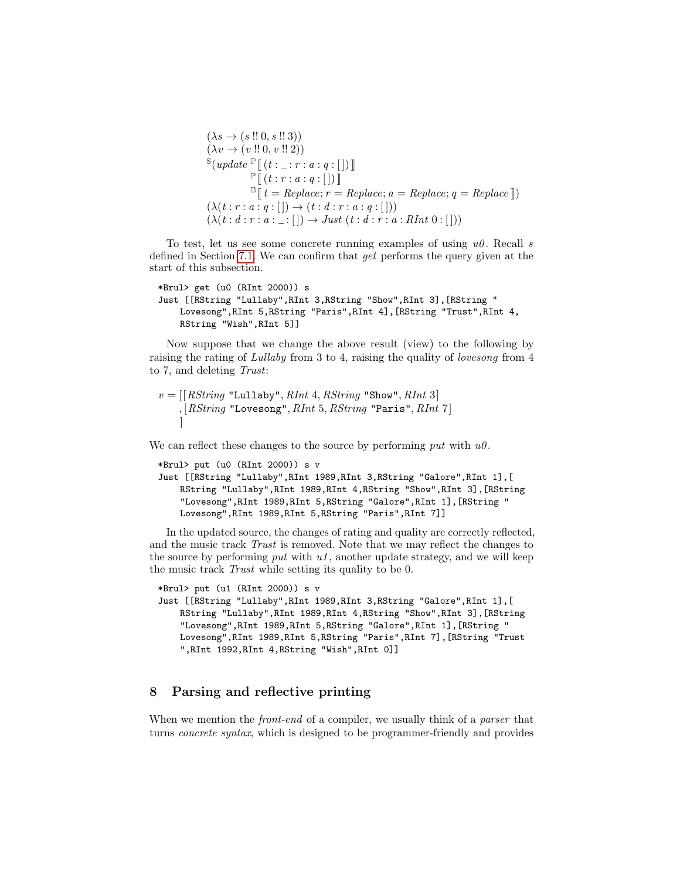```
(\lambda s \to (s \,!! \, 0, s \,!! \, 3))(\lambda v \rightarrow (v \mathbin{!!} 0, v \mathbin{!!} 2))\sup_{\mathbb{P}} \left[ \left( t : \mathbb{P} \left[ x : a : q : [\cdot] \right) \right] \right]\mathbb{D}[\![t = Replace; r = Replace; a = Replace; q = Replace](\lambda(t : r : a : q : [] ) \rightarrow (t : d : r : a : q : [] ))(\lambda(t : d : r : a : \dots : []) \rightarrow Just (t : d : r : a : RInt 0 : []))
```
To test, let us see some concrete running examples of using  $u\theta$ . Recall s defined in Section [7.1.](#page-37-2) We can confirm that get performs the query given at the start of this subsection.

```
*Brul> get (u0 (RInt 2000)) s
Just [[RString "Lullaby",RInt 3,RString "Show",RInt 3],[RString "
    Lovesong",RInt 5,RString "Paris",RInt 4],[RString "Trust",RInt 4,
    RString "Wish",RInt 5]]
```
Now suppose that we change the above result (view) to the following by raising the rating of Lullaby from 3 to 4, raising the quality of lovesong from 4 to 7, and deleting Trust:

```
v = \left[ \left( RString \text{ "Lulllaby",} RInt 4, RString \text{ "Show",} RInt 3 \right] \right], [RString "Lovesong", RInt 5, RString "Paris", RInt 7]
      ]
```
We can reflect these changes to the source by performing put with  $u\theta$ .

```
*Brul> put (u0 (RInt 2000)) s v
Just [[RString "Lullaby",RInt 1989,RInt 3,RString "Galore",RInt 1],[
    RString "Lullaby",RInt 1989,RInt 4,RString "Show",RInt 3],[RString
    "Lovesong",RInt 1989,RInt 5,RString "Galore",RInt 1],[RString "
    Lovesong",RInt 1989,RInt 5,RString "Paris",RInt 7]]
```
In the updated source, the changes of rating and quality are correctly reflected, and the music track Trust is removed. Note that we may reflect the changes to the source by performing put with  $u_1$ , another update strategy, and we will keep the music track Trust while setting its quality to be 0.

```
*Brul> put (u1 (RInt 2000)) s v
Just [[RString "Lullaby",RInt 1989,RInt 3,RString "Galore",RInt 1],[
    RString "Lullaby",RInt 1989,RInt 4,RString "Show",RInt 3],[RString
    "Lovesong",RInt 1989,RInt 5,RString "Galore",RInt 1],[RString "
    Lovesong",RInt 1989,RInt 5,RString "Paris",RInt 7],[RString "Trust
    ",RInt 1992,RInt 4,RString "Wish",RInt 0]]
```
# <span id="page-41-0"></span>8 Parsing and reflective printing

When we mention the *front-end* of a compiler, we usually think of a *parser* that turns concrete syntax, which is designed to be programmer-friendly and provides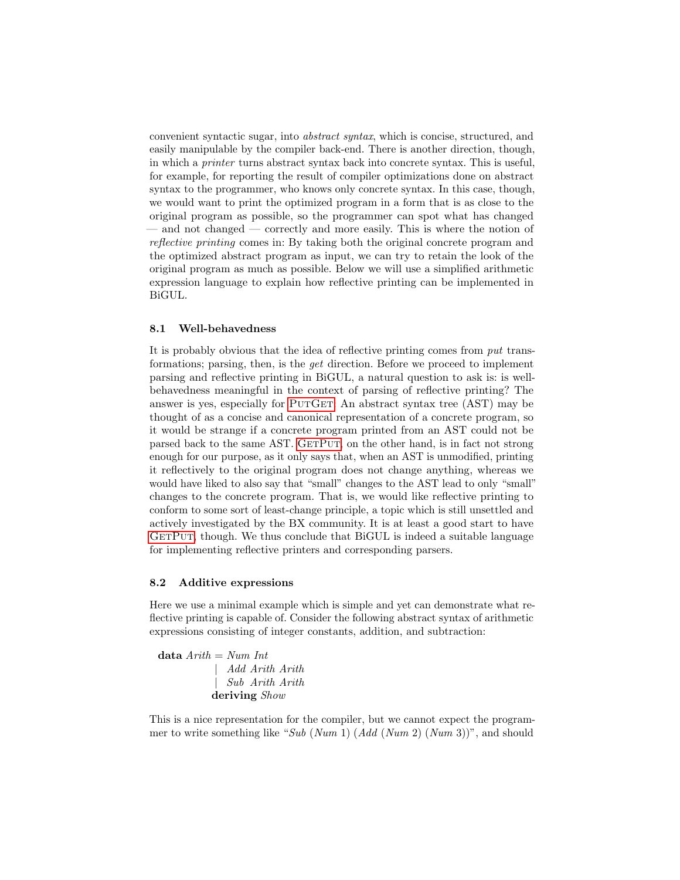convenient syntactic sugar, into abstract syntax, which is concise, structured, and easily manipulable by the compiler back-end. There is another direction, though, in which a printer turns abstract syntax back into concrete syntax. This is useful, for example, for reporting the result of compiler optimizations done on abstract syntax to the programmer, who knows only concrete syntax. In this case, though, we would want to print the optimized program in a form that is as close to the original program as possible, so the programmer can spot what has changed — and not changed — correctly and more easily. This is where the notion of reflective printing comes in: By taking both the original concrete program and the optimized abstract program as input, we can try to retain the look of the original program as much as possible. Below we will use a simplified arithmetic expression language to explain how reflective printing can be implemented in BiGUL.

# 8.1 Well-behavedness

It is probably obvious that the idea of reflective printing comes from put transformations; parsing, then, is the get direction. Before we proceed to implement parsing and reflective printing in BiGUL, a natural question to ask is: is wellbehavedness meaningful in the context of parsing of reflective printing? The answer is yes, especially for PUTGET: An abstract syntax tree (AST) may be thought of as a concise and canonical representation of a concrete program, so it would be strange if a concrete program printed from an AST could not be parsed back to the same AST. GETPUT, on the other hand, is in fact not strong enough for our purpose, as it only says that, when an AST is unmodified, printing it reflectively to the original program does not change anything, whereas we would have liked to also say that "small" changes to the AST lead to only "small" changes to the concrete program. That is, we would like reflective printing to conform to some sort of least-change principle, a topic which is still unsettled and actively investigated by the BX community. It is at least a good start to have GETPUT, though. We thus conclude that BiGUL is indeed a suitable language for implementing reflective printers and corresponding parsers.

#### 8.2 Additive expressions

Here we use a minimal example which is simple and yet can demonstrate what reflective printing is capable of. Consider the following abstract syntax of arithmetic expressions consisting of integer constants, addition, and subtraction:

data  $Arith = Num Int$ | Add Arith Arith | Sub Arith Arith deriving Show

This is a nice representation for the compiler, but we cannot expect the programmer to write something like "Sub (Num 1)  $(Add (Num 2) (Num 3))$ ", and should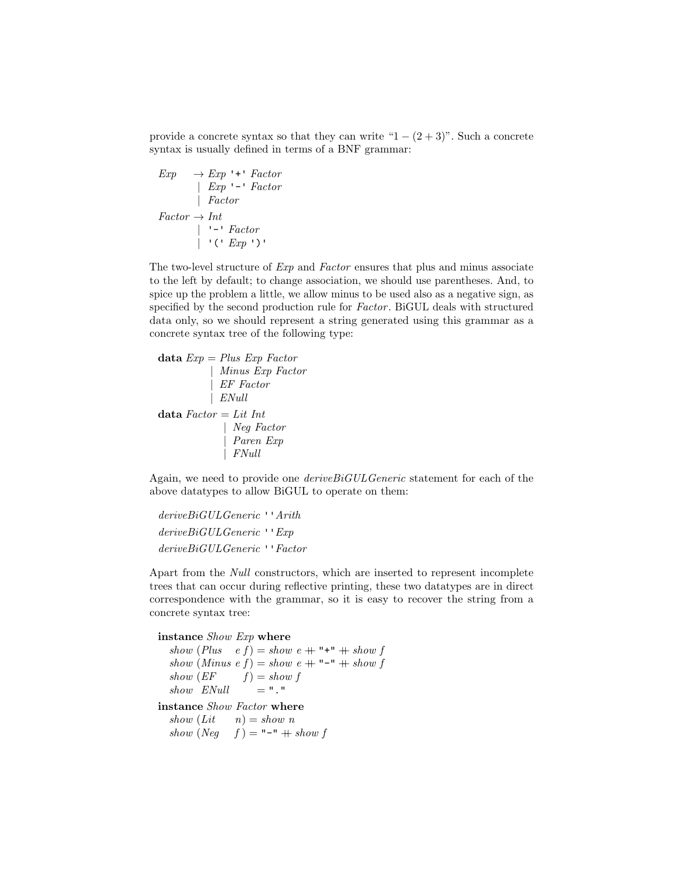provide a concrete syntax so that they can write " $1 - (2 + 3)$ ". Such a concrete syntax is usually defined in terms of a BNF grammar:

 $Exp \rightarrow Exp$  '+'  $Factor$ | Exp '-' Factor | Factor  $Factor \rightarrow Int$ | '-' Factor  $| (Exp)^{\top})$ 

The two-level structure of Exp and Factor ensures that plus and minus associate to the left by default; to change association, we should use parentheses. And, to spice up the problem a little, we allow minus to be used also as a negative sign, as specified by the second production rule for *Factor*. BiGUL deals with structured data only, so we should represent a string generated using this grammar as a concrete syntax tree of the following type:

```
data Exp = Plus Exp Factor| Minus Exp Factor
          | EF Factor
          | ENull
data Factor = Lit Int
             | Neg Factor
              | Paren Exp
            | FNull
```
Again, we need to provide one  $deriveBiGULE,$  statement for each of the above datatypes to allow BiGUL to operate on them:

deriveBiGULGeneric ''Arith deriveBiGULGeneric ''Exp deriveBiGULGeneric ''Factor

Apart from the Null constructors, which are inserted to represent incomplete trees that can occur during reflective printing, these two datatypes are in direct correspondence with the grammar, so it is easy to recover the string from a concrete syntax tree:

instance Show Exp where

show (Plus  $e f$ ) = show  $e +$  "+"  $+$  show f show (Minus e f) = show e + "-" + show f show  $(EF \t f) = show f$ show  $ENull = "$ ." instance Show Factor where

show  $(Lit \t n) = show \t n$ show  $(Neq \ f) =$  "-" ++ show f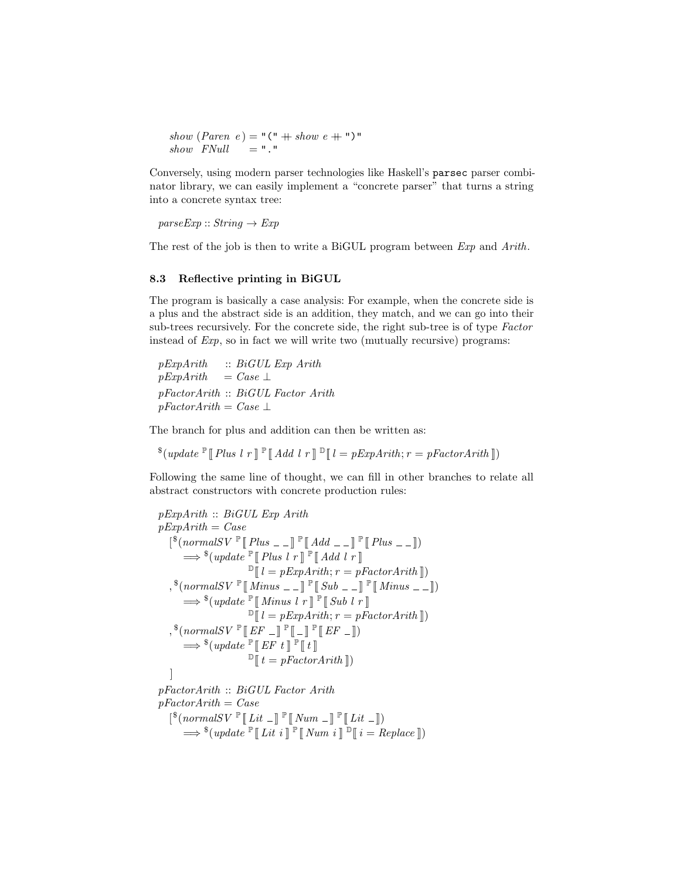show  $(Paren e) = "(" + show e +")"$ <br>show  $FNull = " "$ show FNull

Conversely, using modern parser technologies like Haskell's parsec parser combinator library, we can easily implement a "concrete parser" that turns a string into a concrete syntax tree:

```
parseExp :: String \rightarrow Exp
```
The rest of the job is then to write a BiGUL program between *Exp* and *Arith*.

### 8.3 Reflective printing in BiGUL

The program is basically a case analysis: For example, when the concrete side is a plus and the abstract side is an addition, they match, and we can go into their sub-trees recursively. For the concrete side, the right sub-tree is of type Factor instead of Exp, so in fact we will write two (mutually recursive) programs:

 $pExpArith$   $\therefore$  BiGUL Exp Arith  $pExpArith = Case \perp$ pFactorArith :: BiGUL Factor Arith  $pFactorArith = Case \perp$ 

The branch for plus and addition can then be written as:

 $\mathscr{L}(\mathbb{Q})$   $\mathscr{L}(\mathbb{Q})$   $\mathscr{L}(\mathbb{Q})$   $\mathscr{L}(\mathbb{Q})$   $\mathscr{L}(\mathbb{Q})$   $\mathscr{L}(\mathbb{Q})$   $\mathscr{L}(\mathbb{Q})$   $\mathscr{L}(\mathbb{Q})$   $\mathscr{L}(\mathbb{Q})$   $\mathscr{L}(\mathbb{Q})$   $\mathscr{L}(\mathbb{Q})$   $\mathscr{L}(\mathbb{Q})$   $\mathscr{L}(\mathbb{Q})$   $\mathscr{L}(\mathbb{Q})$   $\mathscr{L}(\mathbb{$ 

Following the same line of thought, we can fill in other branches to relate all abstract constructors with concrete production rules:

```
pExpArith :: BiGUL Exp Arith
pExpArith = Case\left[\begin{array}{c}\n\sqrt[8]{\textdegree} \left(\textdegree-\textdegree\right)}\n\end{array}\right] \mathbb{P}[\textdegree] \left[\begin{array}{c}\n\textdegree\textdegree\end{array}\right] \mathbb{P}[\textdegree] \left[\begin{array}{c}\n\textdegree\textdegree\end{array}\right]\implies <sup>$</sup>(update \mathbb{P} \llbracket Plus l r \llbracket \mathbb{P} \llbracket Add l r \rrbracket\mathbb{D}[\![l = pExpArith; r = pFactorArith]]\mathbb{R}^{\$(normalSV \mathbb{P}[\textit{Minus} \_ \] \mathbb{P}[\textit{Sub} \_ \] \mathbb{P}[\textit{Minus} \_ \]\implies<sup>$</sup>(update \mathbb{P} \llbracket Minus l r\rrbracket \mathbb{P} \llbracket Sub l r\rrbracket\mathbb{D} \overline{\parallel} l = pExpArith; r = pFactorArith \parallel,\frac{\$(normalSV \; \mathbb{P}[\;EF \; \_ \; \mathbb{P}[\; = \; \mathbb{P}[\; = \; \mathbb{P}[\;EF \; \_ \;])\Longrightarrow \{update \space \mathbb{P}[\![Ef[t]]\!]\overline{\mathbb{D}}[t = pFactorArith]
        ]
pFactorArith :: BiGUL Factor Arith
pFactorArith = Case\left[\begin{array}{c}\n\sqrt[8]{\textdegree} \left( \textnormal{normalSV} \right.\n\mathbb{P} \left[ \textnormal{Lit} \right. - \mathbb{P} \left[ \textnormal{Num} \right. - \mathbb{P} \left[ \textnormal{Lit} \right. - \mathbb{P} \right]\n\end{array}\right]\Rightarrow \mathcal{F}(update \mathbb{P} \mid Lit \ i \mathbb{P} \mathbb{P} \text{Num} i \mathbb{P} \mathbb{P} \text{I} i = Replace \mathbb{P} \text{I}
```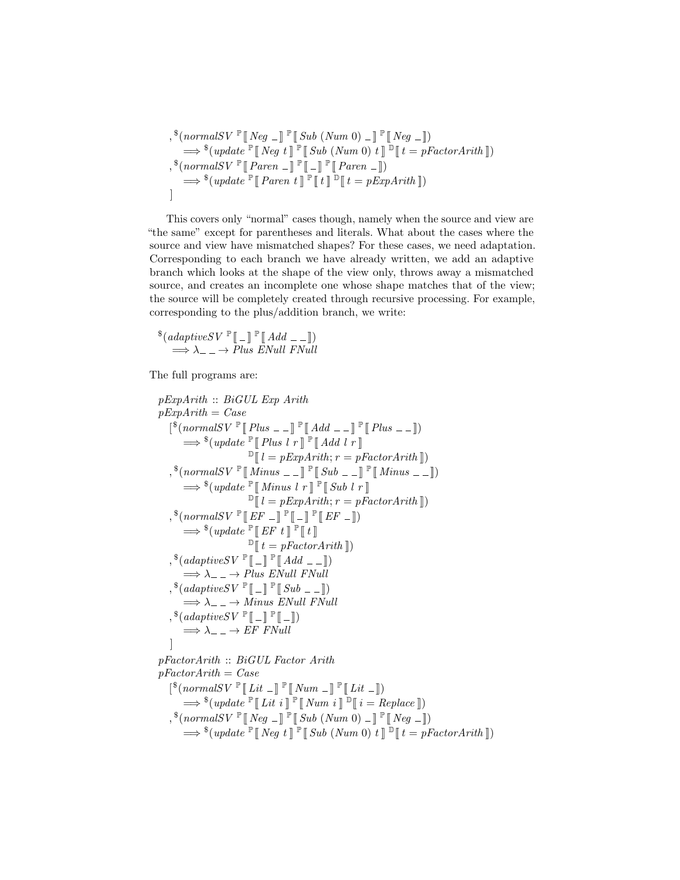$$
\begin{aligned}\n, \n\ ^{\$}(normalSV \ ^{\mathbb{P}} \llbracket \; Neg \; \_ \rrbracket \ ^{\mathbb{P}} \llbracket \; Sub \; (Num \; 0) \; \_ \rrbracket \ ^{\mathbb{P}} \llbracket \; Neg \; \_ \rrbracket) \\
\Longrightarrow \ ^{\$}(update \ ^{\mathbb{P}} \llbracket \; Neg \; t \rrbracket \ ^{\mathbb{P}} \llbracket \; Sub \; (Num \; 0) \; t \rrbracket \ ^{\mathbb{P}} \llbracket \; t = pFactorArith \rrbracket) \\
, \ ^{\$}(normalSV \ ^{\mathbb{P}} \llbracket \; Paren \; \_ \rrbracket \ ^{\mathbb{P}} \llbracket \; - \rrbracket \ ^{\mathbb{P}} \llbracket \; - \rrbracket \; Paren \; - \rrbracket) \\
\Longrightarrow \ ^{\$}(update \ ^{\mathbb{P}} \llbracket \; Parent \; t \rrbracket \ ^{\mathbb{P}} \llbracket \; t \rrbracket \; p \; ExpArith \rrbracket)\n\end{aligned}
$$

This covers only "normal" cases though, namely when the source and view are "the same" except for parentheses and literals. What about the cases where the source and view have mismatched shapes? For these cases, we need adaptation. Corresponding to each branch we have already written, we add an adaptive branch which looks at the shape of the view only, throws away a mismatched source, and creates an incomplete one whose shape matches that of the view; the source will be completely created through recursive processing. For example, corresponding to the plus/addition branch, we write:

 $\{adaptive SV \$   $\| \$   $\|$   $\}$   $\|$   $Add \_ \dots \$  $\Rightarrow \lambda_{-} \rightarrow Plus \; ENull \; FNull$ 

The full programs are:

$$
pExpArith :: BiGUL Exp Arith
$$
  
\n
$$
pExpArith = Case
$$
  
\n
$$
[{}^{\$}(normal V \mathbb{P} \mathbb{P} [Plus - \mathbb{P} \mathbb{P} [Add - \mathbb{P} \mathbb{P} [Plus - \mathbb{P}])
$$
  
\n
$$
\implies {}^{\$}(update \mathbb{P} \mathbb{P} [Plus l r] \mathbb{P} \mathbb{P} [Add l r] \mathbb{P} [Xdd l r] \mathbb{P} [Matrix r = pFactorArith ])
$$
  
\n
$$
, {}^{\$}(normal V \mathbb{P} \mathbb{P} [Minus - \mathbb{P} \mathbb{P} [Sub l - \mathbb{P} \mathbb{P} [Minus - \mathbb{P}])
$$
  
\n
$$
\implies {}^{\$}(update \mathbb{P} [Minus l r] \mathbb{P} [Sub l r] \mathbb{P} [Xdd l r] \mathbb{P} [Xdd l r] \mathbb{P} [Xdd l r] \mathbb{P} [Xdd l r] \mathbb{P} [Xdd l r] \mathbb{P} [Xdd l r] \mathbb{P} [Xdd l r] \mathbb{P} [Xdd l r] \mathbb{P} [Xdd l r] \mathbb{P} [Xdd l r] \mathbb{P} [Xdd l r] \mathbb{P} [Xdd l r] \mathbb{P} [Xdd l r] \mathbb{P} [Xdd l r] \mathbb{P} [Xdd l r] \mathbb{P} [Xdd l r] \mathbb{P} [Xdd l r] \mathbb{P} [Xdd l r] \mathbb{P} [Xdd l r] \mathbb{P} [Xdd l r] \mathbb{P} [Xdd l r] \mathbb{P} [Xdd l r] \mathbb{P} [Xdd l r] \mathbb{P} [Xdd l r] \mathbb{P} [Xdd l r] \mathbb{P} [Xdd l r] \mathbb{P} [Xdd l r] \mathbb{P} [Xdd l r] \mathbb{P} [Xdd l r] \mathbb{P} [Xdd l r] \mathbb{P} [Xdd l r] \mathbb{P} [Xdd l r] \mathbb{P} [Xdd l r] \mathbb{P} [Xdd l r] \mathbb{P} [Xdd l r] \mathbb{P} [Xdd l r] \mathbb{P} [Xdd l r] \mathbb{P} [Xdd l r] \mathbb
$$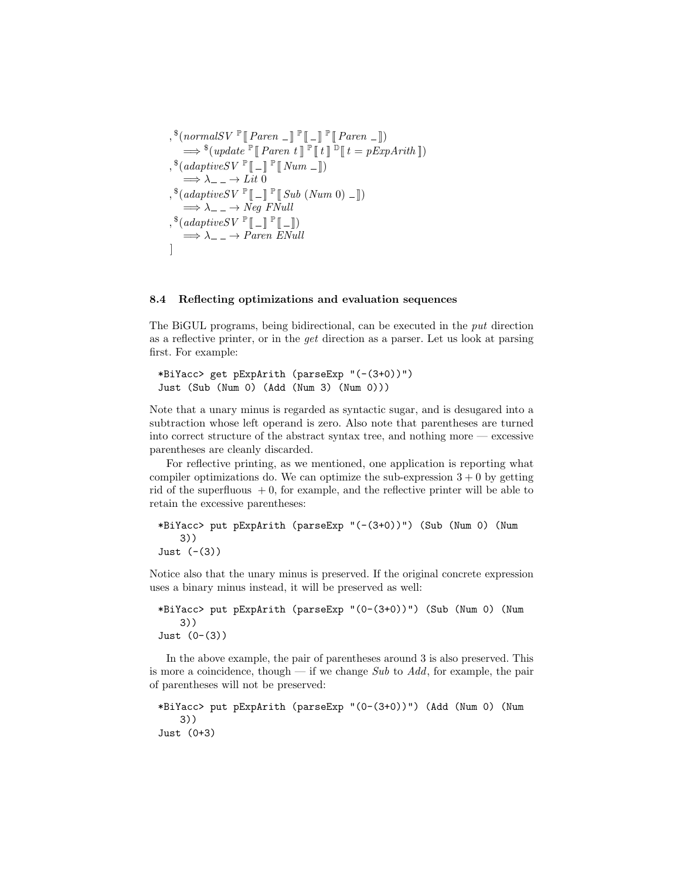$$
\begin{array}{l} \text{, }^{\$}(normalSV \ ^{\mathbb{P}}[\ \textit{Paren} \ ] \ ^{\mathbb{P}}[\ ] \ -]\ \ \mathbb{P}[\ ] \ -]\ \ \text{=} \ ^{\$}(update \ ^{\mathbb{P}}[\ \textit{Paren} \ t \ ] \ ^{\mathbb{P}}[\ ] \ t \ ] \ ^{\mathbb{D}}[\ t = pExpA \textit{rith} \ ])\\ \text{, }^{\$}(adaptiveSV \ ^{\mathbb{P}}[\ ] \ _{\bot}]\ ^{\mathbb{P}}[\ \textit{Num} \ _{\bot}])\\ \text{, }^{\$}(adaptiveSV \ ^{\mathbb{P}}[\ ] \ _{\bot}]\ ^{\mathbb{P}}[\textit{Sub} \ (Num \ 0) \ ])\\ \text{, }^{\$}(adaptiveSV \ ^{\mathbb{P}}[\ ] \ _{\bot}]\ ^{\mathbb{P}}[\textit{Sub} \ (Num \ 0) \ _{\bot}])\\ \text{, }^{\$}(adaptiveSV \ ^{\mathbb{P}}[\ ] \ _{\bot}]\ ^{\mathbb{P}}[\ ] \ _{\bot}]\}\\\text{, }^{\$}(adaptiveSV \ ^{\mathbb{P}}[\ ] \ _{\bot}]\ ^{\mathbb{P}}[\ ] \ _{\bot}])\\ \text{, }^{\$}(adaptiveSV \ ^{\mathbb{P}}[\ ] \ _{\bot}]\ ^{\mathbb{P}}[\ ]\\ \text{, }^{\$}\ \lambda_{-} \rightarrow Parent \ \textit{ENull} \end{array}
$$

### 8.4 Reflecting optimizations and evaluation sequences

The BiGUL programs, being bidirectional, can be executed in the put direction as a reflective printer, or in the get direction as a parser. Let us look at parsing first. For example:

```
*BiYacc> get pExpArith (parseExp "(-(3+0))")
Just (Sub (Num 0) (Add (Num 3) (Num 0)))
```
Note that a unary minus is regarded as syntactic sugar, and is desugared into a subtraction whose left operand is zero. Also note that parentheses are turned into correct structure of the abstract syntax tree, and nothing more — excessive parentheses are cleanly discarded.

For reflective printing, as we mentioned, one application is reporting what compiler optimizations do. We can optimize the sub-expression  $3 + 0$  by getting rid of the superfluous  $+0$ , for example, and the reflective printer will be able to retain the excessive parentheses:

```
*BiYacc> put pExpArith (parseExp "(-(3+0))") (Sub (Num 0) (Num
   3))
Just (- (3))
```
Notice also that the unary minus is preserved. If the original concrete expression uses a binary minus instead, it will be preserved as well:

```
*BiYacc> put pExpArith (parseExp "(0-(3+0))") (Sub (Num 0) (Num
   3))
Just (0-(3))
```
In the above example, the pair of parentheses around 3 is also preserved. This is more a coincidence, though — if we change  $Sub$  to  $Add$ , for example, the pair of parentheses will not be preserved:

```
*BiYacc> put pExpArith (parseExp "(0-(3+0))") (Add (Num 0) (Num
   3))
Just (0+3)
```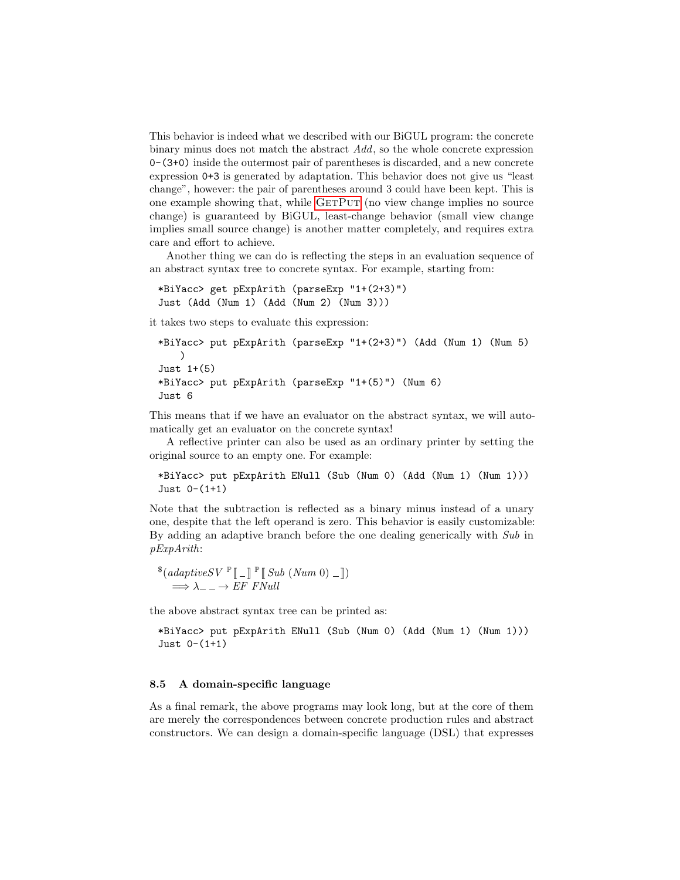This behavior is indeed what we described with our BiGUL program: the concrete binary minus does not match the abstract Add, so the whole concrete expression 0-(3+0) inside the outermost pair of parentheses is discarded, and a new concrete expression 0+3 is generated by adaptation. This behavior does not give us "least change", however: the pair of parentheses around 3 could have been kept. This is one example showing that, while GETPUT (no view change implies no source change) is guaranteed by BiGUL, least-change behavior (small view change implies small source change) is another matter completely, and requires extra care and effort to achieve.

Another thing we can do is reflecting the steps in an evaluation sequence of an abstract syntax tree to concrete syntax. For example, starting from:

```
*BiYacc> get pExpArith (parseExp "1+(2+3)")
Just (Add (Num 1) (Add (Num 2) (Num 3)))
```
it takes two steps to evaluate this expression:

```
*BiYacc> put pExpArith (parseExp "1+(2+3)") (Add (Num 1) (Num 5)
   )
Just 1+(5)
*BiYacc> put pExpArith (parseExp "1+(5)") (Num 6)
Just 6
```
This means that if we have an evaluator on the abstract syntax, we will automatically get an evaluator on the concrete syntax!

A reflective printer can also be used as an ordinary printer by setting the original source to an empty one. For example:

\*BiYacc> put pExpArith ENull (Sub (Num 0) (Add (Num 1) (Num 1))) Just 0-(1+1)

Note that the subtraction is reflected as a binary minus instead of a unary one, despite that the left operand is zero. This behavior is easily customizable: By adding an adaptive branch before the one dealing generically with Sub in pExpArith:

 $*(adaptive SV \n\mathbb{P} [- \n\mathbb{P} \nskip 0.02in \mathbb{P} \nskip 0.02in \mathbb{P} \nskip 0.02in \mathbb{P} \nskip 0.02in \mathbb{P} \nskip 0.02in \mathbb{P} \nskip 0.02in \mathbb{P} \nskip 0.02in \mathbb{P} \nskip 0.02in \mathbb{P} \nskip 0.02in \mathbb{P} \nskip 0.02in \mathbb{P} \nskip 0.02in \mathbb{P} \nskip 0.02in \mathbb{P} \nskip 0.02in \mathbb{P} \nskip$  $\Rightarrow \lambda_{-} \rightarrow \overline{EF} \overline{F} \overline{N}$ 

the above abstract syntax tree can be printed as:

\*BiYacc> put pExpArith ENull (Sub (Num 0) (Add (Num 1) (Num 1))) Just 0-(1+1)

# 8.5 A domain-specific language

As a final remark, the above programs may look long, but at the core of them are merely the correspondences between concrete production rules and abstract constructors. We can design a domain-specific language (DSL) that expresses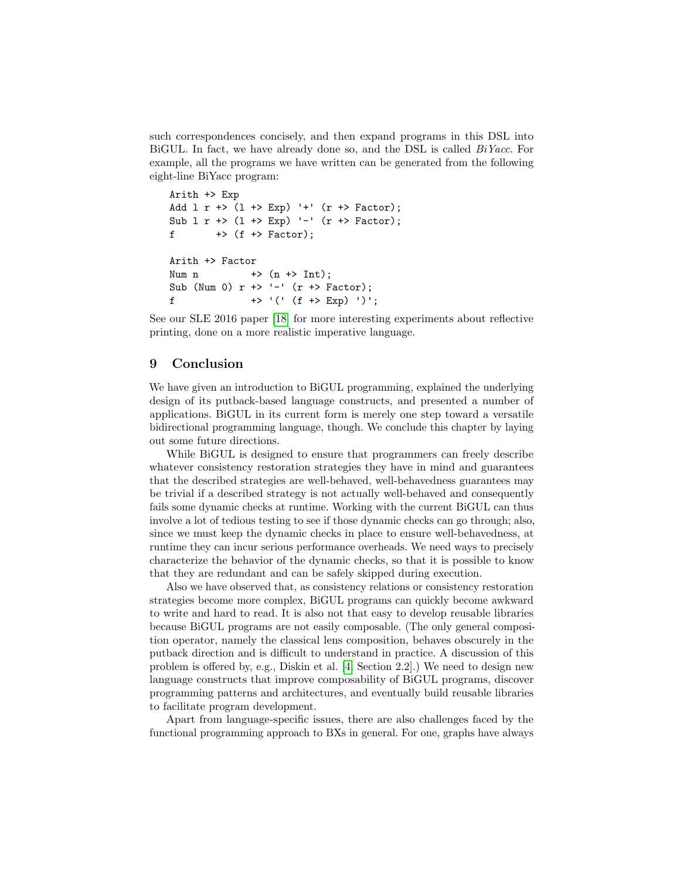such correspondences concisely, and then expand programs in this DSL into BiGUL. In fact, we have already done so, and the DSL is called  $BiYacc$ . For example, all the programs we have written can be generated from the following eight-line BiYacc program:

```
Arith +> Exp
Add l r \leftrightarrow (l \leftrightarrow Exp) '+' (r \leftrightarrow Factor);
Sub l r +> (l +> Exp) '-' (r +> Factor);
f \rightarrow (f +> Factor);
Arith +> Factor
Num n \rightarrow (n +> Int);
Sub (Num 0) r \leftrightarrow '-' (r \leftrightarrow Factor);
f +> '(' (f +> Exp) ')';
```
See our SLE 2016 paper [\[18\]](#page-50-10) for more interesting experiments about reflective printing, done on a more realistic imperative language.

# 9 Conclusion

We have given an introduction to BiGUL programming, explained the underlying design of its putback-based language constructs, and presented a number of applications. BiGUL in its current form is merely one step toward a versatile bidirectional programming language, though. We conclude this chapter by laying out some future directions.

While BiGUL is designed to ensure that programmers can freely describe whatever consistency restoration strategies they have in mind and guarantees that the described strategies are well-behaved, well-behavedness guarantees may be trivial if a described strategy is not actually well-behaved and consequently fails some dynamic checks at runtime. Working with the current BiGUL can thus involve a lot of tedious testing to see if those dynamic checks can go through; also, since we must keep the dynamic checks in place to ensure well-behavedness, at runtime they can incur serious performance overheads. We need ways to precisely characterize the behavior of the dynamic checks, so that it is possible to know that they are redundant and can be safely skipped during execution.

Also we have observed that, as consistency relations or consistency restoration strategies become more complex, BiGUL programs can quickly become awkward to write and hard to read. It is also not that easy to develop reusable libraries because BiGUL programs are not easily composable. (The only general composition operator, namely the classical lens composition, behaves obscurely in the putback direction and is difficult to understand in practice. A discussion of this problem is offered by, e.g., Diskin et al. [\[4,](#page-49-5) Section 2.2].) We need to design new language constructs that improve composability of BiGUL programs, discover programming patterns and architectures, and eventually build reusable libraries to facilitate program development.

Apart from language-specific issues, there are also challenges faced by the functional programming approach to BXs in general. For one, graphs have always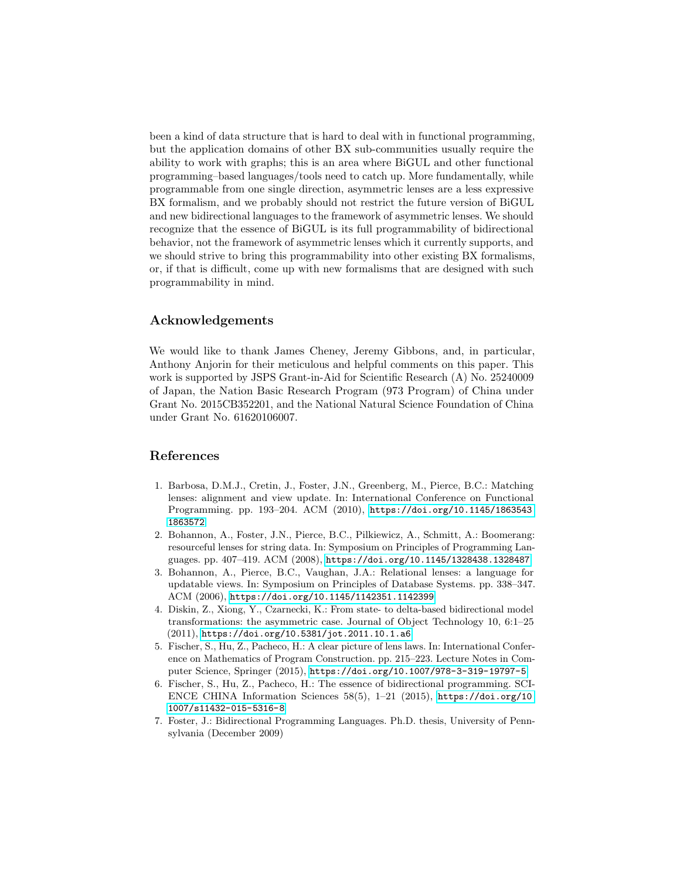been a kind of data structure that is hard to deal with in functional programming, but the application domains of other BX sub-communities usually require the ability to work with graphs; this is an area where BiGUL and other functional programming–based languages/tools need to catch up. More fundamentally, while programmable from one single direction, asymmetric lenses are a less expressive BX formalism, and we probably should not restrict the future version of BiGUL and new bidirectional languages to the framework of asymmetric lenses. We should recognize that the essence of BiGUL is its full programmability of bidirectional behavior, not the framework of asymmetric lenses which it currently supports, and we should strive to bring this programmability into other existing BX formalisms, or, if that is difficult, come up with new formalisms that are designed with such programmability in mind.

# Acknowledgements

We would like to thank James Cheney, Jeremy Gibbons, and, in particular, Anthony Anjorin for their meticulous and helpful comments on this paper. This work is supported by JSPS Grant-in-Aid for Scientific Research (A) No. 25240009 of Japan, the Nation Basic Research Program (973 Program) of China under Grant No. 2015CB352201, and the National Natural Science Foundation of China under Grant No. 61620106007.

# References

- <span id="page-49-4"></span>1. Barbosa, D.M.J., Cretin, J., Foster, J.N., Greenberg, M., Pierce, B.C.: Matching lenses: alignment and view update. In: International Conference on Functional Programming. pp. 193–204. ACM (2010), [https://doi.org/10.1145/1863543.](https://doi.org/10.1145/1863543.1863572) [1863572](https://doi.org/10.1145/1863543.1863572)
- <span id="page-49-0"></span>2. Bohannon, A., Foster, J.N., Pierce, B.C., Pilkiewicz, A., Schmitt, A.: Boomerang: resourceful lenses for string data. In: Symposium on Principles of Programming Languages. pp. 407–419. ACM (2008), <https://doi.org/10.1145/1328438.1328487>
- <span id="page-49-1"></span>3. Bohannon, A., Pierce, B.C., Vaughan, J.A.: Relational lenses: a language for updatable views. In: Symposium on Principles of Database Systems. pp. 338–347. ACM (2006), <https://doi.org/10.1145/1142351.1142399>
- <span id="page-49-5"></span>4. Diskin, Z., Xiong, Y., Czarnecki, K.: From state- to delta-based bidirectional model transformations: the asymmetric case. Journal of Object Technology 10, 6:1–25 (2011), <https://doi.org/10.5381/jot.2011.10.1.a6>
- <span id="page-49-2"></span>5. Fischer, S., Hu, Z., Pacheco, H.: A clear picture of lens laws. In: International Conference on Mathematics of Program Construction. pp. 215–223. Lecture Notes in Computer Science, Springer (2015), <https://doi.org/10.1007/978-3-319-19797-5>
- 6. Fischer, S., Hu, Z., Pacheco, H.: The essence of bidirectional programming. SCI-ENCE CHINA Information Sciences 58(5), 1–21 (2015), [https://doi.org/10.](https://doi.org/10.1007/s11432-015-5316-8) [1007/s11432-015-5316-8](https://doi.org/10.1007/s11432-015-5316-8)
- <span id="page-49-3"></span>7. Foster, J.: Bidirectional Programming Languages. Ph.D. thesis, University of Pennsylvania (December 2009)